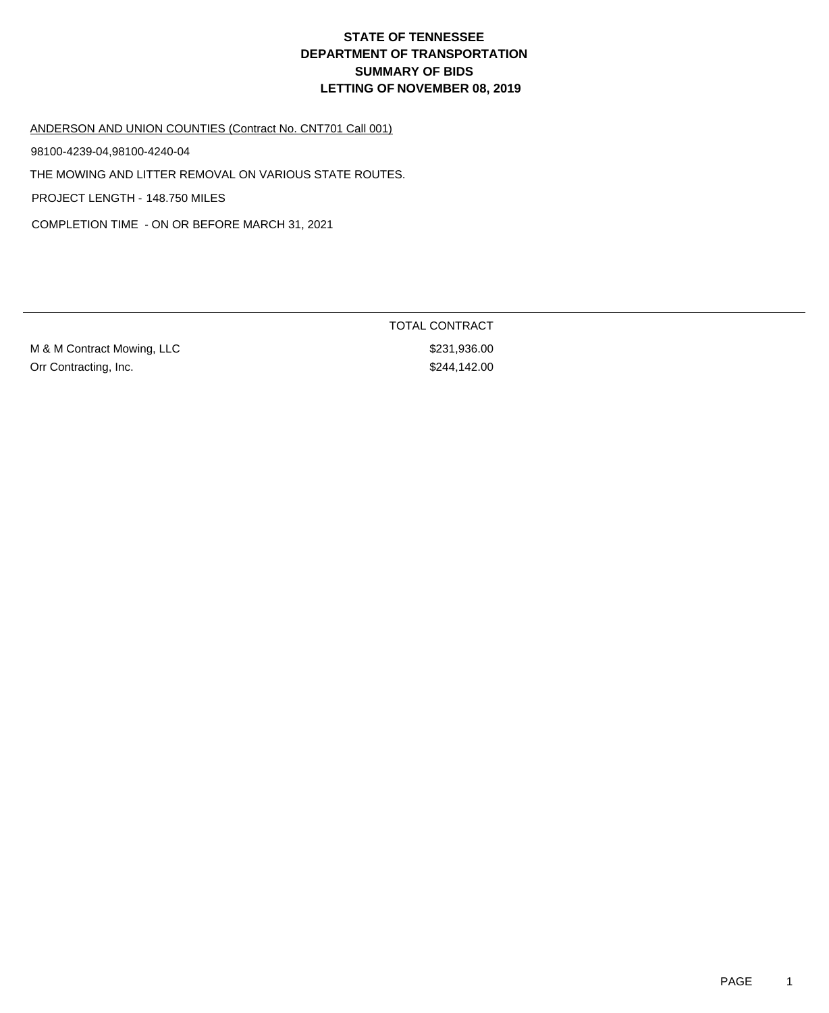#### ANDERSON AND UNION COUNTIES (Contract No. CNT701 Call 001)

98100-4239-04,98100-4240-04

THE MOWING AND LITTER REMOVAL ON VARIOUS STATE ROUTES.

PROJECT LENGTH - 148.750 MILES

COMPLETION TIME - ON OR BEFORE MARCH 31, 2021

M & M Contract Mowing, LLC \$231,936.00 Orr Contracting, Inc.  $$244,142.00$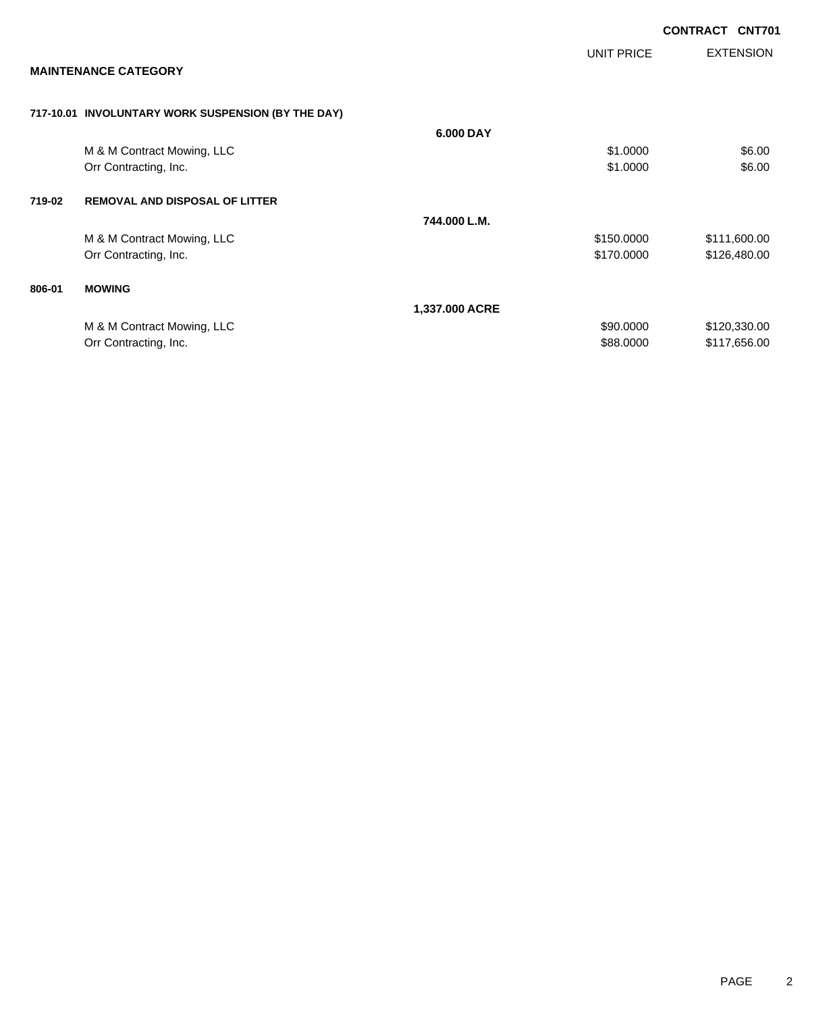|        |                                                    |                |                   | <b>CONTRACT</b> | <b>CNT701</b>    |
|--------|----------------------------------------------------|----------------|-------------------|-----------------|------------------|
|        |                                                    |                | <b>UNIT PRICE</b> |                 | <b>EXTENSION</b> |
|        | <b>MAINTENANCE CATEGORY</b>                        |                |                   |                 |                  |
|        | 717-10.01 INVOLUNTARY WORK SUSPENSION (BY THE DAY) |                |                   |                 |                  |
|        |                                                    | 6.000 DAY      |                   |                 |                  |
|        | M & M Contract Mowing, LLC                         |                | \$1.0000          |                 | \$6.00           |
|        | Orr Contracting, Inc.                              |                | \$1.0000          |                 | \$6.00           |
| 719-02 | <b>REMOVAL AND DISPOSAL OF LITTER</b>              |                |                   |                 |                  |
|        |                                                    | 744.000 L.M.   |                   |                 |                  |
|        | M & M Contract Mowing, LLC                         |                | \$150.0000        |                 | \$111,600.00     |
|        | Orr Contracting, Inc.                              |                | \$170.0000        |                 | \$126,480.00     |
| 806-01 | <b>MOWING</b>                                      |                |                   |                 |                  |
|        |                                                    | 1,337.000 ACRE |                   |                 |                  |
|        | M & M Contract Mowing, LLC                         |                | \$90.0000         |                 | \$120,330.00     |
|        | Orr Contracting, Inc.                              |                | \$88.0000         |                 | \$117,656.00     |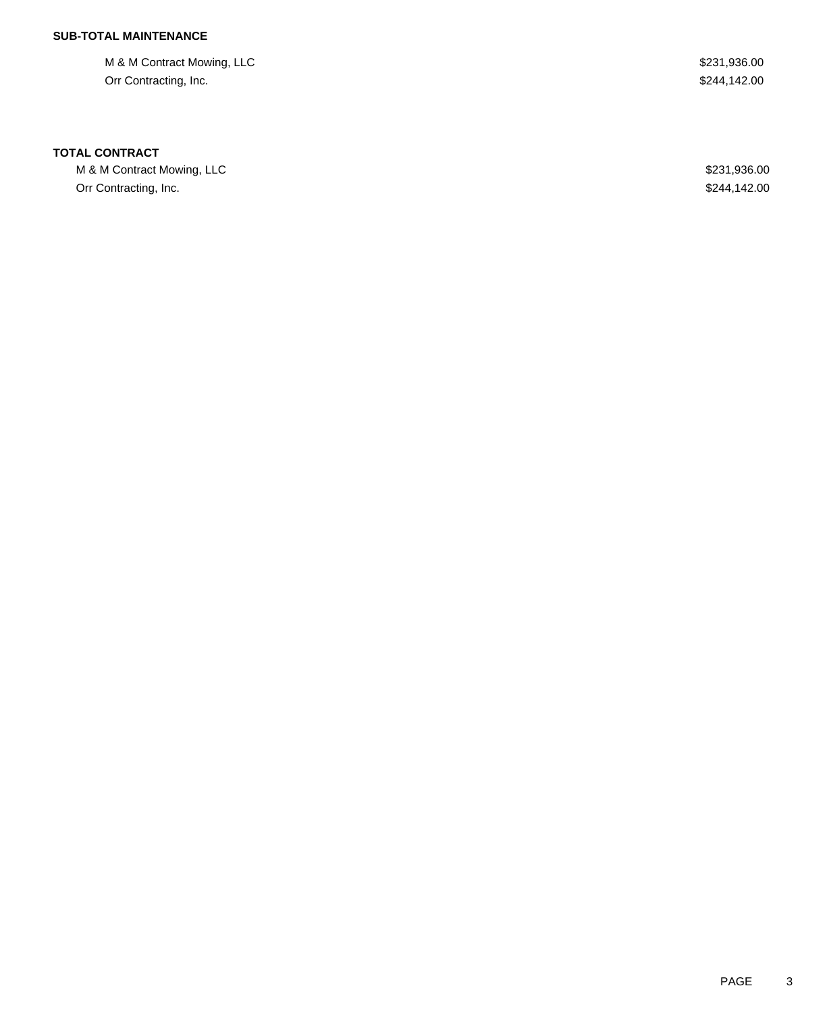M & M Contract Mowing, LLC  $$231,936.00$ Orr Contracting, Inc. \$244,142.00

### **TOTAL CONTRACT**

M & M Contract Mowing, LLC \$231,936.00 Orr Contracting, Inc. \$244,142.00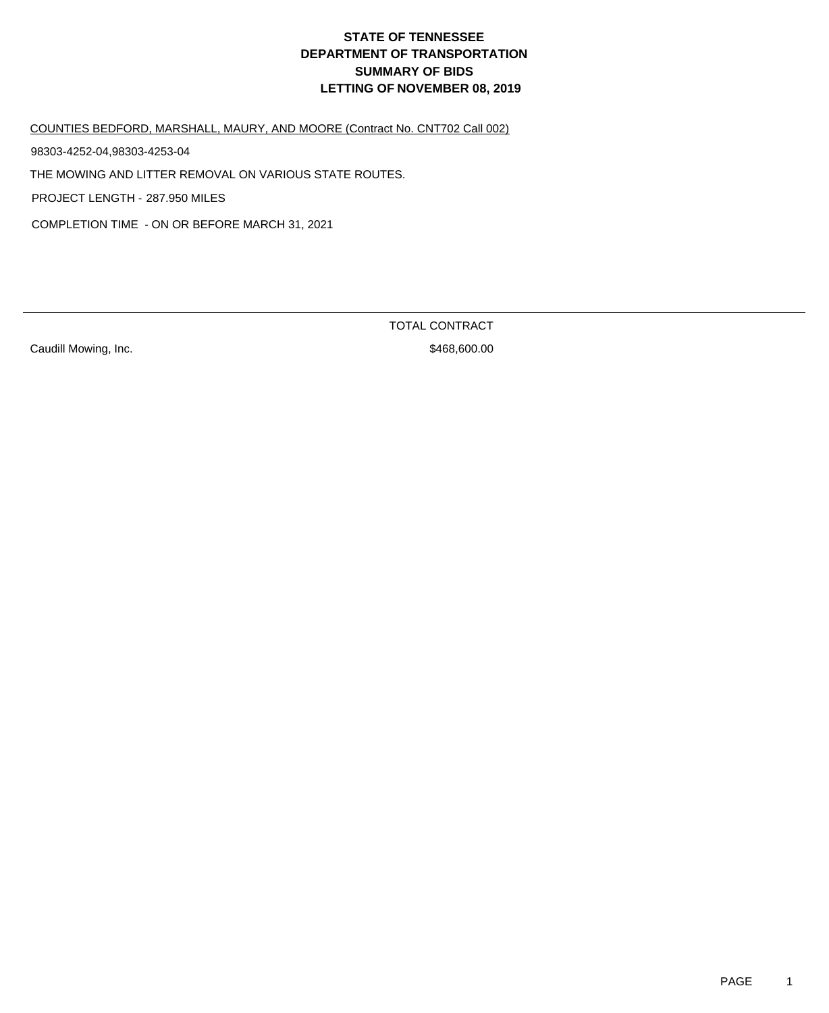COUNTIES BEDFORD, MARSHALL, MAURY, AND MOORE (Contract No. CNT702 Call 002)

98303-4252-04,98303-4253-04

THE MOWING AND LITTER REMOVAL ON VARIOUS STATE ROUTES.

PROJECT LENGTH - 287.950 MILES

COMPLETION TIME - ON OR BEFORE MARCH 31, 2021

Caudill Mowing, Inc. 600.000 and 100 and 100 and 100 and 100 and 100 and 100 and 100 and 100 and 100 and 100 and 100 and 100 and 100 and 100 and 100 and 100 and 100 and 100 and 100 and 100 and 100 and 100 and 100 and 100 a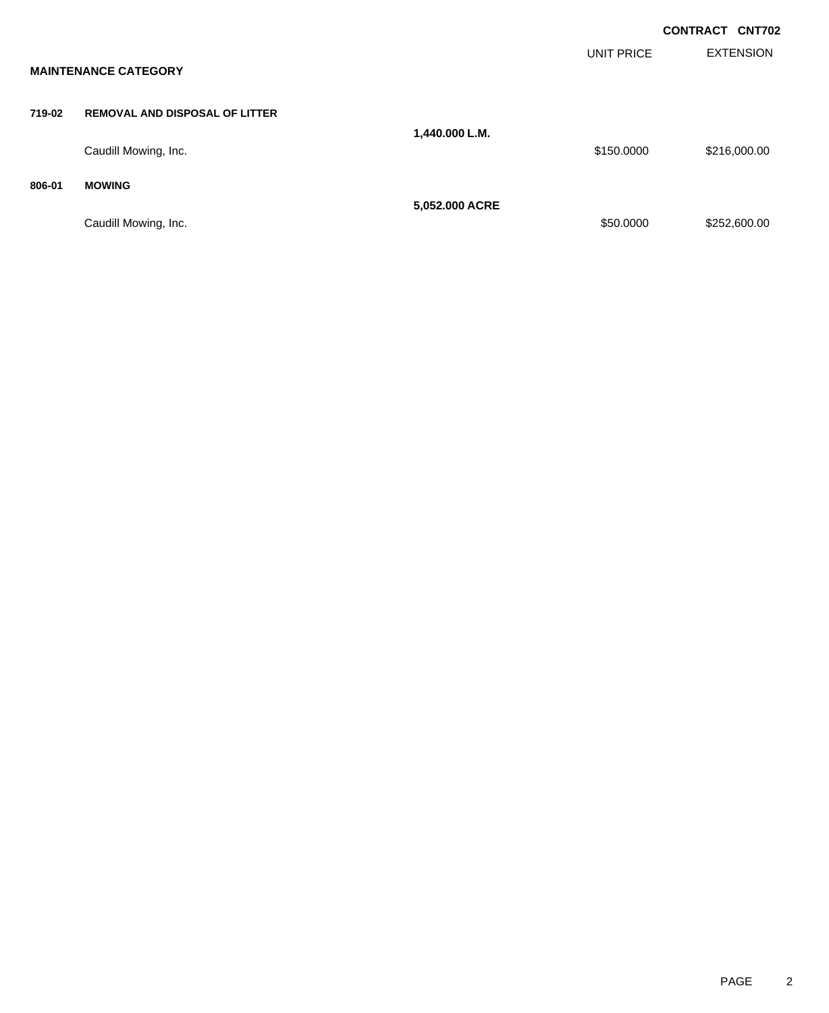|        |                                       |                |            | <b>CONTRACT CNT702</b> |
|--------|---------------------------------------|----------------|------------|------------------------|
|        | <b>MAINTENANCE CATEGORY</b>           |                | UNIT PRICE | <b>EXTENSION</b>       |
| 719-02 | <b>REMOVAL AND DISPOSAL OF LITTER</b> |                |            |                        |
|        | Caudill Mowing, Inc.                  | 1,440.000 L.M. | \$150.0000 | \$216,000.00           |
| 806-01 | <b>MOWING</b>                         | 5,052.000 ACRE |            |                        |
|        | Caudill Mowing, Inc.                  |                | \$50.0000  | \$252,600.00           |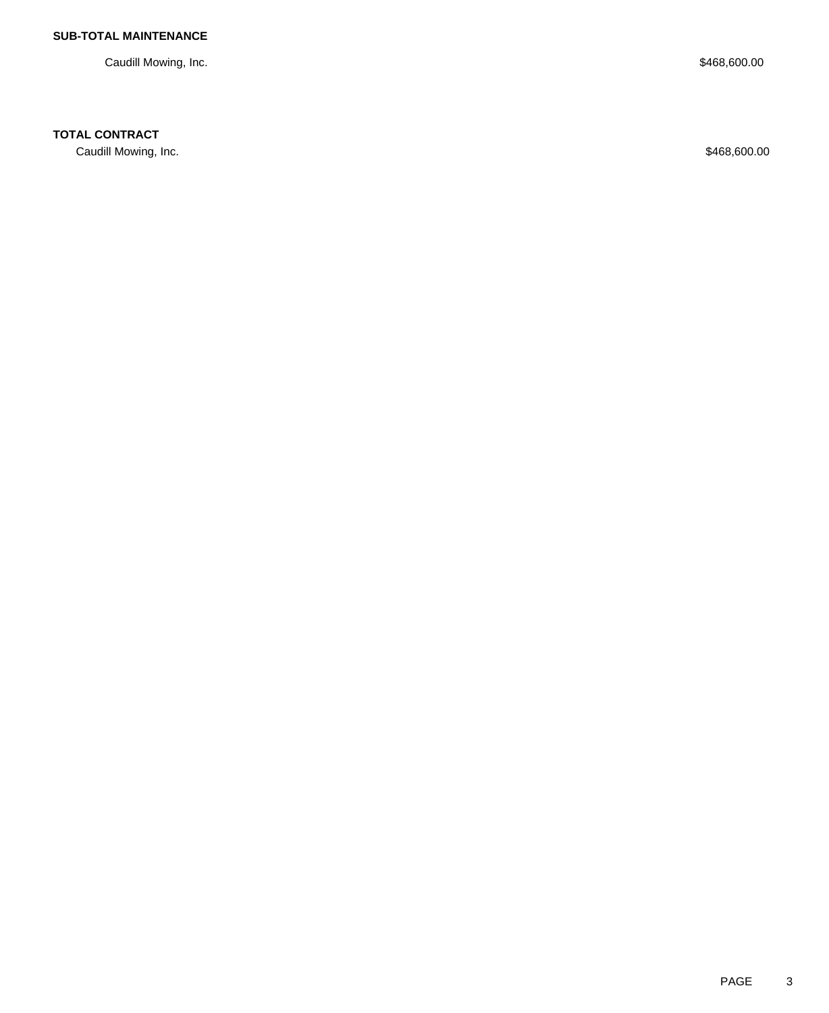Caudill Mowing, Inc. \$468,600.00

### **TOTAL CONTRACT**

Caudill Mowing, Inc. \$468,600.00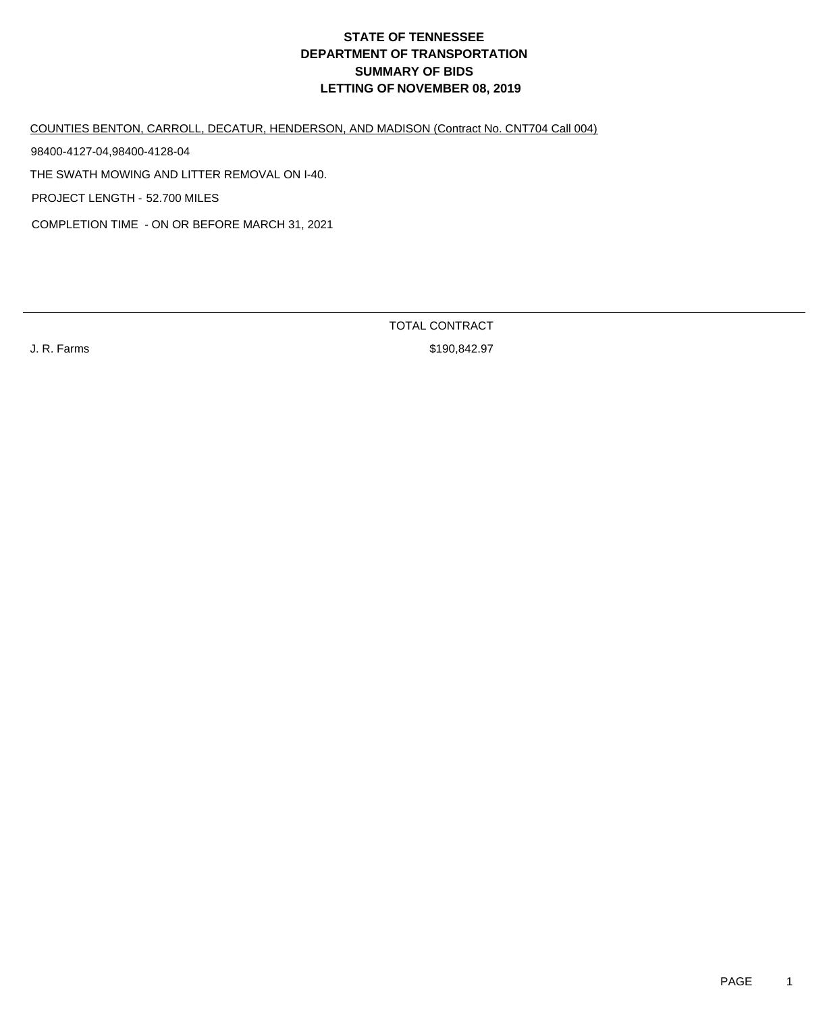COUNTIES BENTON, CARROLL, DECATUR, HENDERSON, AND MADISON (Contract No. CNT704 Call 004)

THE SWATH MOWING AND LITTER REMOVAL ON I-40. PROJECT LENGTH - 52.700 MILES 98400-4127-04,98400-4128-04

COMPLETION TIME - ON OR BEFORE MARCH 31, 2021

TOTAL CONTRACT

J. R. Farms \$190,842.97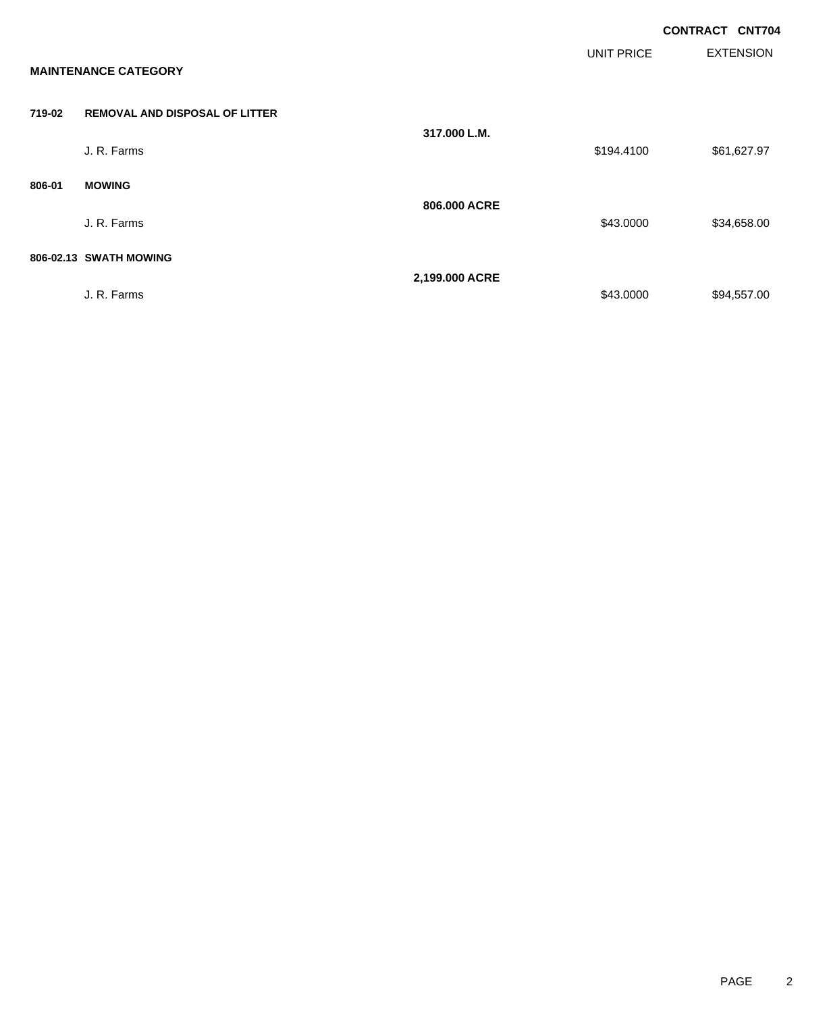|        |                                       |                |                   | <b>CONTRACT CNT704</b> |                  |
|--------|---------------------------------------|----------------|-------------------|------------------------|------------------|
|        | <b>MAINTENANCE CATEGORY</b>           |                | <b>UNIT PRICE</b> |                        | <b>EXTENSION</b> |
| 719-02 | <b>REMOVAL AND DISPOSAL OF LITTER</b> |                |                   |                        |                  |
|        | J. R. Farms                           | 317.000 L.M.   | \$194.4100        |                        | \$61,627.97      |
| 806-01 | <b>MOWING</b>                         |                |                   |                        |                  |
|        | J. R. Farms                           | 806.000 ACRE   | \$43.0000         |                        | \$34,658.00      |
|        | 806-02.13 SWATH MOWING                |                |                   |                        |                  |
|        | J. R. Farms                           | 2,199.000 ACRE | \$43.0000         |                        | \$94,557.00      |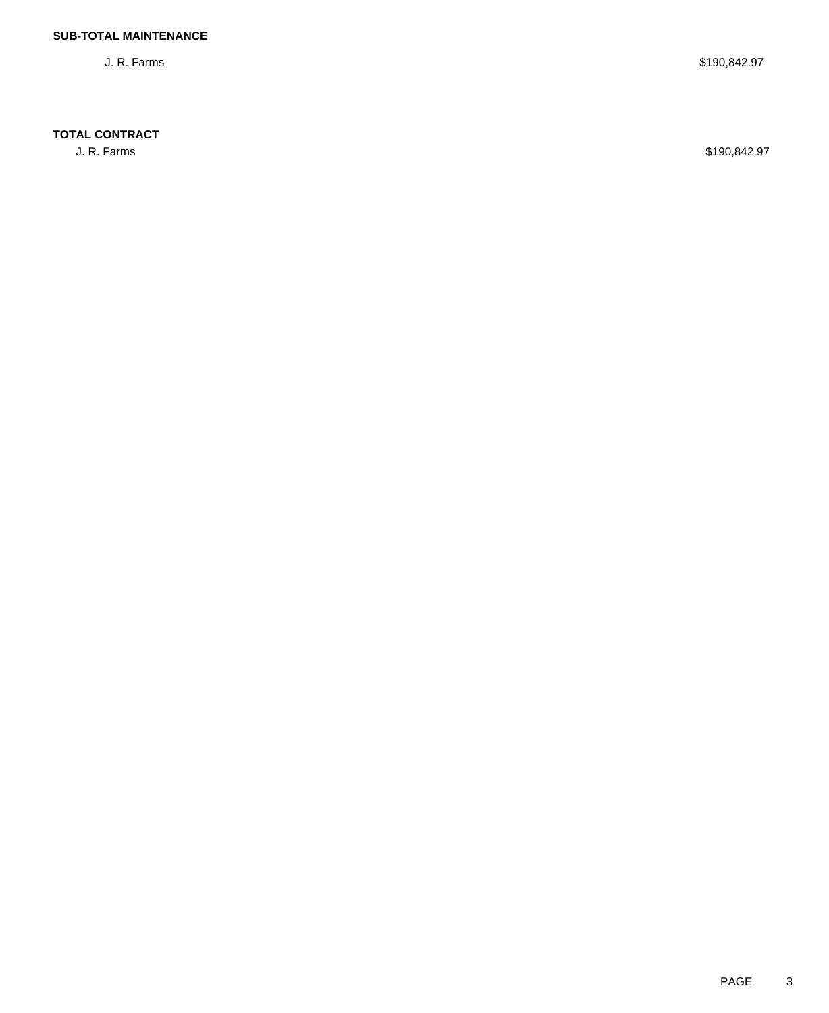### **TOTAL CONTRACT**

J. R. Farms \$190,842.97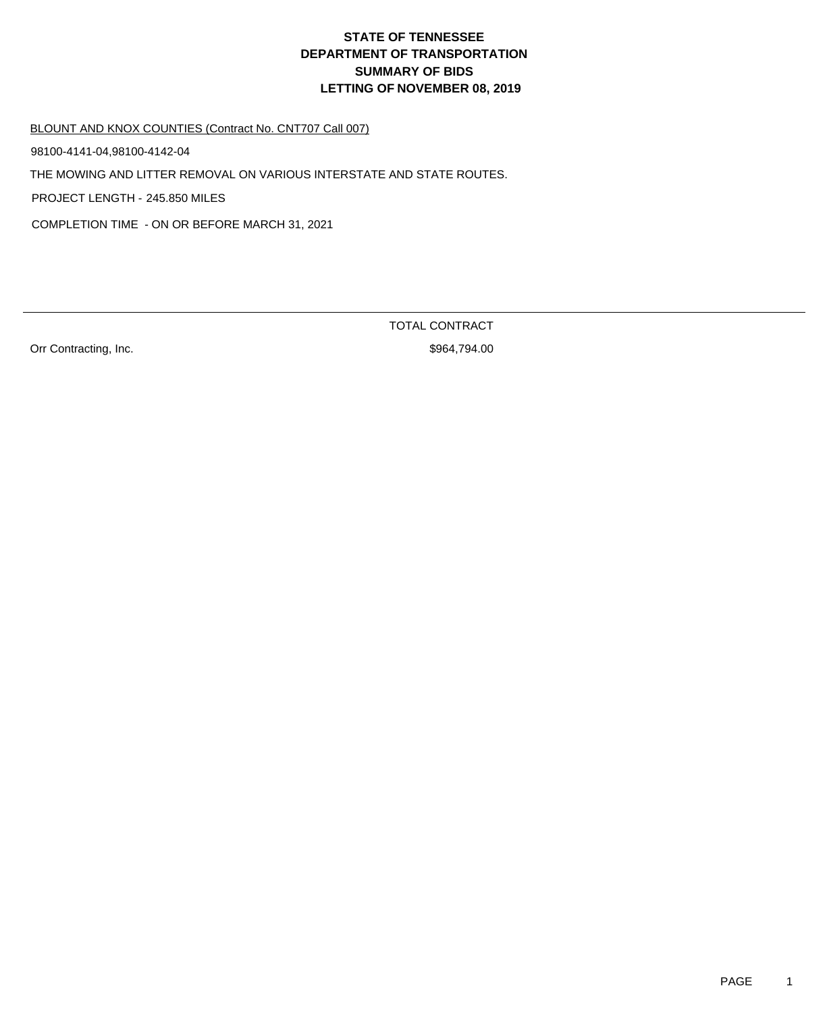#### BLOUNT AND KNOX COUNTIES (Contract No. CNT707 Call 007)

98100-4141-04,98100-4142-04

THE MOWING AND LITTER REMOVAL ON VARIOUS INTERSTATE AND STATE ROUTES.

PROJECT LENGTH - 245.850 MILES

COMPLETION TIME - ON OR BEFORE MARCH 31, 2021

Orr Contracting, Inc. 6. The Second Second Second Second Second Second Second Second Second Second Second Second Second Second Second Second Second Second Second Second Second Second Second Second Second Second Second Seco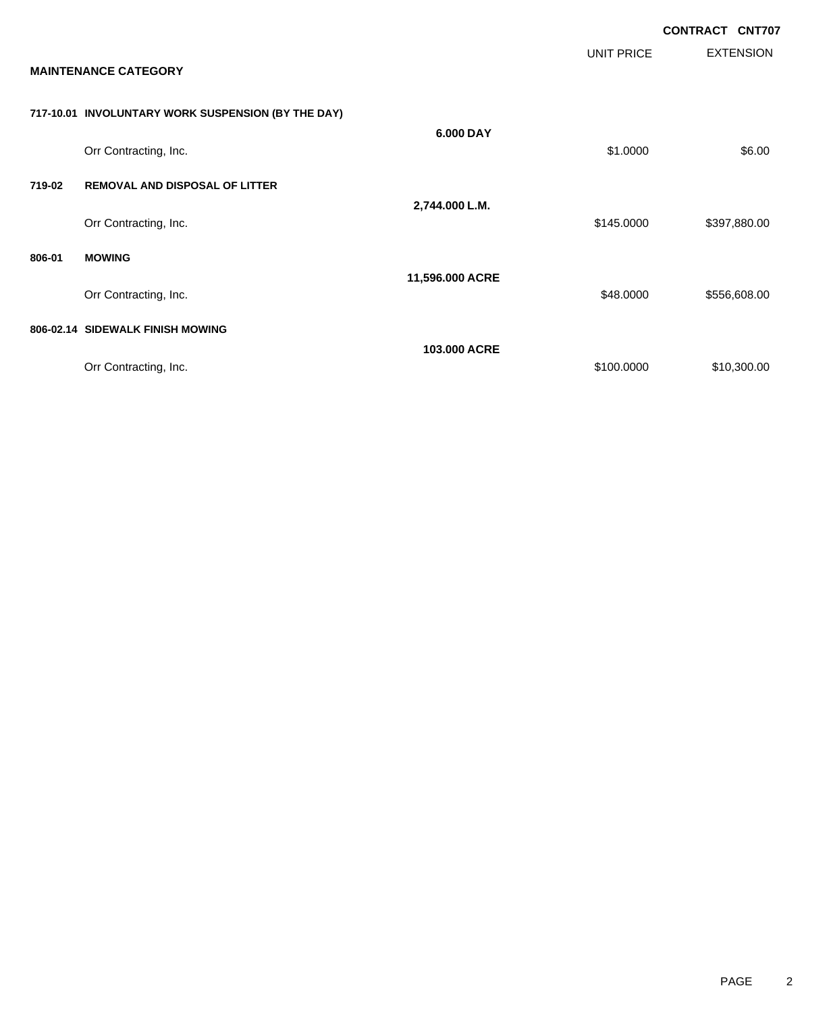|        |                                                    |                 |            | <b>CONTRACT CNT707</b> |                  |
|--------|----------------------------------------------------|-----------------|------------|------------------------|------------------|
|        | <b>MAINTENANCE CATEGORY</b>                        |                 | UNIT PRICE |                        | <b>EXTENSION</b> |
|        | 717-10.01 INVOLUNTARY WORK SUSPENSION (BY THE DAY) |                 |            |                        |                  |
|        | Orr Contracting, Inc.                              | 6.000 DAY       | \$1.0000   |                        | \$6.00           |
| 719-02 | <b>REMOVAL AND DISPOSAL OF LITTER</b>              |                 |            |                        |                  |
|        | Orr Contracting, Inc.                              | 2,744.000 L.M.  | \$145.0000 |                        | \$397,880.00     |
| 806-01 | <b>MOWING</b>                                      |                 |            |                        |                  |
|        | Orr Contracting, Inc.                              | 11,596.000 ACRE | \$48.0000  |                        | \$556,608.00     |
|        | 806-02.14 SIDEWALK FINISH MOWING                   |                 |            |                        |                  |
|        | Orr Contracting, Inc.                              | 103,000 ACRE    | \$100.0000 |                        | \$10,300.00      |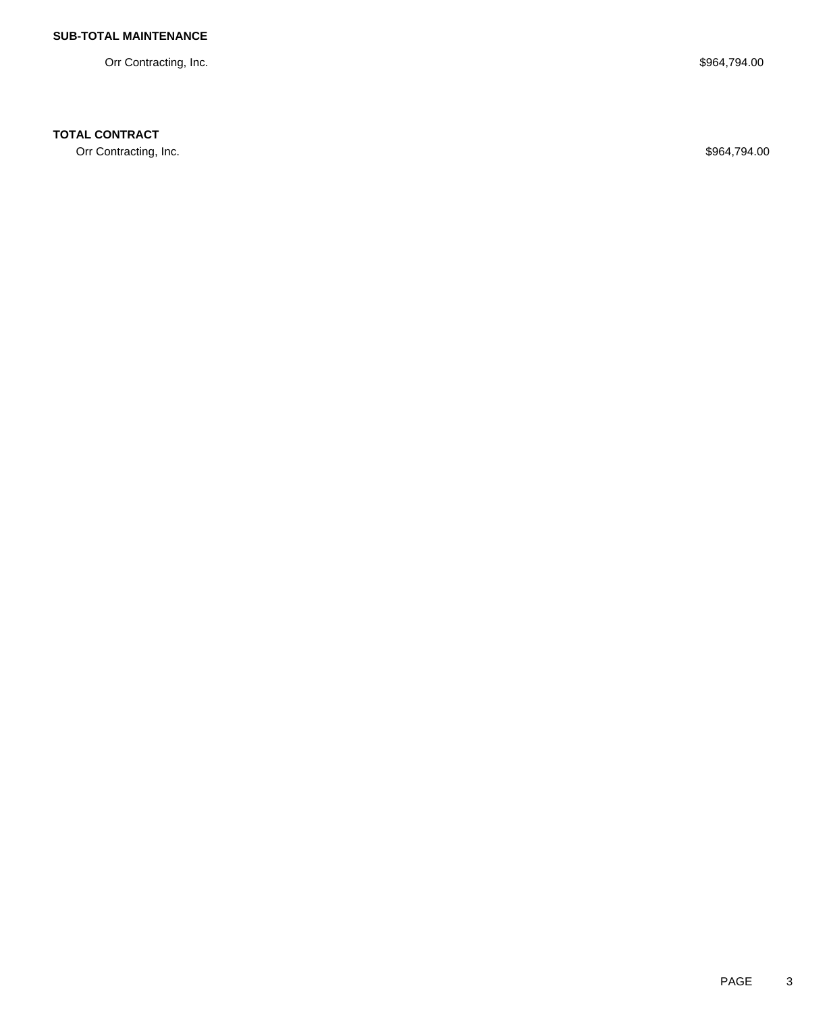Orr Contracting, Inc. \$964,794.00

## **TOTAL CONTRACT**

Orr Contracting, Inc. \$964,794.00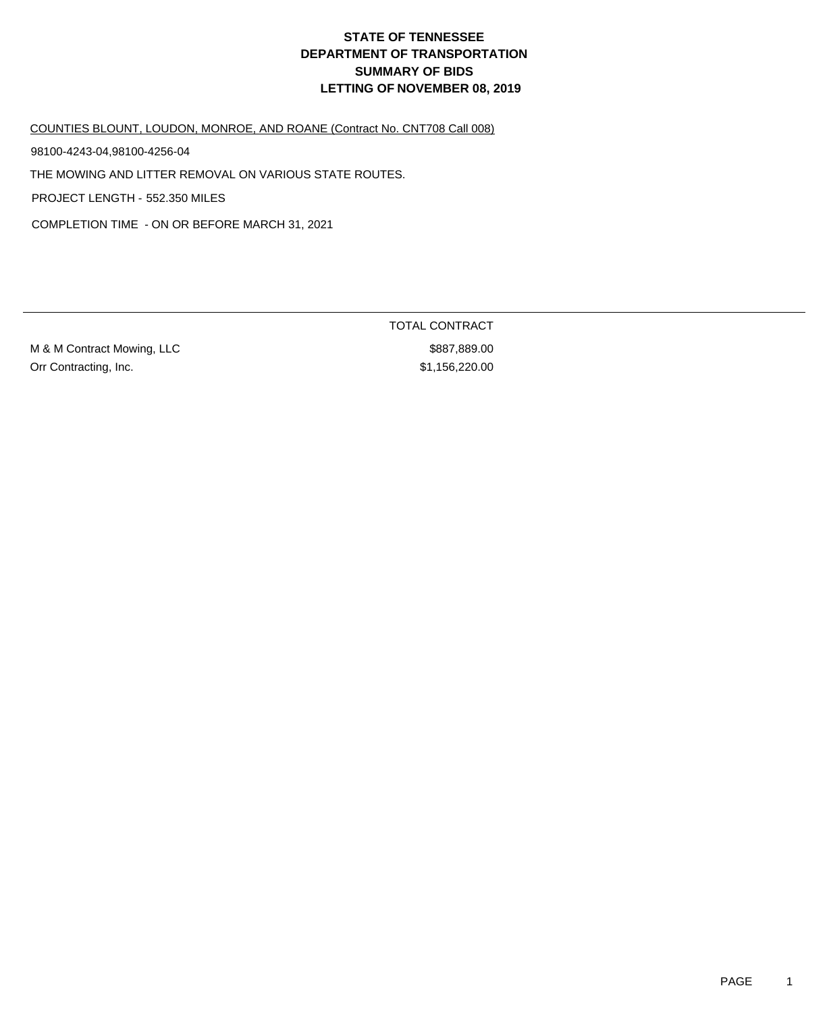COUNTIES BLOUNT, LOUDON, MONROE, AND ROANE (Contract No. CNT708 Call 008)

98100-4243-04,98100-4256-04

THE MOWING AND LITTER REMOVAL ON VARIOUS STATE ROUTES.

PROJECT LENGTH - 552.350 MILES

COMPLETION TIME - ON OR BEFORE MARCH 31, 2021

M & M Contract Mowing, LLC \$887,889.00 Orr Contracting, Inc.  $$1,156,220.00$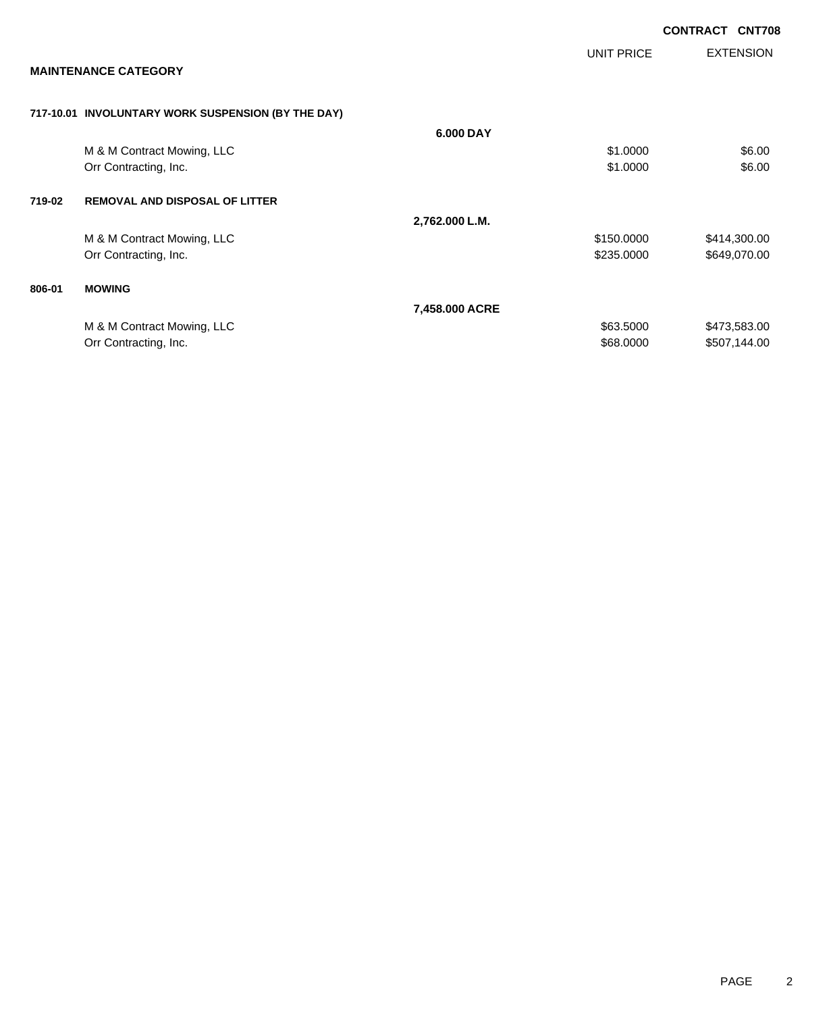|        |                                                    |                |            | <b>CONTRACT</b> | <b>CNT708</b>    |
|--------|----------------------------------------------------|----------------|------------|-----------------|------------------|
|        |                                                    |                | UNIT PRICE |                 | <b>EXTENSION</b> |
|        | <b>MAINTENANCE CATEGORY</b>                        |                |            |                 |                  |
|        | 717-10.01 INVOLUNTARY WORK SUSPENSION (BY THE DAY) |                |            |                 |                  |
|        |                                                    | 6.000 DAY      |            |                 |                  |
|        | M & M Contract Mowing, LLC                         |                | \$1.0000   |                 | \$6.00           |
|        | Orr Contracting, Inc.                              |                | \$1.0000   |                 | \$6.00           |
| 719-02 | <b>REMOVAL AND DISPOSAL OF LITTER</b>              |                |            |                 |                  |
|        |                                                    | 2,762.000 L.M. |            |                 |                  |
|        | M & M Contract Mowing, LLC                         |                | \$150.0000 |                 | \$414,300.00     |
|        | Orr Contracting, Inc.                              |                | \$235.0000 |                 | \$649,070.00     |
| 806-01 | <b>MOWING</b>                                      |                |            |                 |                  |
|        |                                                    | 7,458.000 ACRE |            |                 |                  |
|        | M & M Contract Mowing, LLC                         |                | \$63.5000  |                 | \$473,583.00     |
|        | Orr Contracting, Inc.                              |                | \$68.0000  |                 | \$507,144.00     |
|        |                                                    |                |            |                 |                  |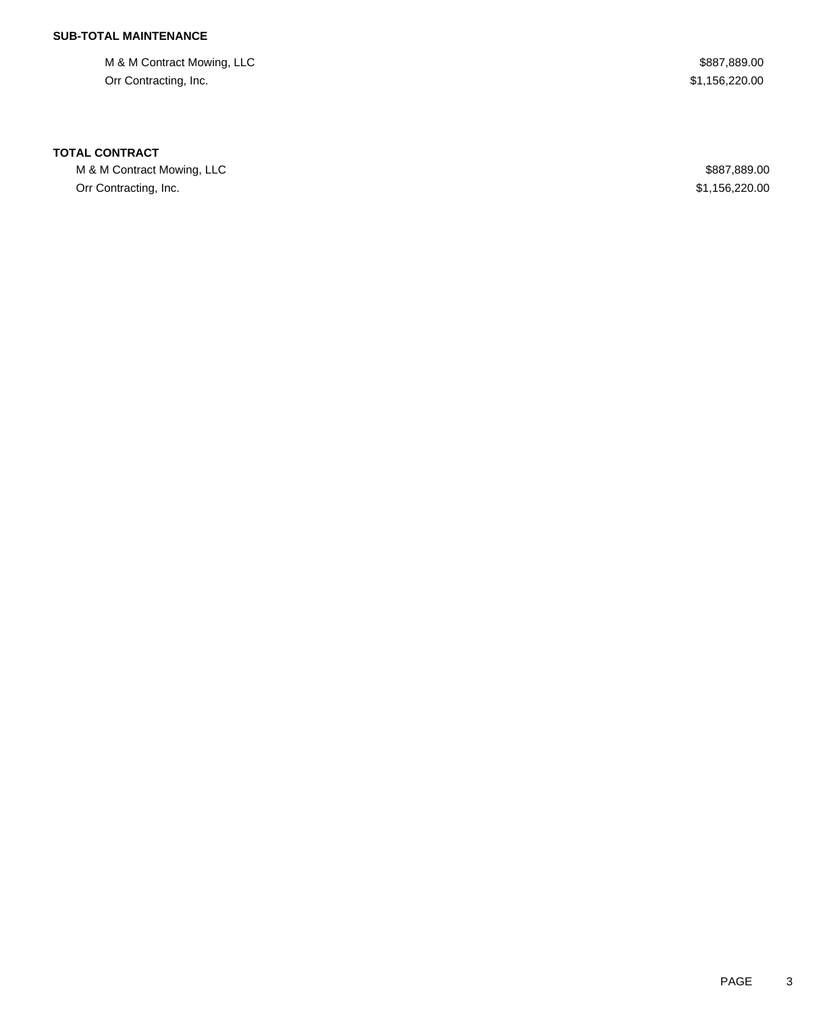M & M Contract Mowing, LLC  $$887,889.00$ Orr Contracting, Inc. \$1,156,220.00

### **TOTAL CONTRACT**

M & M Contract Mowing, LLC 600 and the Contract Mowing, LLC Orr Contracting, Inc. \$1,156,220.00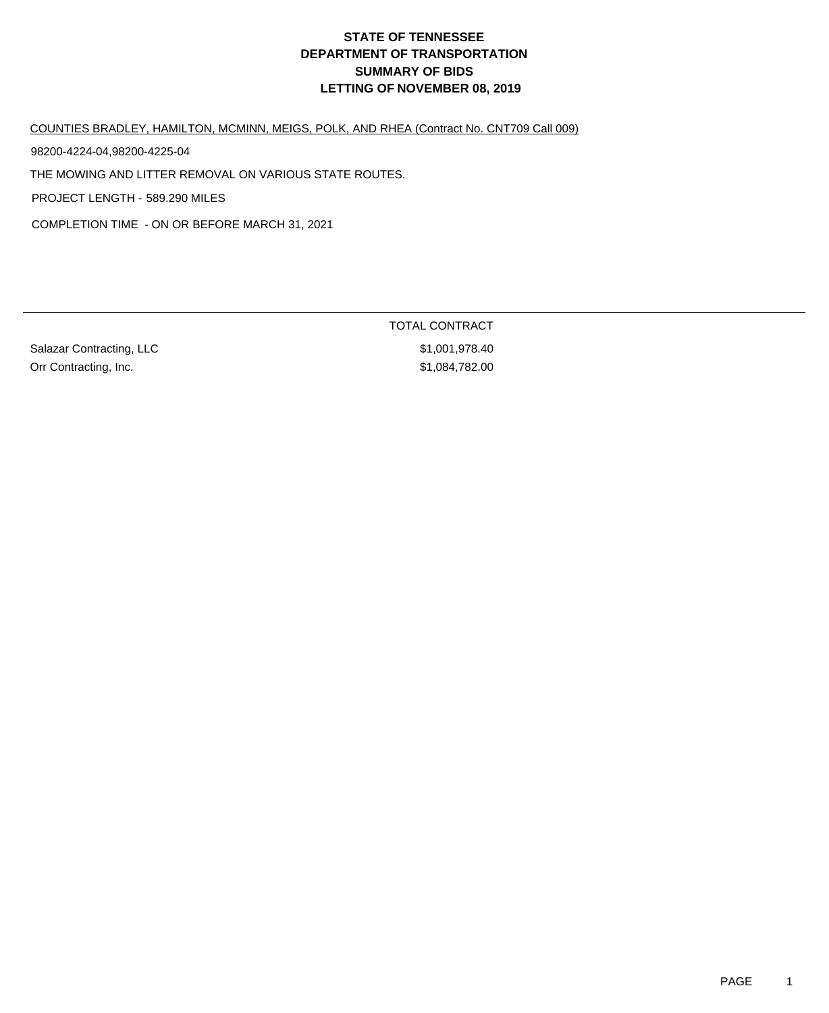COUNTIES BRADLEY, HAMILTON, MCMINN, MEIGS, POLK, AND RHEA (Contract No. CNT709 Call 009)

98200-4224-04,98200-4225-04

THE MOWING AND LITTER REMOVAL ON VARIOUS STATE ROUTES.

PROJECT LENGTH - 589.290 MILES

COMPLETION TIME - ON OR BEFORE MARCH 31, 2021

Salazar Contracting, LLC \$1,001,978.40 Orr Contracting, Inc. \$1,084,782.00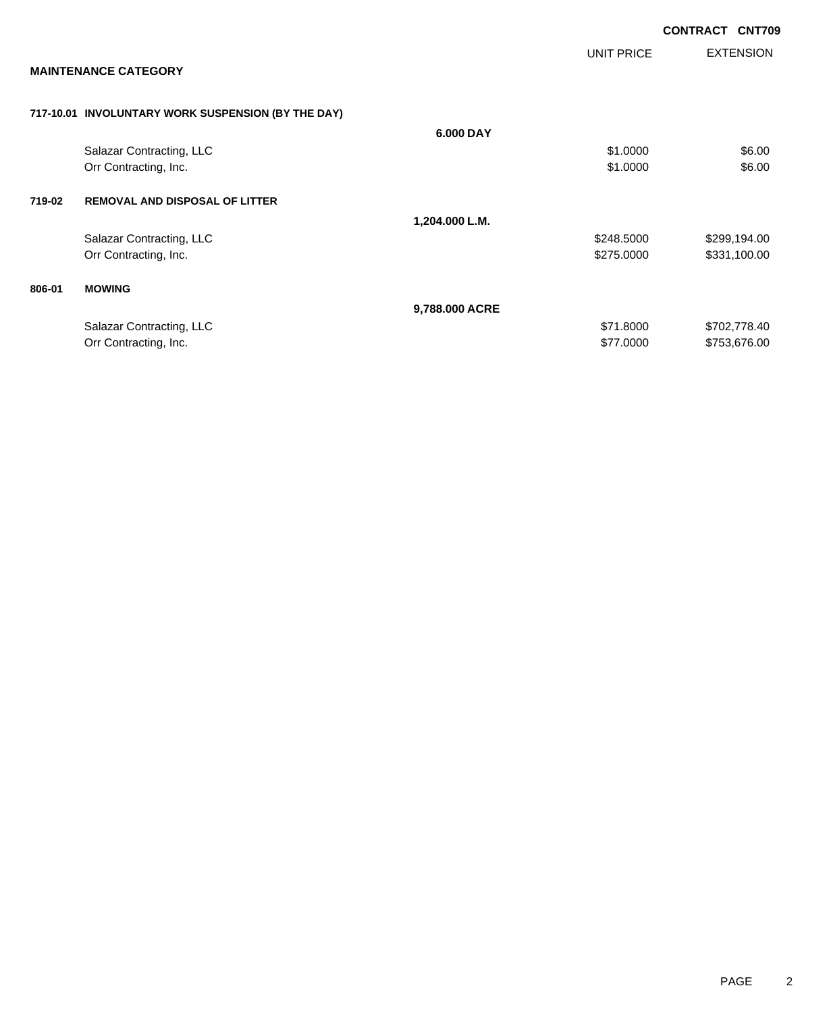|        |                                                    |                |                   | <b>CONTRACT CNT709</b> |                  |
|--------|----------------------------------------------------|----------------|-------------------|------------------------|------------------|
|        |                                                    |                | <b>UNIT PRICE</b> |                        | <b>EXTENSION</b> |
|        | <b>MAINTENANCE CATEGORY</b>                        |                |                   |                        |                  |
|        | 717-10.01 INVOLUNTARY WORK SUSPENSION (BY THE DAY) |                |                   |                        |                  |
|        |                                                    | 6.000 DAY      |                   |                        |                  |
|        | Salazar Contracting, LLC                           |                | \$1.0000          |                        | \$6.00           |
|        | Orr Contracting, Inc.                              |                | \$1.0000          |                        | \$6.00           |
| 719-02 | <b>REMOVAL AND DISPOSAL OF LITTER</b>              |                |                   |                        |                  |
|        |                                                    | 1,204.000 L.M. |                   |                        |                  |
|        | Salazar Contracting, LLC                           |                | \$248.5000        |                        | \$299,194.00     |
|        | Orr Contracting, Inc.                              |                | \$275.0000        |                        | \$331,100.00     |
| 806-01 | <b>MOWING</b>                                      |                |                   |                        |                  |
|        |                                                    | 9,788.000 ACRE |                   |                        |                  |
|        | Salazar Contracting, LLC                           |                | \$71.8000         |                        | \$702,778.40     |
|        | Orr Contracting, Inc.                              |                | \$77.0000         |                        | \$753,676.00     |
|        |                                                    |                |                   |                        |                  |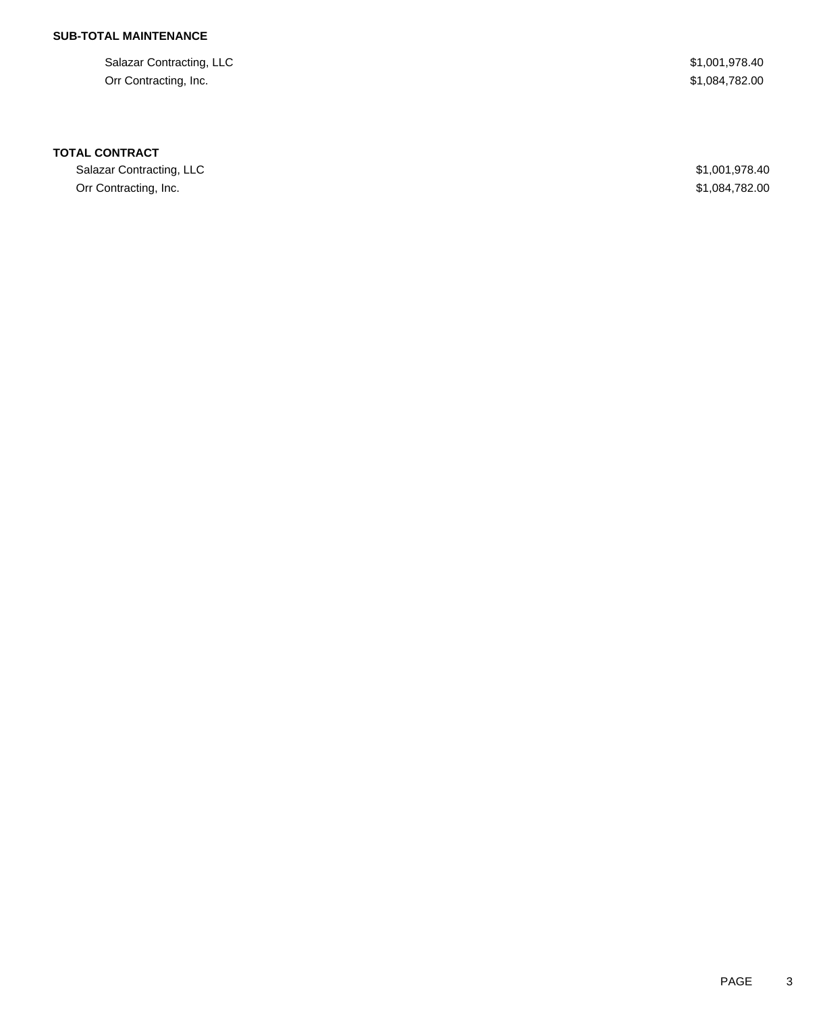Salazar Contracting, LLC \$1,001,978.40 Orr Contracting, Inc. \$1,084,782.00

### **TOTAL CONTRACT**

Salazar Contracting, LLC \$1,001,978.40 Orr Contracting, Inc. \$1,084,782.00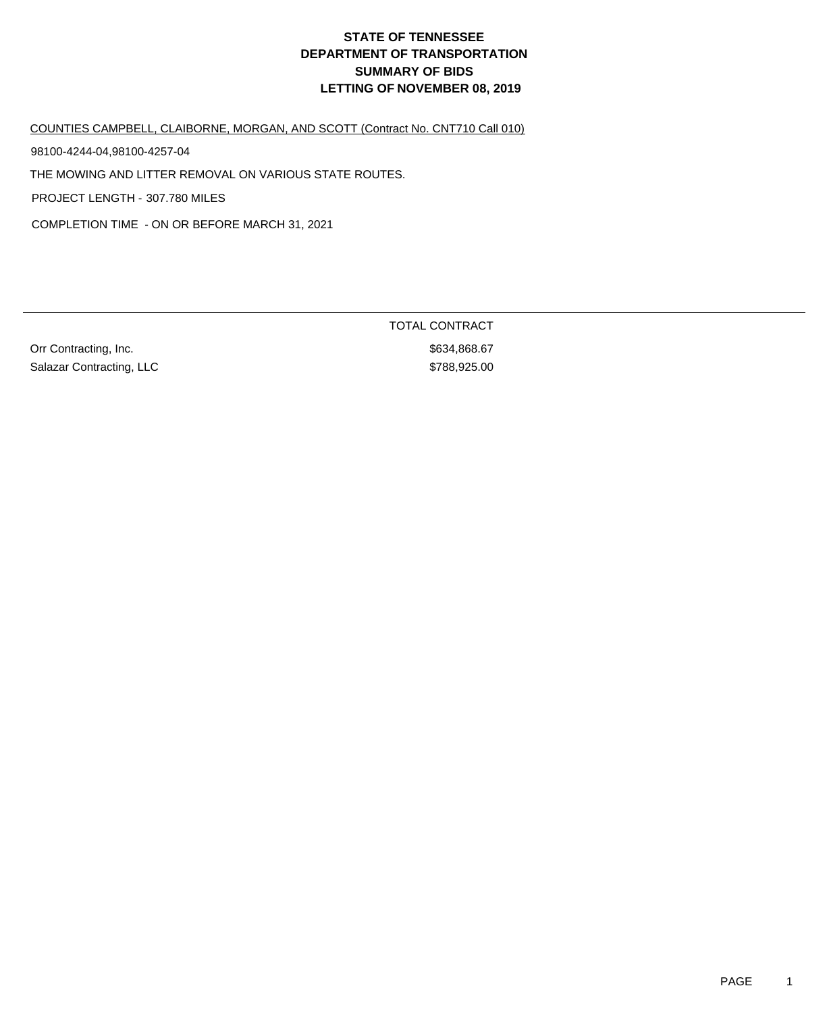COUNTIES CAMPBELL, CLAIBORNE, MORGAN, AND SCOTT (Contract No. CNT710 Call 010)

98100-4244-04,98100-4257-04

THE MOWING AND LITTER REMOVAL ON VARIOUS STATE ROUTES.

PROJECT LENGTH - 307.780 MILES

COMPLETION TIME - ON OR BEFORE MARCH 31, 2021

Orr Contracting, Inc. 67 and 2012 12:30 and 2012 12:30 and 3634,868.67 Salazar Contracting, LLC \$788,925.00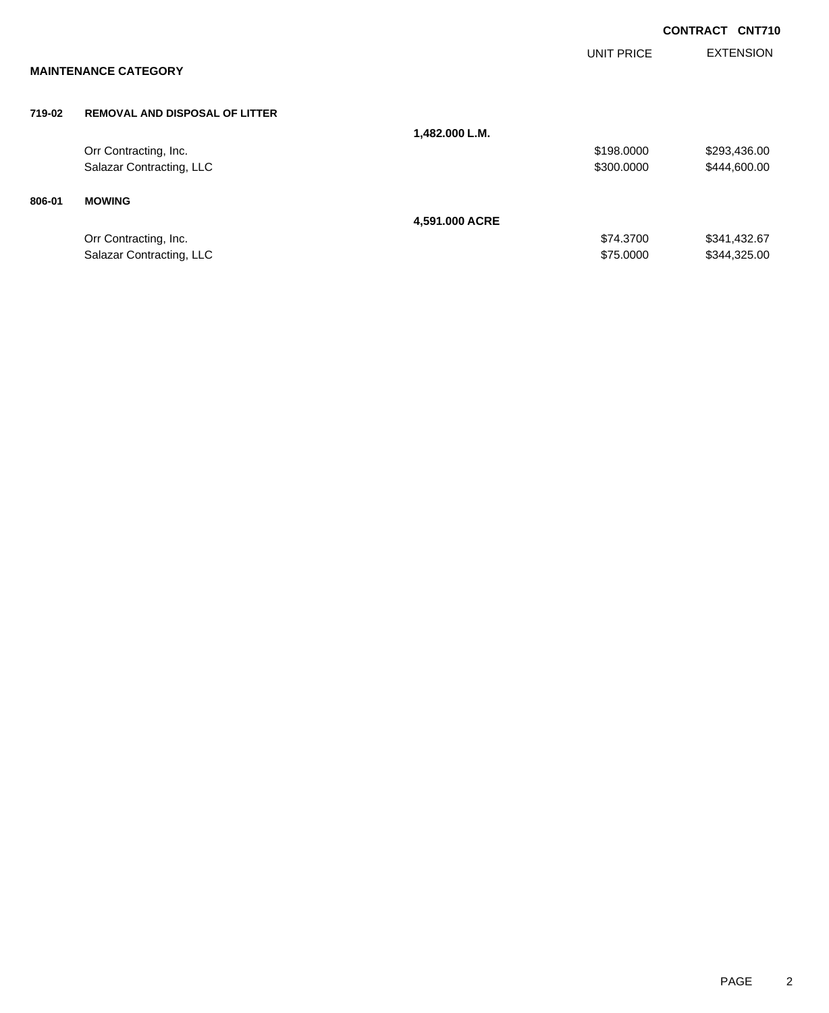|        |                                       |                |                   | <b>CONTRACT CNT710</b> |
|--------|---------------------------------------|----------------|-------------------|------------------------|
|        | <b>MAINTENANCE CATEGORY</b>           |                | <b>UNIT PRICE</b> | <b>EXTENSION</b>       |
| 719-02 | <b>REMOVAL AND DISPOSAL OF LITTER</b> |                |                   |                        |
|        |                                       | 1,482.000 L.M. |                   |                        |
|        | Orr Contracting, Inc.                 |                | \$198.0000        | \$293,436.00           |
|        | Salazar Contracting, LLC              |                | \$300.0000        | \$444,600.00           |
| 806-01 | <b>MOWING</b>                         |                |                   |                        |
|        |                                       | 4,591.000 ACRE |                   |                        |
|        | Orr Contracting, Inc.                 |                | \$74.3700         | \$341,432.67           |
|        | Salazar Contracting, LLC              |                | \$75.0000         | \$344,325.00           |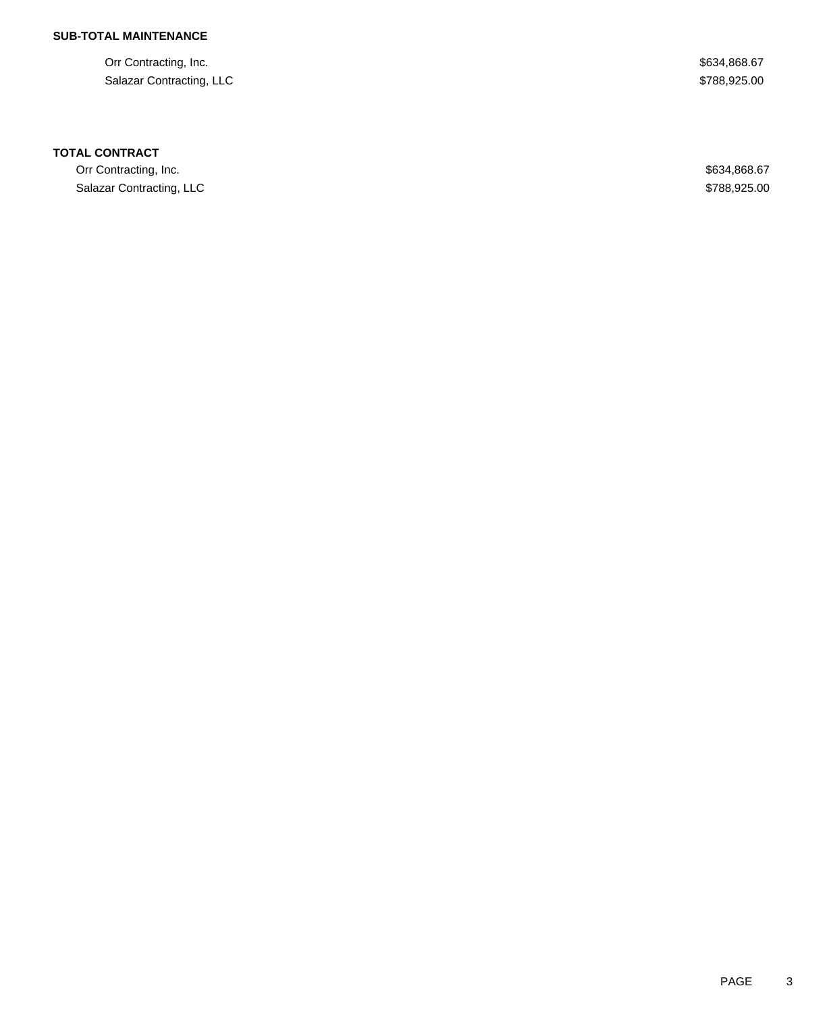Orr Contracting, Inc. \$634,868.67 Salazar Contracting, LLC \$788,925.00

#### **TOTAL CONTRACT**

Orr Contracting, Inc. \$634,868.67 Salazar Contracting, LLC \$788,925.00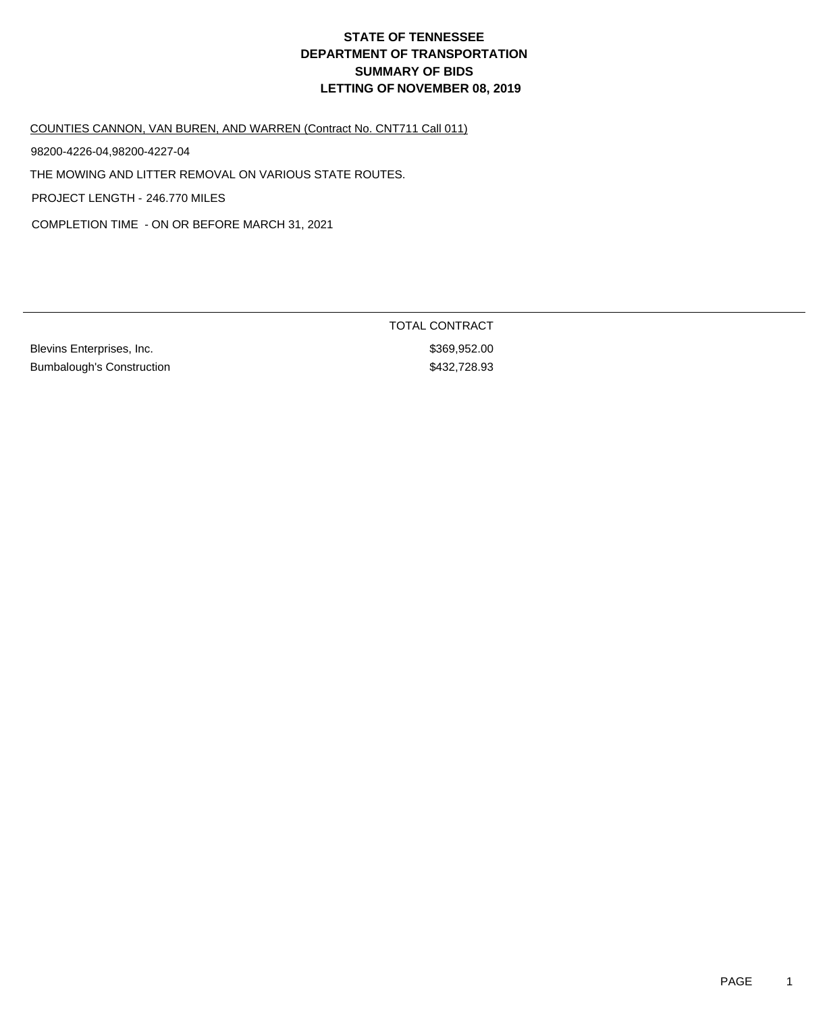COUNTIES CANNON, VAN BUREN, AND WARREN (Contract No. CNT711 Call 011)

98200-4226-04,98200-4227-04

THE MOWING AND LITTER REMOVAL ON VARIOUS STATE ROUTES.

PROJECT LENGTH - 246.770 MILES

COMPLETION TIME - ON OR BEFORE MARCH 31, 2021

Blevins Enterprises, Inc. 6. The Second State of the State of State State State State State State State State S Bumbalough's Construction  $$432,728.93$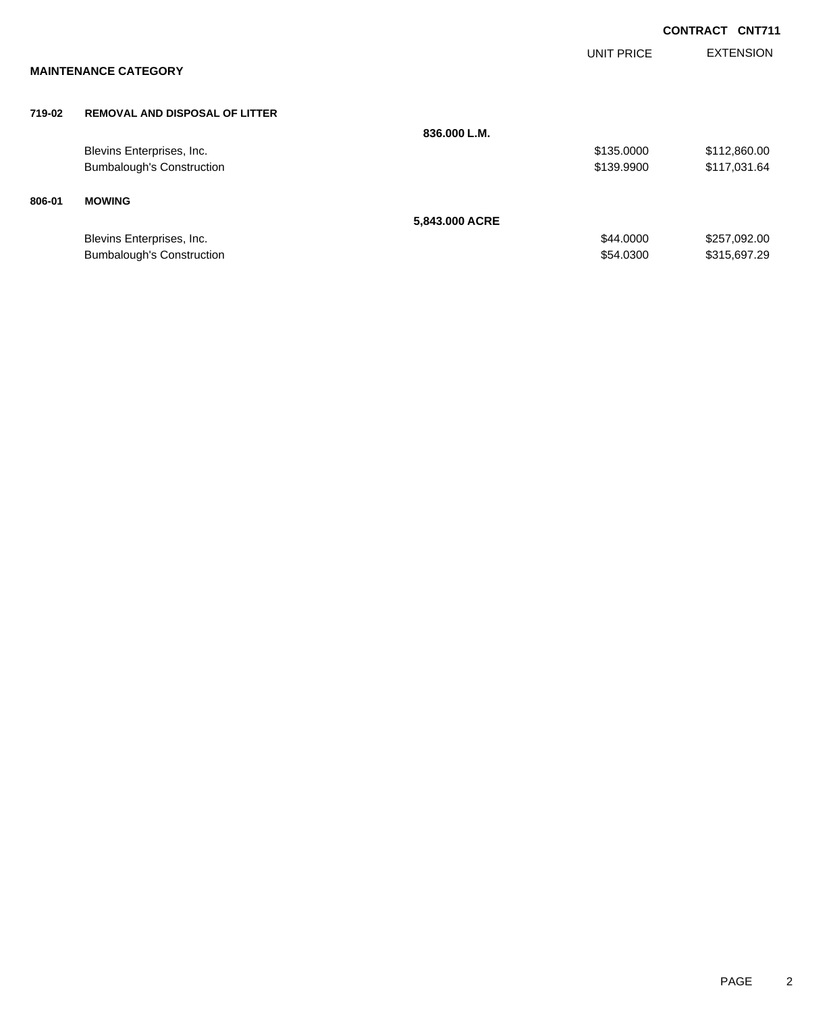|        |                                       |                |                   | <b>CONTRACT CNT711</b> |
|--------|---------------------------------------|----------------|-------------------|------------------------|
|        |                                       |                | <b>UNIT PRICE</b> | <b>EXTENSION</b>       |
|        | <b>MAINTENANCE CATEGORY</b>           |                |                   |                        |
| 719-02 | <b>REMOVAL AND DISPOSAL OF LITTER</b> |                |                   |                        |
|        |                                       | 836.000 L.M.   |                   |                        |
|        | Blevins Enterprises, Inc.             |                | \$135.0000        | \$112,860.00           |
|        | <b>Bumbalough's Construction</b>      |                | \$139.9900        | \$117,031.64           |
| 806-01 | <b>MOWING</b>                         |                |                   |                        |
|        |                                       | 5,843.000 ACRE |                   |                        |
|        | Blevins Enterprises, Inc.             |                | \$44.0000         | \$257,092.00           |
|        | <b>Bumbalough's Construction</b>      |                | \$54,0300         | \$315,697.29           |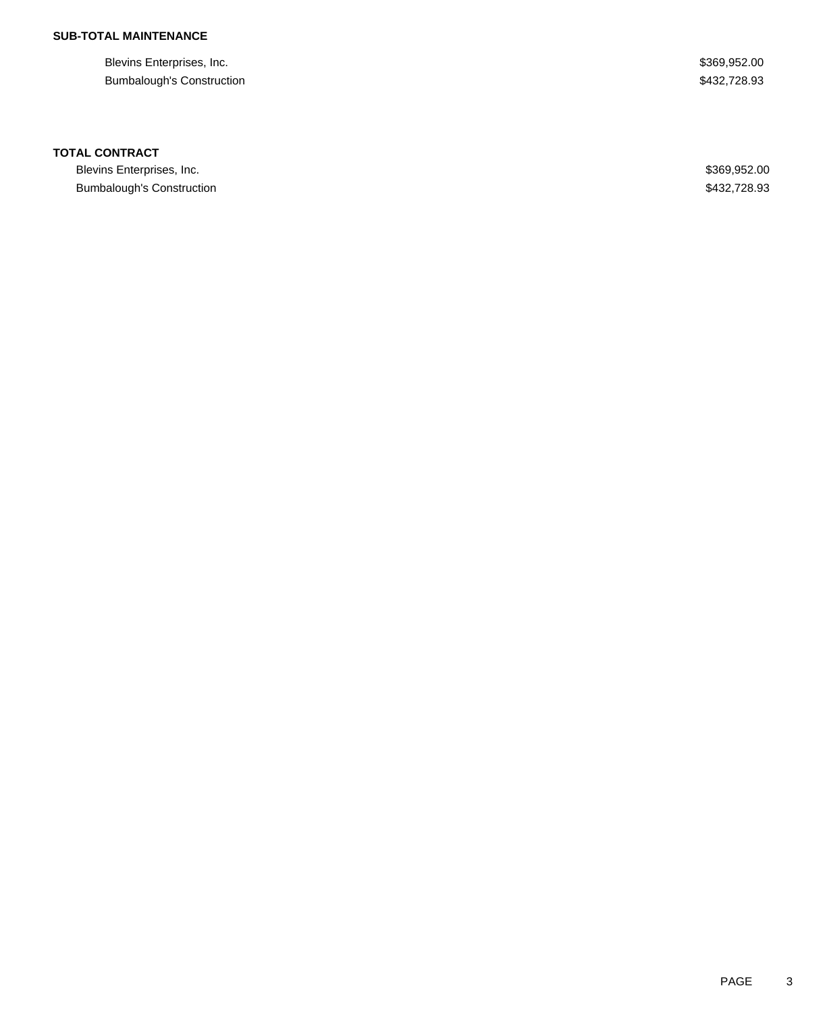Blevins Enterprises, Inc. 6. The Second Second Second Second Second Second Seconds Seconds Seconds Seconds Seconds Seconds Seconds Seconds Seconds Seconds Seconds Seconds Seconds Seconds Seconds Seconds Seconds Seconds Sec Bumbalough's Construction  $$432,728.93$ 

### **TOTAL CONTRACT**

Blevins Enterprises, Inc. \$369,952.00 Bumbalough's Construction  $$432,728.93$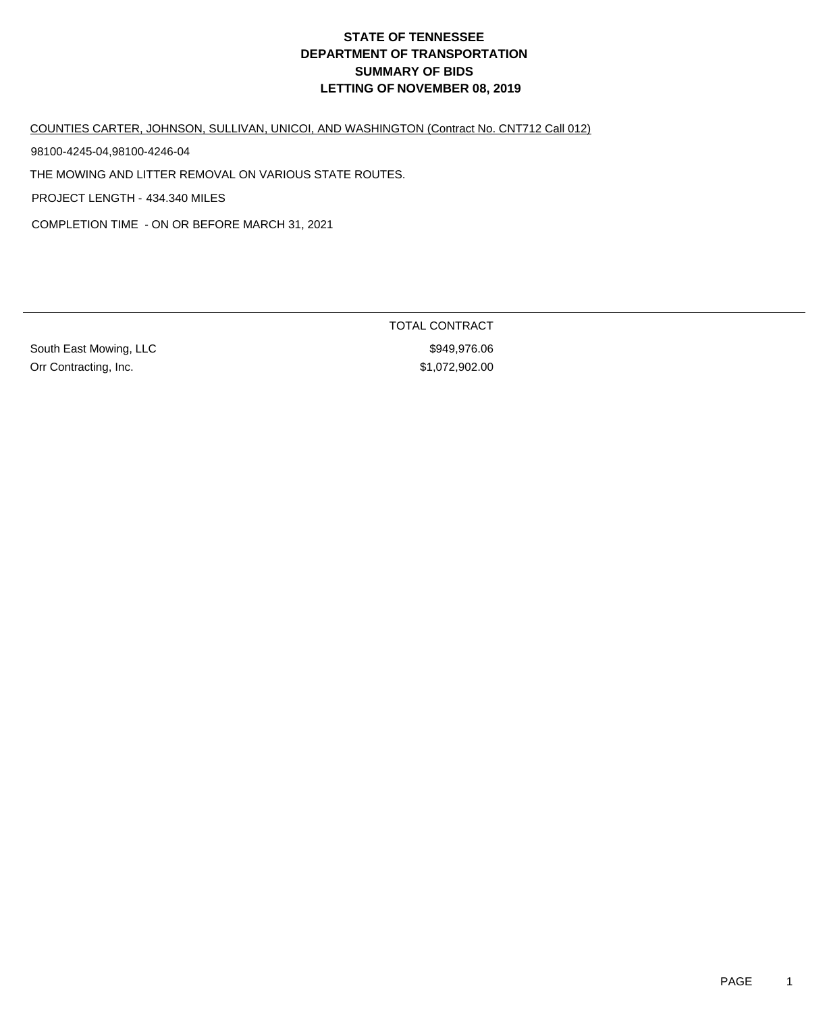COUNTIES CARTER, JOHNSON, SULLIVAN, UNICOI, AND WASHINGTON (Contract No. CNT712 Call 012)

98100-4245-04,98100-4246-04

THE MOWING AND LITTER REMOVAL ON VARIOUS STATE ROUTES.

PROJECT LENGTH - 434.340 MILES

COMPLETION TIME - ON OR BEFORE MARCH 31, 2021

South East Mowing, LLC **\$949,976.06** Orr Contracting, Inc. \$1,072,902.00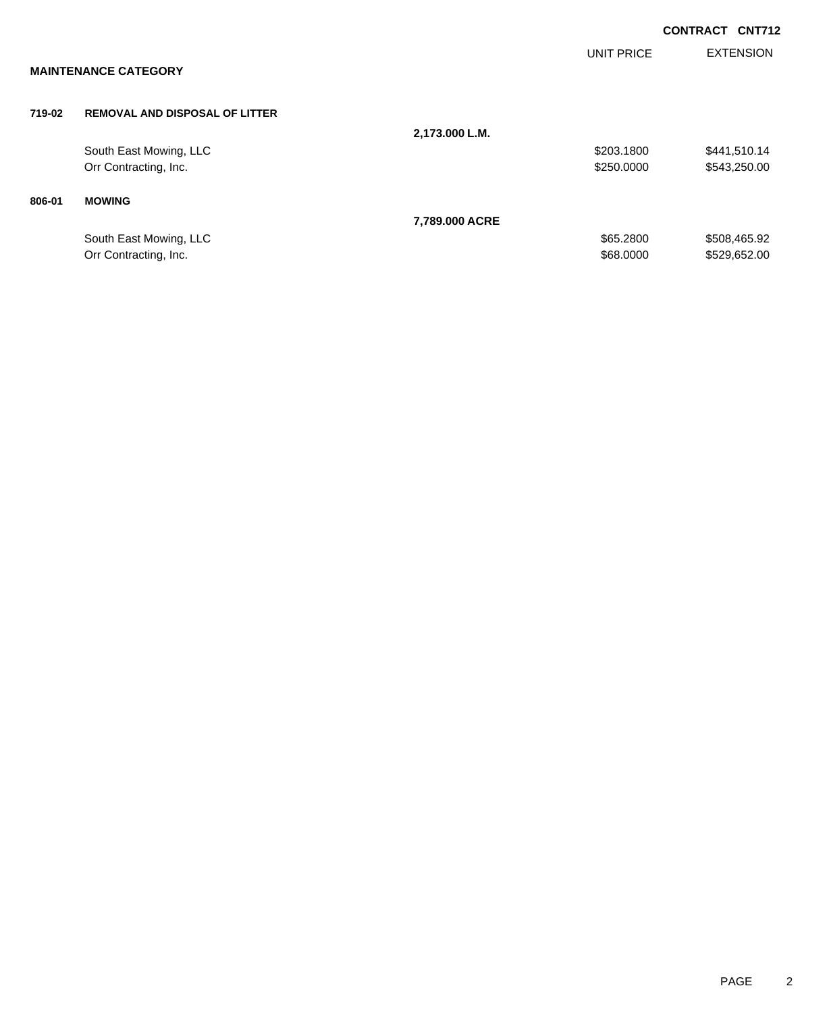|        |                                       |                |                   | <b>CONTRACT CNT712</b> |
|--------|---------------------------------------|----------------|-------------------|------------------------|
|        |                                       |                | <b>UNIT PRICE</b> | <b>EXTENSION</b>       |
|        | <b>MAINTENANCE CATEGORY</b>           |                |                   |                        |
| 719-02 | <b>REMOVAL AND DISPOSAL OF LITTER</b> |                |                   |                        |
|        |                                       | 2,173.000 L.M. |                   |                        |
|        | South East Mowing, LLC                |                | \$203.1800        | \$441,510.14           |
|        | Orr Contracting, Inc.                 |                | \$250.0000        | \$543,250.00           |
| 806-01 | <b>MOWING</b>                         |                |                   |                        |
|        |                                       | 7,789.000 ACRE |                   |                        |
|        | South East Mowing, LLC                |                | \$65.2800         | \$508,465.92           |
|        | Orr Contracting, Inc.                 |                | \$68,0000         | \$529,652.00           |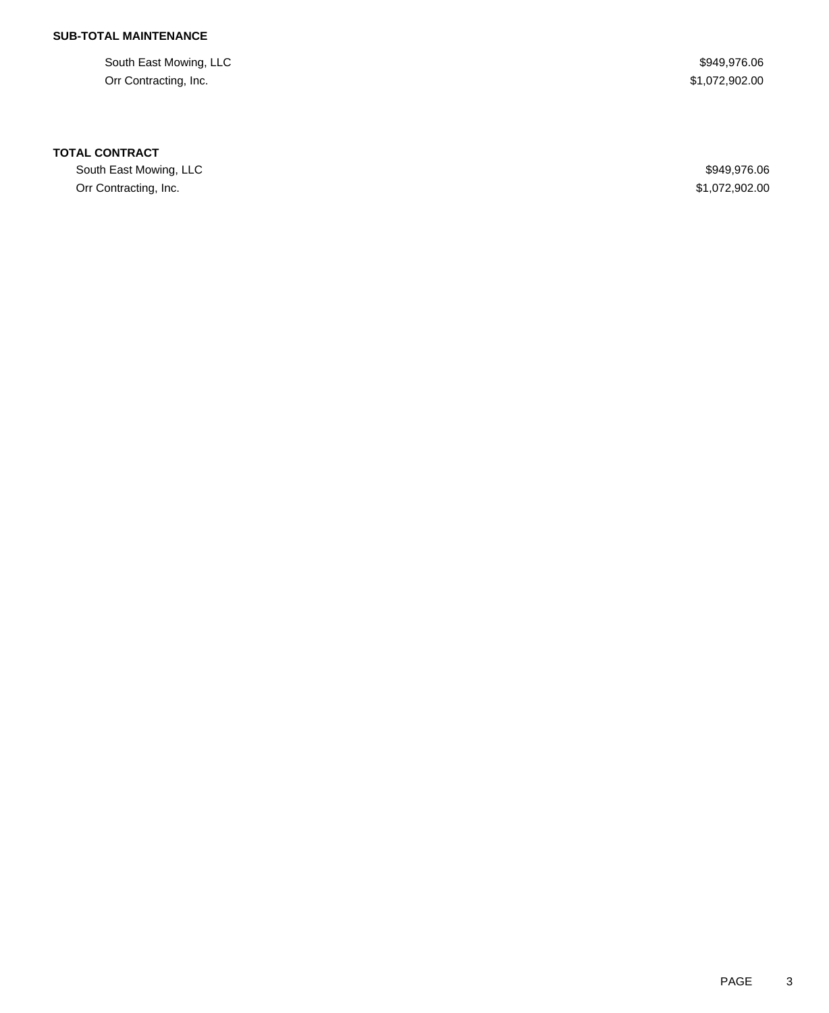South East Mowing, LLC **\$949,976.06** \$949,976.06 Orr Contracting, Inc. \$1,072,902.00

### **TOTAL CONTRACT**

South East Mowing, LLC **\$949,976.06** Orr Contracting, Inc. \$1,072,902.00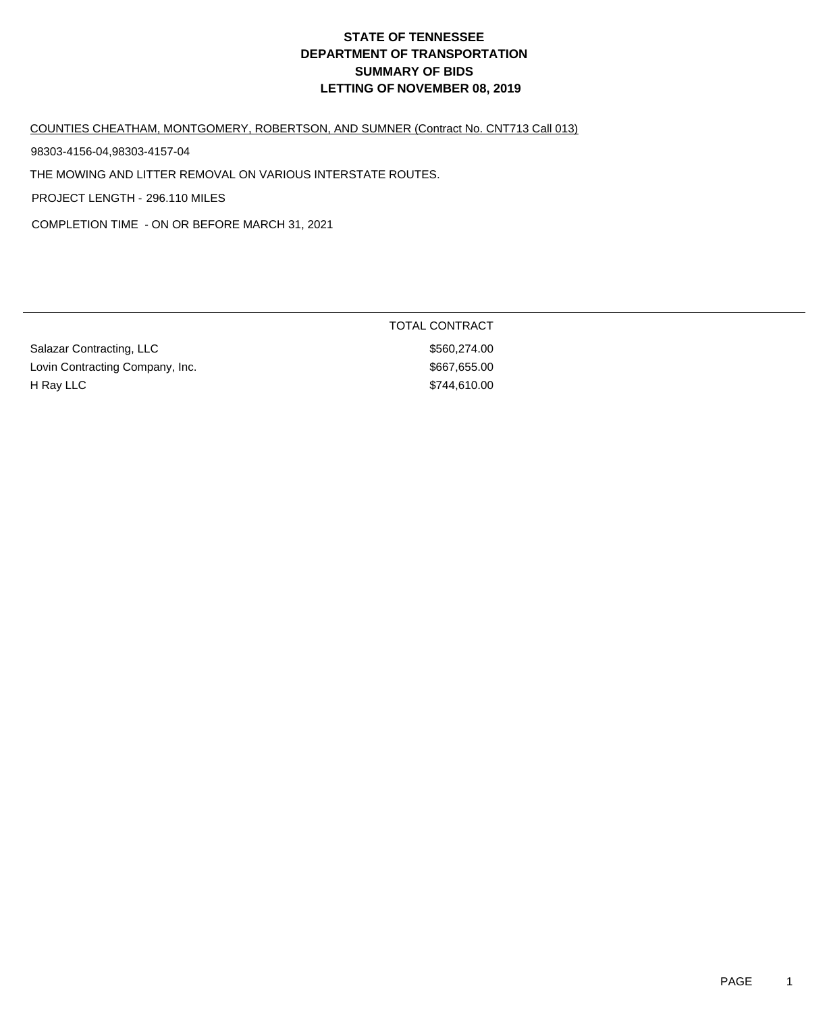#### COUNTIES CHEATHAM, MONTGOMERY, ROBERTSON, AND SUMNER (Contract No. CNT713 Call 013)

98303-4156-04,98303-4157-04

THE MOWING AND LITTER REMOVAL ON VARIOUS INTERSTATE ROUTES.

PROJECT LENGTH - 296.110 MILES

COMPLETION TIME - ON OR BEFORE MARCH 31, 2021

| Salazar Contracting, LLC        |  |
|---------------------------------|--|
| Lovin Contracting Company, Inc. |  |
| H Ray LLC                       |  |

TOTAL CONTRACT \$560,274.00  $$667,655.00$ \$744,610.00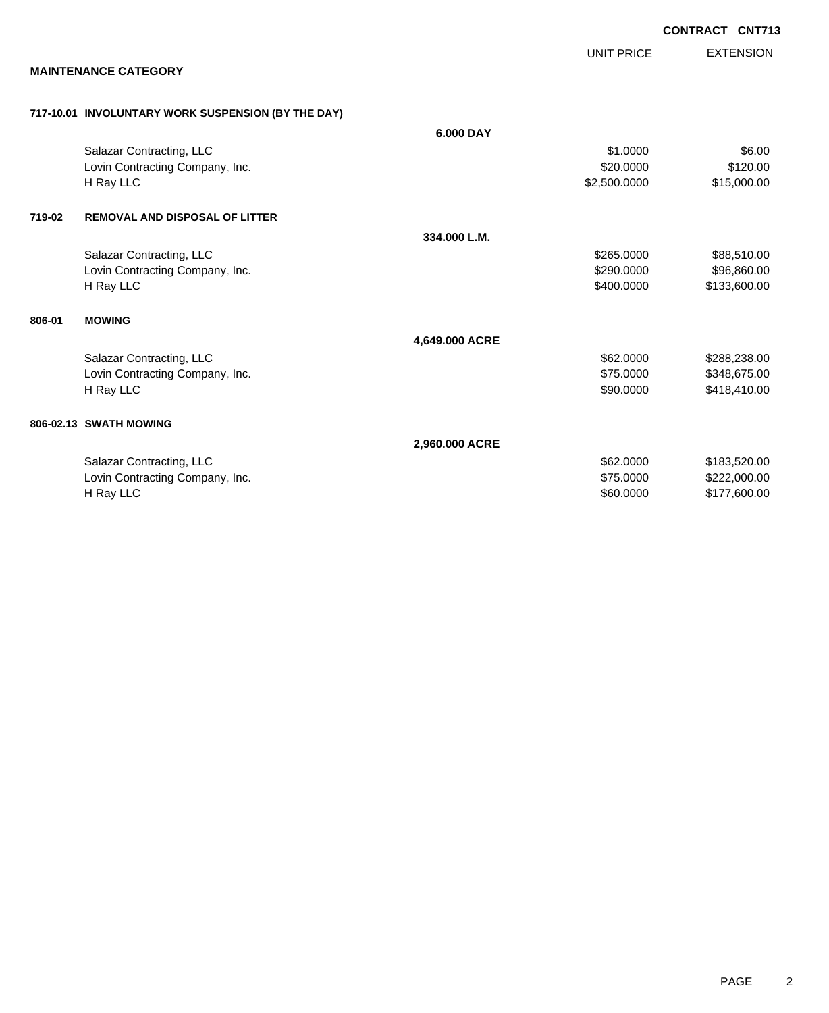EXTENSION **CONTRACT CNT713** UNIT PRICE **MAINTENANCE CATEGORY 717-10.01 INVOLUNTARY WORK SUSPENSION (BY THE DAY) 6.000 DAY** Salazar Contracting, LLC 66.000 \$6.00 Lovin Contracting Company, Inc. 6320.000 \$120.000 \$120.000 \$120.000 H Ray LLC \$2,500.0000 \$15,000.00 **719-02 REMOVAL AND DISPOSAL OF LITTER 334.000 L.M.** Salazar Contracting, LLC 688,510.00 \$88,510.00 Lovin Contracting Company, Inc. 6. The Contraction of the Same State of the State State State State State State State State State State State State State State State State State State State State State State State State St H Ray LLC \$400.0000 \$133,600.00 **806-01 MOWING 4,649.000 ACRE** Salazar Contracting, LLC 60000 \$288,238.00 Lovin Contracting Company, Inc. 6. The Contracting Company, Inc. 6. The Contracting Company, Inc. 6. The Contraction of the Contraction of the S448,675.000 \$348,675.00 H Ray LLC \$90.0000 \$418,410.00 **806-02.13 SWATH MOWING 2,960.000 ACRE** Salazar Contracting, LLC 662.000 \$183,520.00 Lovin Contracting Company, Inc. 6. The Contraction of the Contraction of the ST5.0000 \$222,000.00 H Ray LLC \$60.0000 \$177,600.00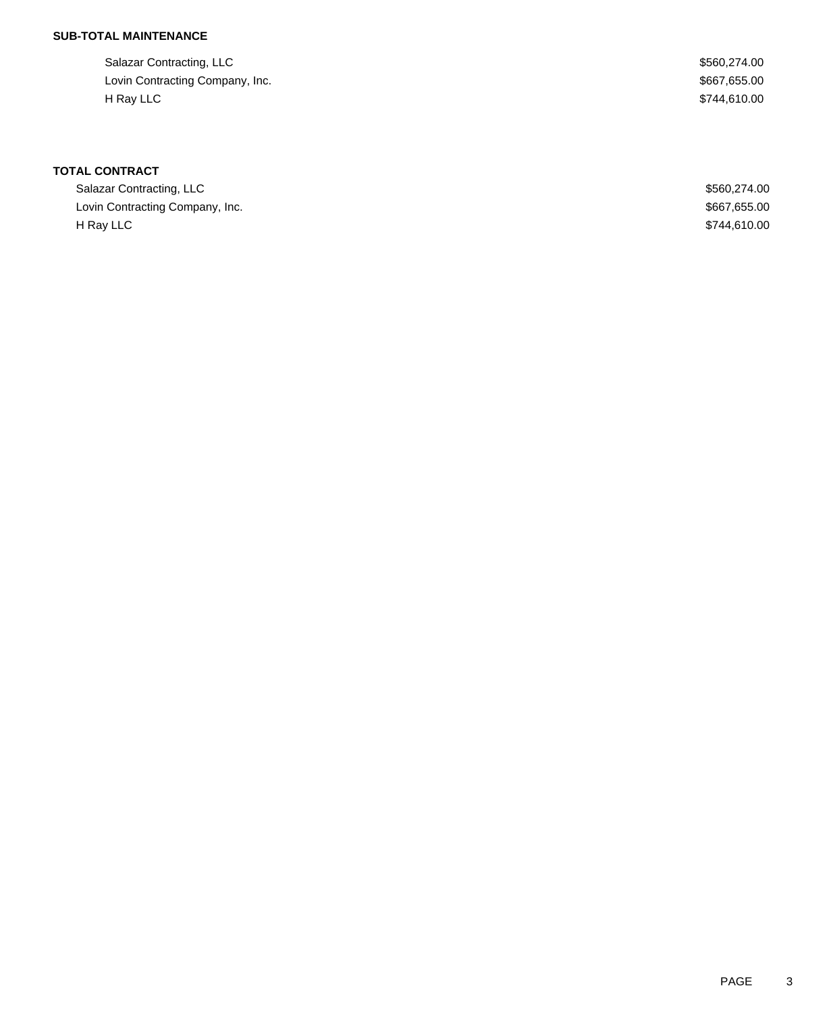| Salazar Contracting, LLC        | \$560,274,00 |
|---------------------------------|--------------|
| Lovin Contracting Company, Inc. | \$667,655.00 |
| H Rav LLC                       | \$744.610.00 |

| Salazar Contracting, LLC        | \$560,274,00 |
|---------------------------------|--------------|
| Lovin Contracting Company, Inc. | \$667,655.00 |
| H Rav LLC                       | \$744,610.00 |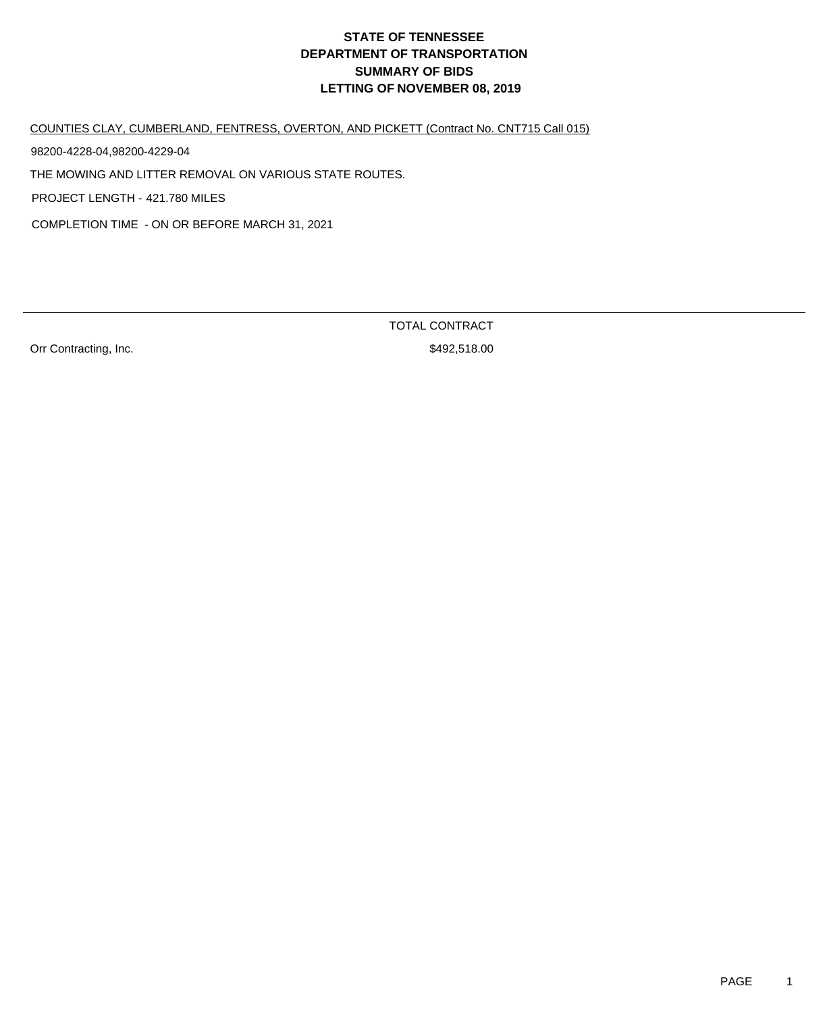COUNTIES CLAY, CUMBERLAND, FENTRESS, OVERTON, AND PICKETT (Contract No. CNT715 Call 015)

98200-4228-04,98200-4229-04

THE MOWING AND LITTER REMOVAL ON VARIOUS STATE ROUTES.

PROJECT LENGTH - 421.780 MILES

COMPLETION TIME - ON OR BEFORE MARCH 31, 2021

Orr Contracting, Inc. 6. The Contraction of the S492,518.00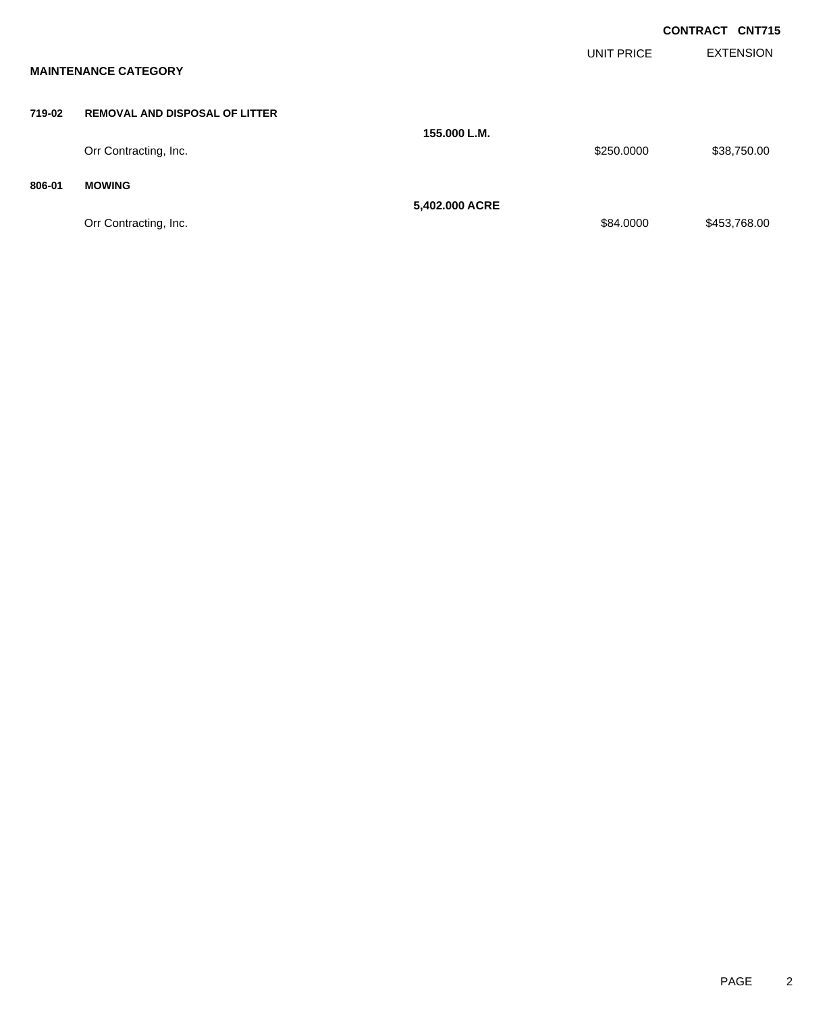|        |                                       |                |                   | <b>CONTRACT CNT715</b> |                  |
|--------|---------------------------------------|----------------|-------------------|------------------------|------------------|
|        | <b>MAINTENANCE CATEGORY</b>           |                | <b>UNIT PRICE</b> |                        | <b>EXTENSION</b> |
| 719-02 | <b>REMOVAL AND DISPOSAL OF LITTER</b> | 155,000 L.M.   |                   |                        |                  |
|        | Orr Contracting, Inc.                 |                | \$250.0000        |                        | \$38,750.00      |
| 806-01 | <b>MOWING</b>                         | 5,402.000 ACRE |                   |                        |                  |
|        | Orr Contracting, Inc.                 |                | \$84.0000         |                        | \$453,768.00     |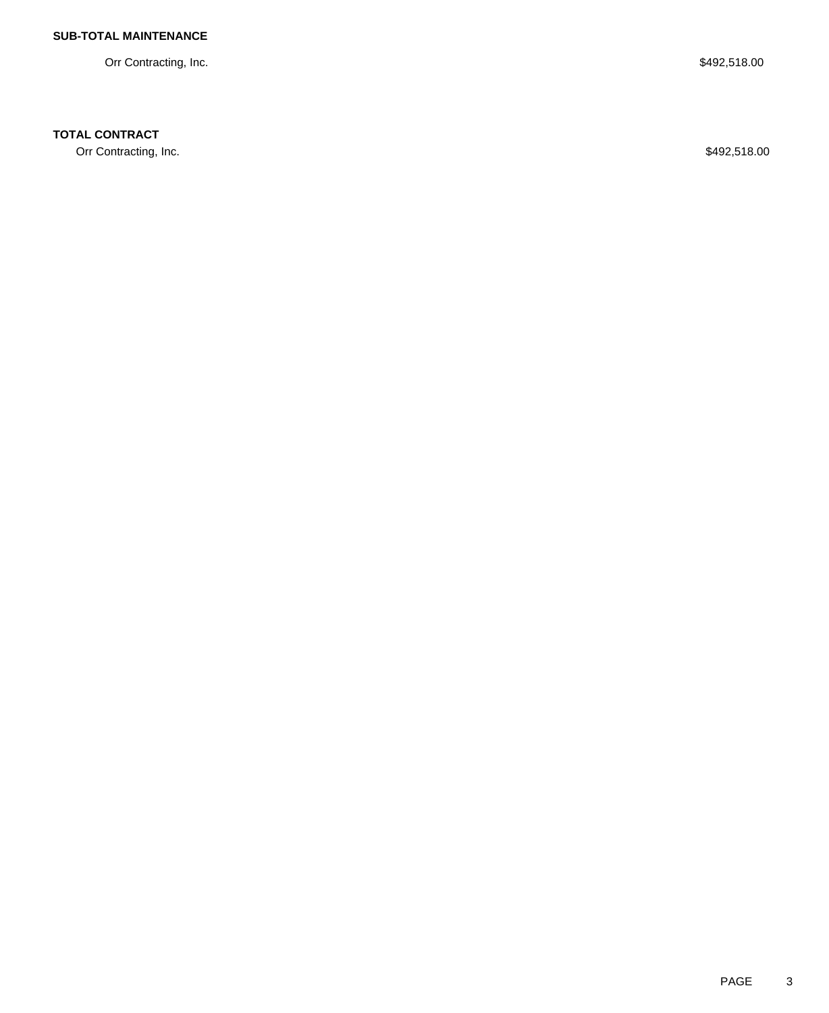Orr Contracting, Inc. \$492,518.00

## **TOTAL CONTRACT**

Orr Contracting, Inc. \$492,518.00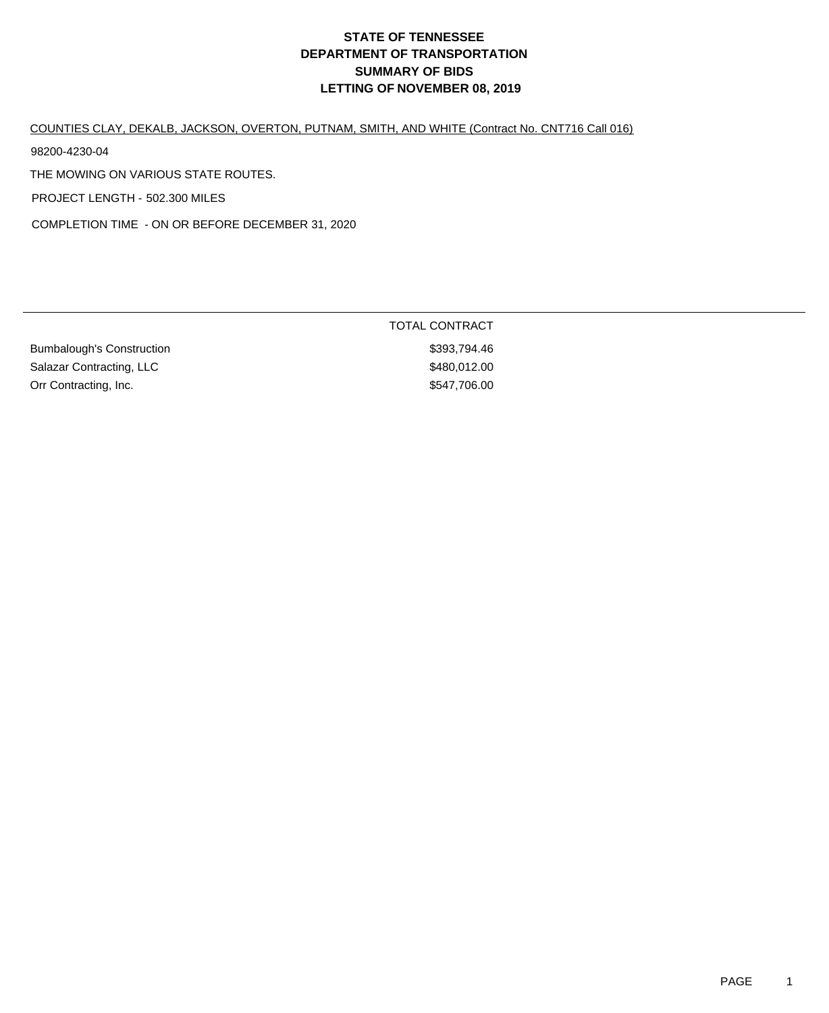# COUNTIES CLAY, DEKALB, JACKSON, OVERTON, PUTNAM, SMITH, AND WHITE (Contract No. CNT716 Call 016)

98200-4230-04

THE MOWING ON VARIOUS STATE ROUTES.

PROJECT LENGTH - 502.300 MILES

COMPLETION TIME - ON OR BEFORE DECEMBER 31, 2020

|                           | TOTAL CONTRACT |  |
|---------------------------|----------------|--|
| Bumbalough's Construction | \$393.794.46   |  |
| Salazar Contracting, LLC  | \$480.012.00   |  |
| Orr Contracting, Inc.     | \$547,706.00   |  |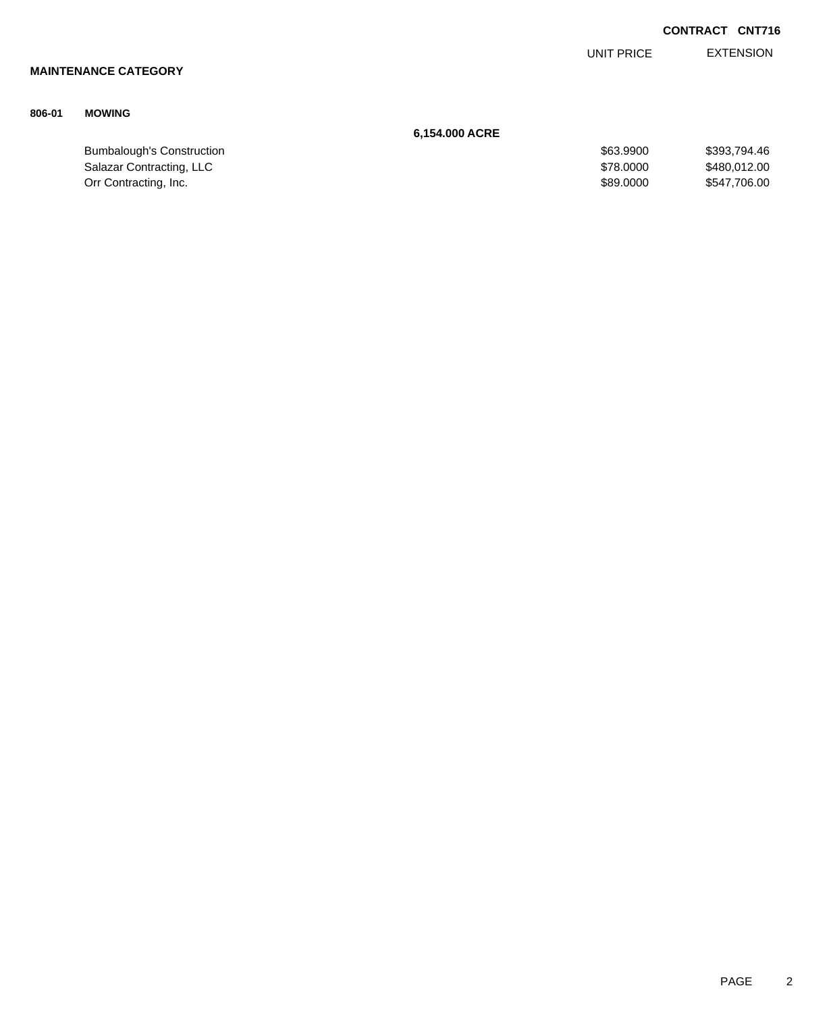|        |                                  |                   | <b>CONTRACT CNT716</b> |
|--------|----------------------------------|-------------------|------------------------|
|        |                                  | <b>UNIT PRICE</b> | <b>EXTENSION</b>       |
|        | <b>MAINTENANCE CATEGORY</b>      |                   |                        |
| 806-01 | <b>MOWING</b>                    |                   |                        |
|        |                                  | 6,154.000 ACRE    |                        |
|        | <b>Bumbalough's Construction</b> | \$63.9900         | \$393,794.46           |
|        | Salazar Contracting, LLC         | \$78.0000         | \$480,012.00           |
|        | Orr Contracting, Inc.            | \$89.0000         | \$547,706.00           |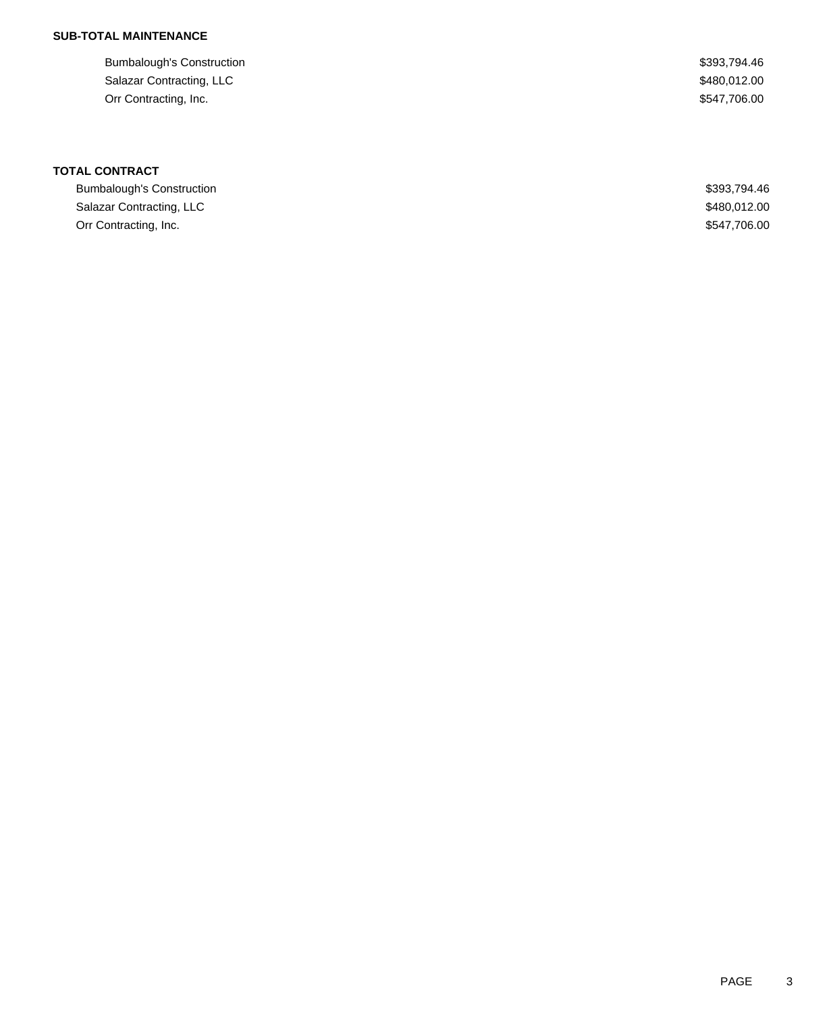| <b>Bumbalough's Construction</b> | \$393,794.46 |
|----------------------------------|--------------|
| Salazar Contracting, LLC         | \$480,012.00 |
| Orr Contracting, Inc.            | \$547,706.00 |

| Bumbalough's Construction | \$393.794.46 |
|---------------------------|--------------|
| Salazar Contracting, LLC  | \$480.012.00 |
| Orr Contracting, Inc.     | \$547.706.00 |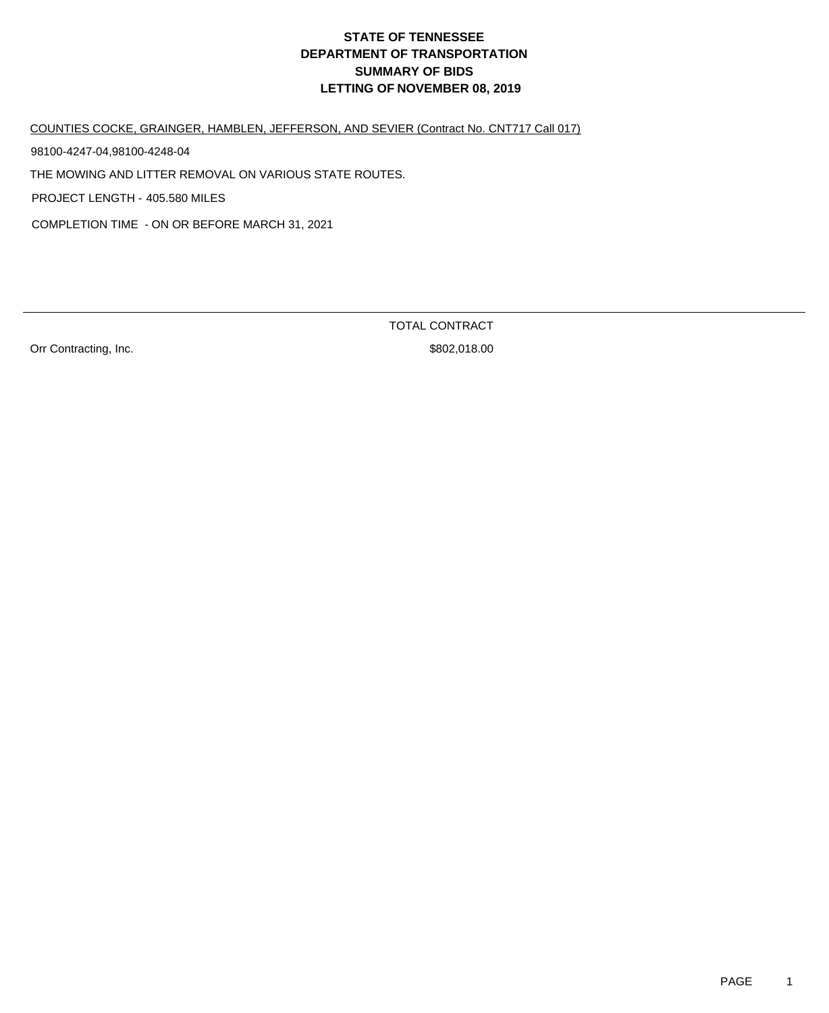COUNTIES COCKE, GRAINGER, HAMBLEN, JEFFERSON, AND SEVIER (Contract No. CNT717 Call 017)

98100-4247-04,98100-4248-04

THE MOWING AND LITTER REMOVAL ON VARIOUS STATE ROUTES.

PROJECT LENGTH - 405.580 MILES

COMPLETION TIME - ON OR BEFORE MARCH 31, 2021

Orr Contracting, Inc. 6. The Contraction of the S802,018.00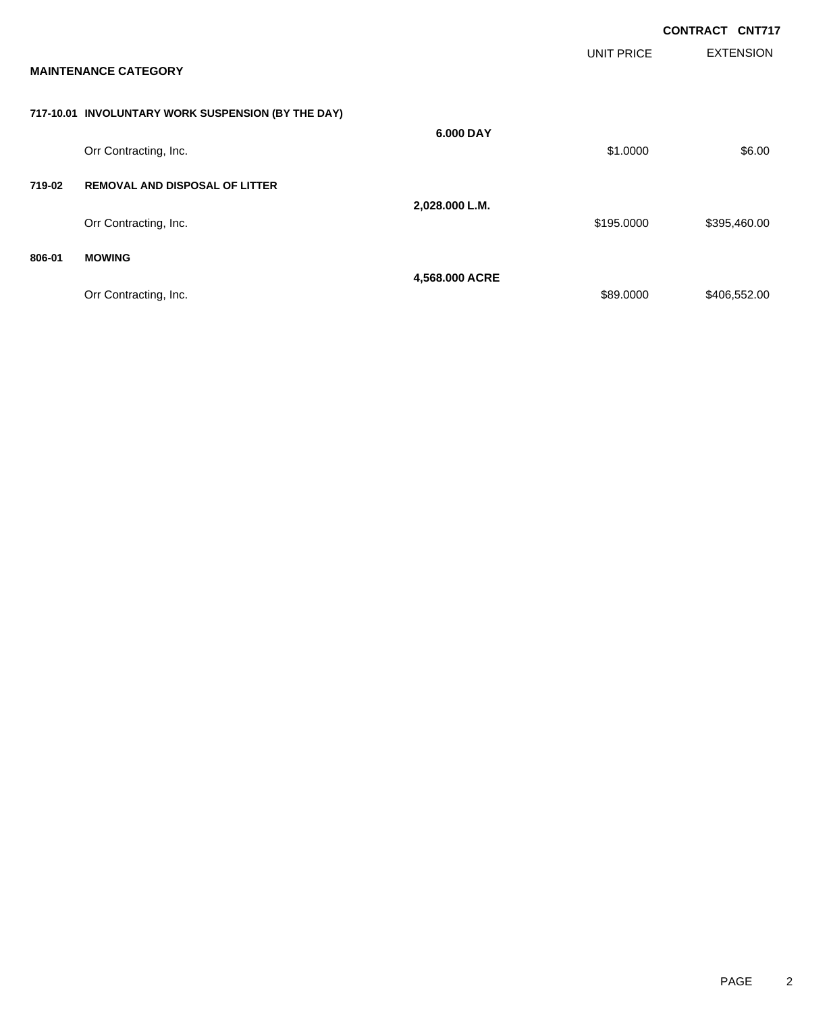|        |                                                    |                |            | <b>CONTRACT CNT717</b> |                  |
|--------|----------------------------------------------------|----------------|------------|------------------------|------------------|
|        | <b>MAINTENANCE CATEGORY</b>                        |                | UNIT PRICE |                        | <b>EXTENSION</b> |
|        | 717-10.01 INVOLUNTARY WORK SUSPENSION (BY THE DAY) |                |            |                        |                  |
|        | Orr Contracting, Inc.                              | 6.000 DAY      | \$1.0000   |                        | \$6.00           |
| 719-02 | <b>REMOVAL AND DISPOSAL OF LITTER</b>              | 2,028.000 L.M. |            |                        |                  |
|        | Orr Contracting, Inc.                              |                | \$195.0000 |                        | \$395,460.00     |
| 806-01 | <b>MOWING</b>                                      |                |            |                        |                  |
|        | Orr Contracting, Inc.                              | 4,568.000 ACRE | \$89.0000  |                        | \$406,552.00     |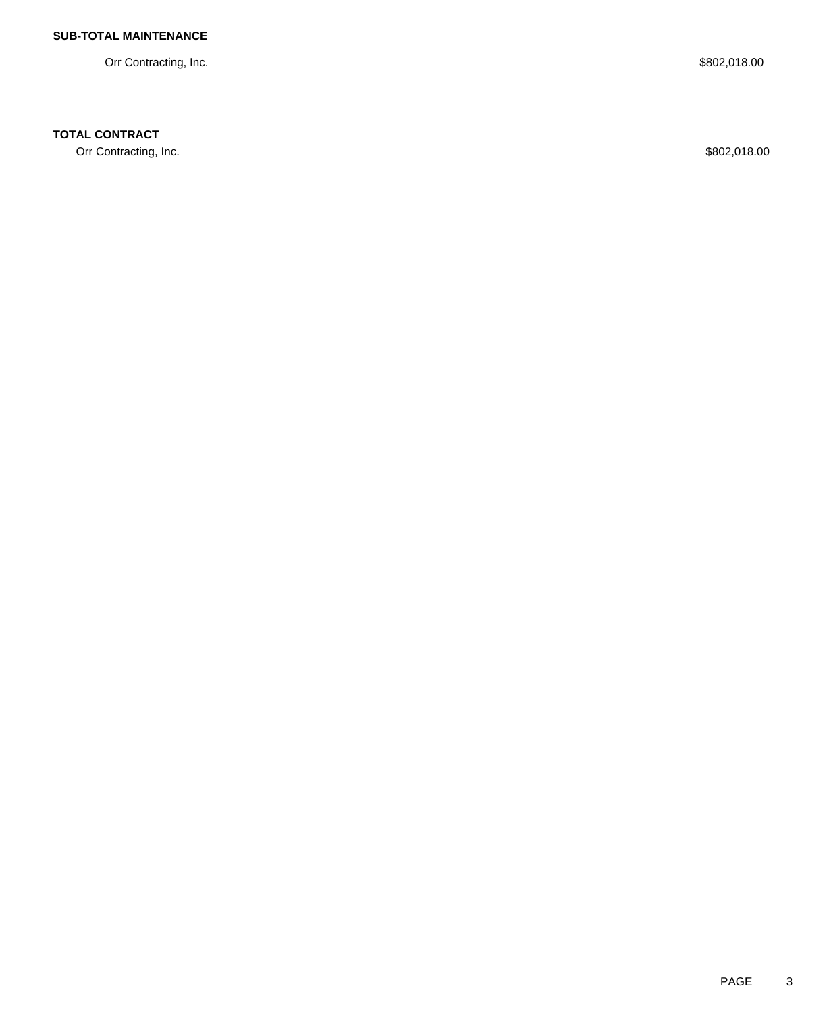Orr Contracting, Inc. \$802,018.00

### **TOTAL CONTRACT**

Orr Contracting, Inc. \$802,018.00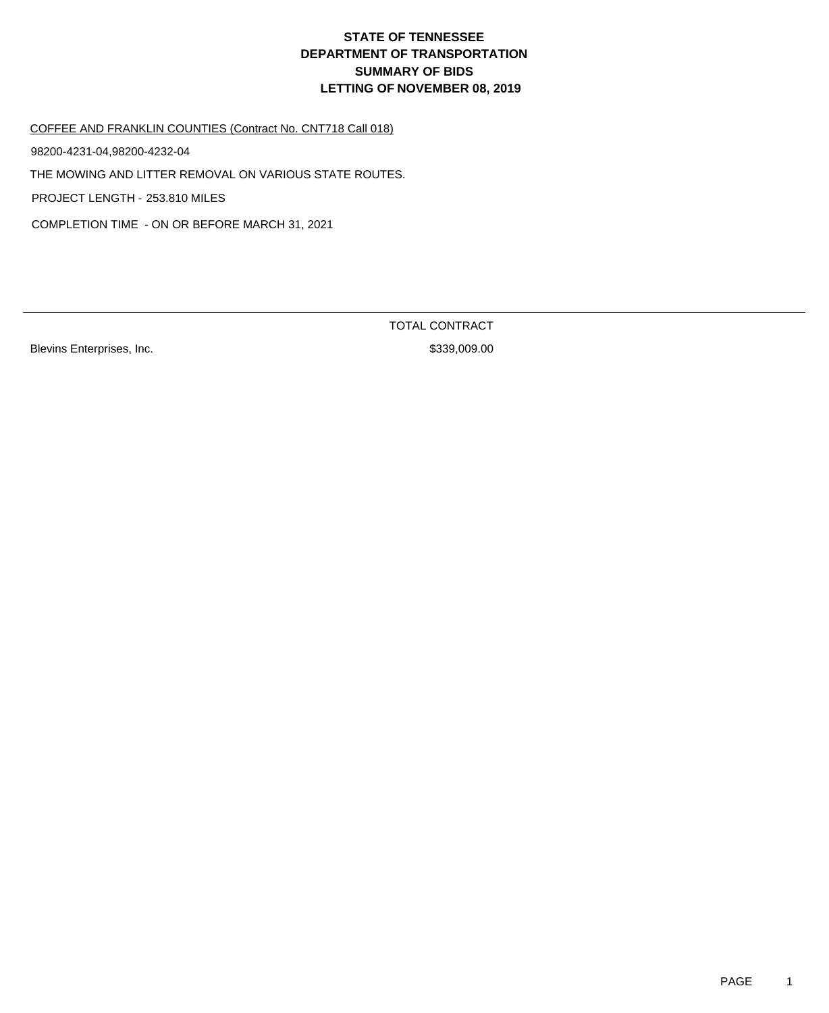#### COFFEE AND FRANKLIN COUNTIES (Contract No. CNT718 Call 018)

98200-4231-04,98200-4232-04

THE MOWING AND LITTER REMOVAL ON VARIOUS STATE ROUTES.

PROJECT LENGTH - 253.810 MILES

COMPLETION TIME - ON OR BEFORE MARCH 31, 2021

Blevins Enterprises, Inc. 6. The Same State of the Same State State State State State State State State State S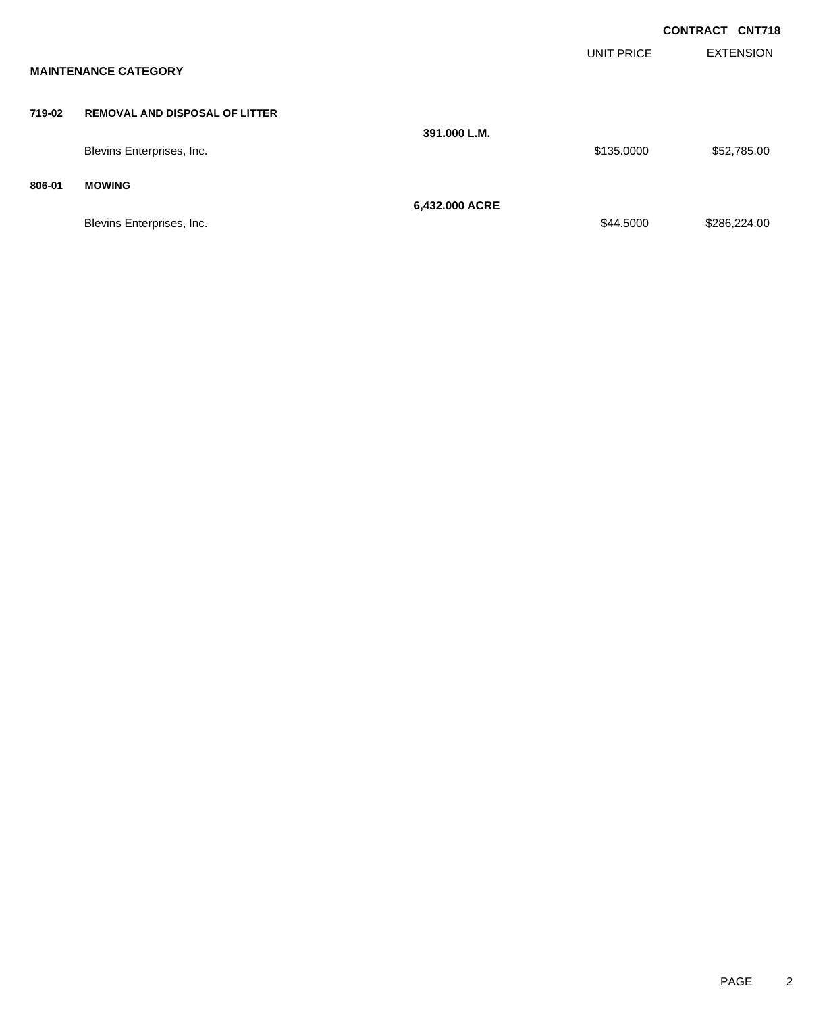|        |                                       |                |                   | <b>CONTRACT CNT718</b> |                  |
|--------|---------------------------------------|----------------|-------------------|------------------------|------------------|
|        | <b>MAINTENANCE CATEGORY</b>           |                | <b>UNIT PRICE</b> |                        | <b>EXTENSION</b> |
| 719-02 | <b>REMOVAL AND DISPOSAL OF LITTER</b> | 391.000 L.M.   |                   |                        |                  |
|        | Blevins Enterprises, Inc.             |                | \$135.0000        |                        | \$52,785.00      |
| 806-01 | <b>MOWING</b>                         |                |                   |                        |                  |
|        | Blevins Enterprises, Inc.             | 6,432.000 ACRE | \$44.5000         |                        | \$286,224.00     |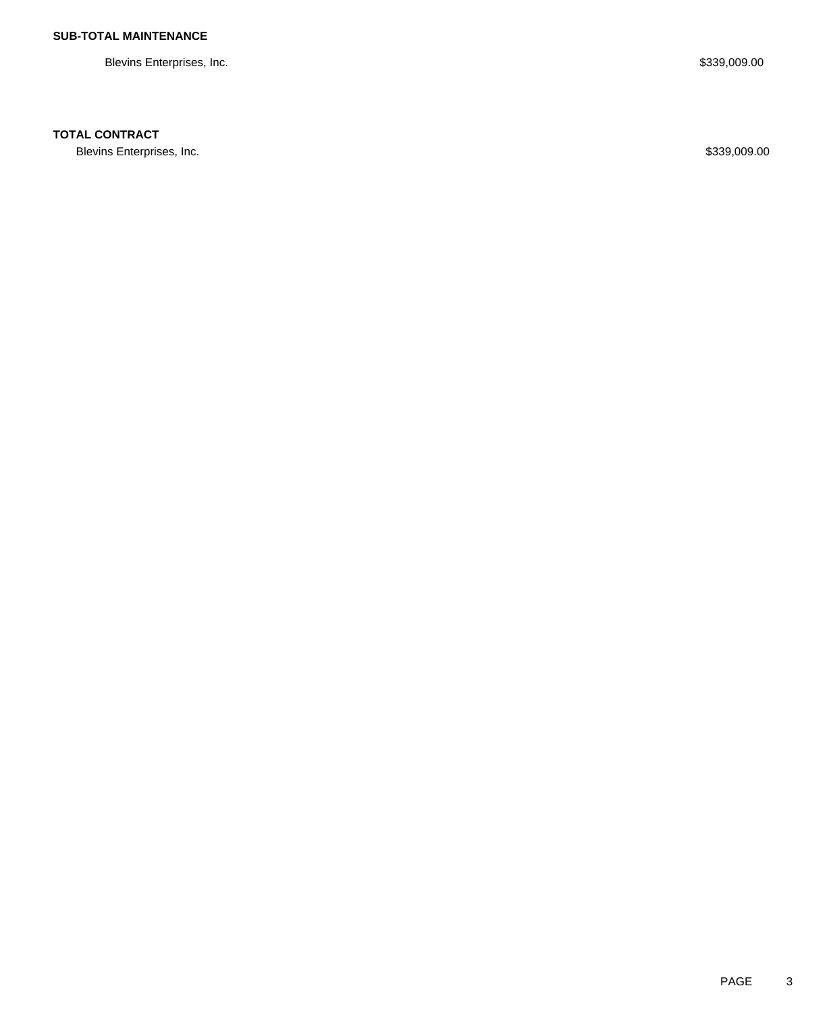Blevins Enterprises, Inc. \$339,009.00

### **TOTAL CONTRACT**

Blevins Enterprises, Inc. \$339,009.00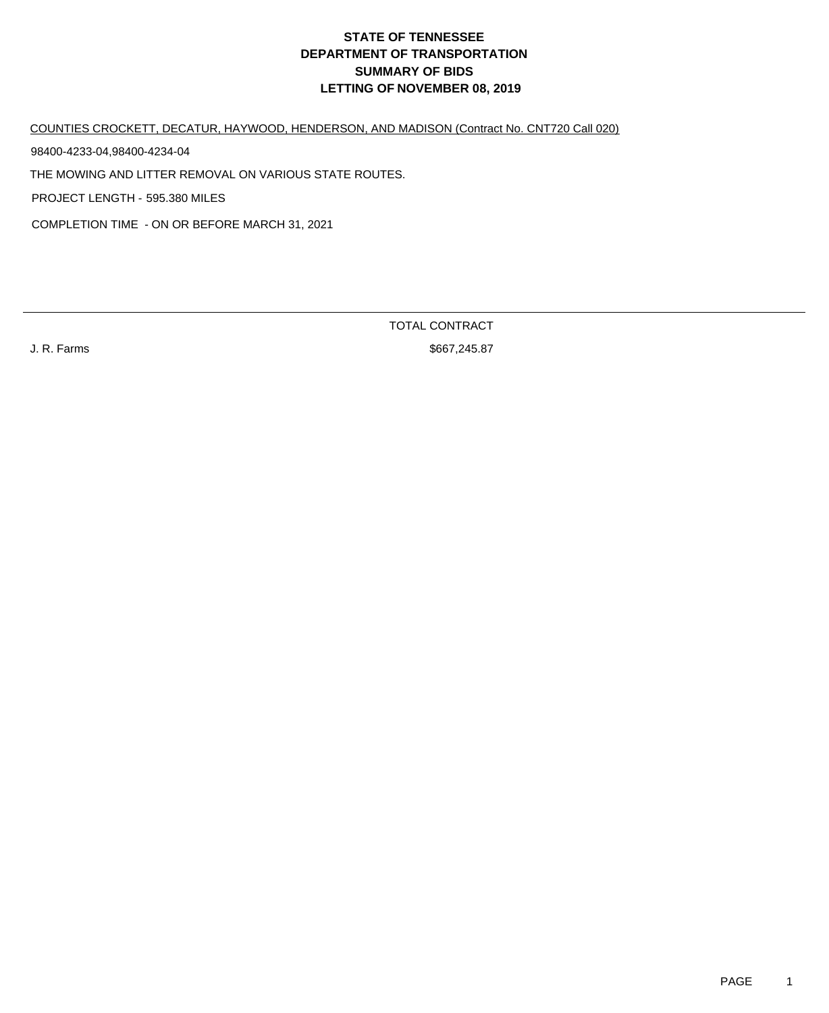COUNTIES CROCKETT, DECATUR, HAYWOOD, HENDERSON, AND MADISON (Contract No. CNT720 Call 020)

98400-4233-04,98400-4234-04

THE MOWING AND LITTER REMOVAL ON VARIOUS STATE ROUTES.

PROJECT LENGTH - 595.380 MILES

COMPLETION TIME - ON OR BEFORE MARCH 31, 2021

TOTAL CONTRACT

J. R. Farms \$667,245.87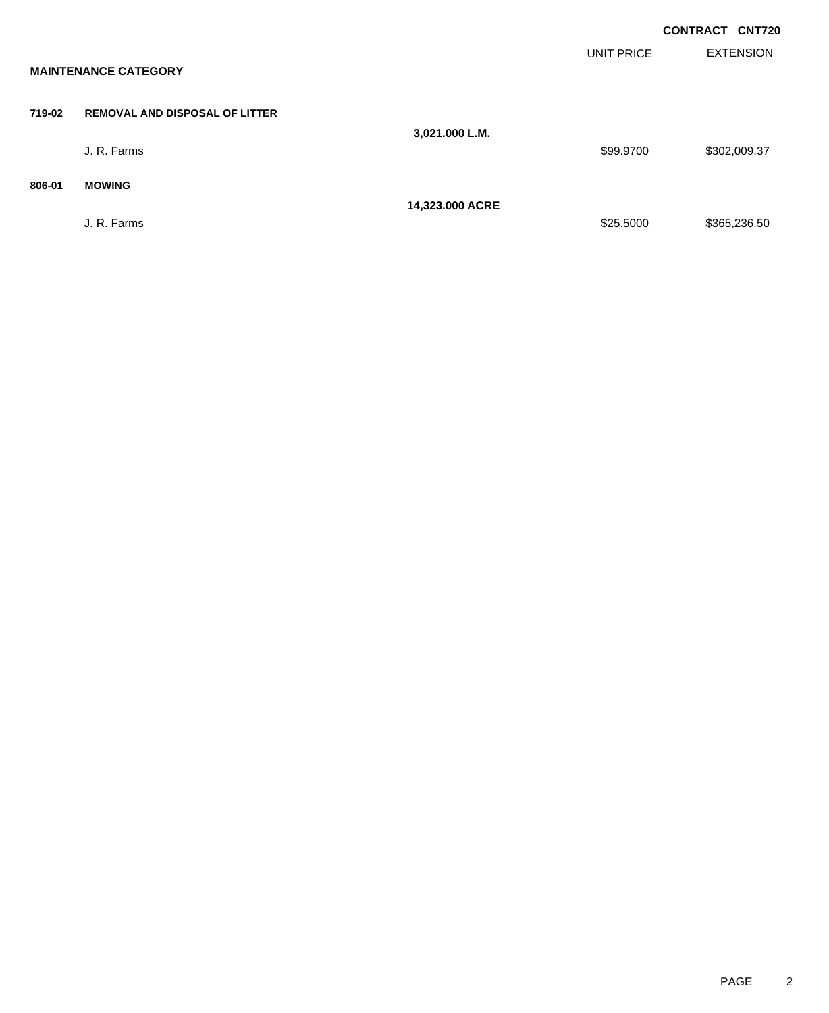|        |                                       |                 |                   | <b>CONTRACT CNT720</b> |
|--------|---------------------------------------|-----------------|-------------------|------------------------|
|        | <b>MAINTENANCE CATEGORY</b>           |                 | <b>UNIT PRICE</b> | <b>EXTENSION</b>       |
| 719-02 | <b>REMOVAL AND DISPOSAL OF LITTER</b> | 3,021.000 L.M.  |                   |                        |
|        | J. R. Farms                           |                 | \$99.9700         | \$302,009.37           |
| 806-01 | <b>MOWING</b>                         | 14,323.000 ACRE |                   |                        |
|        | J. R. Farms                           |                 | \$25.5000         | \$365,236.50           |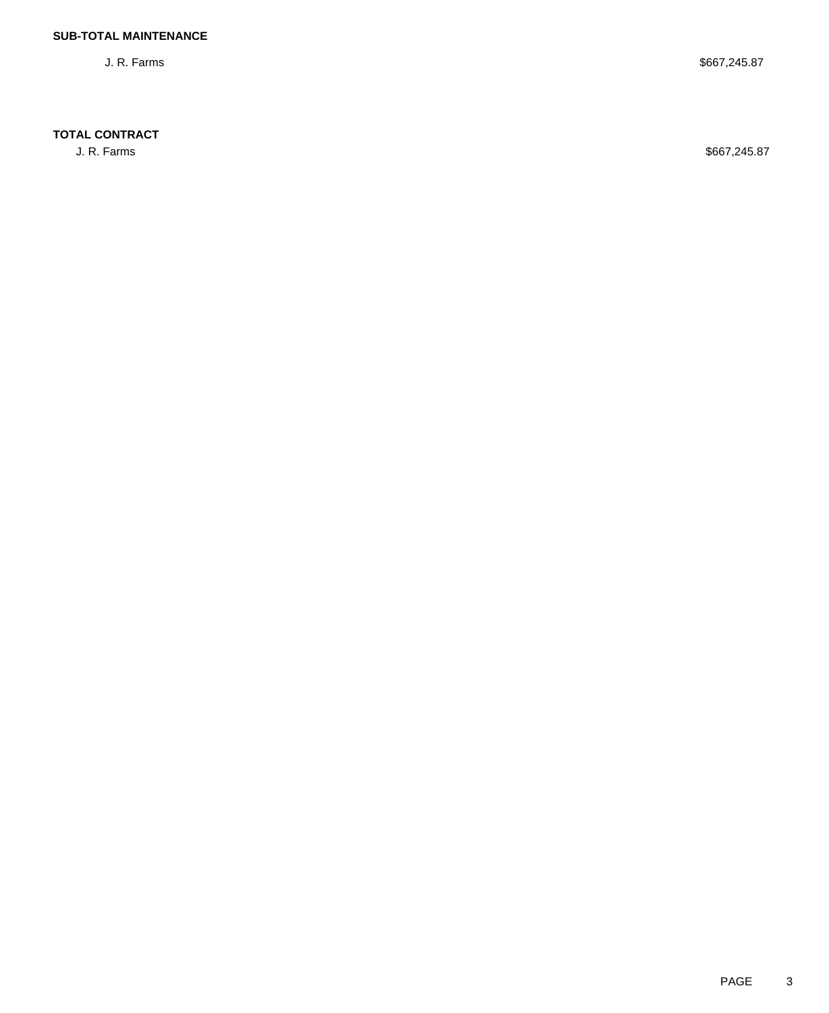### **TOTAL CONTRACT**

J. R. Farms \$667,245.87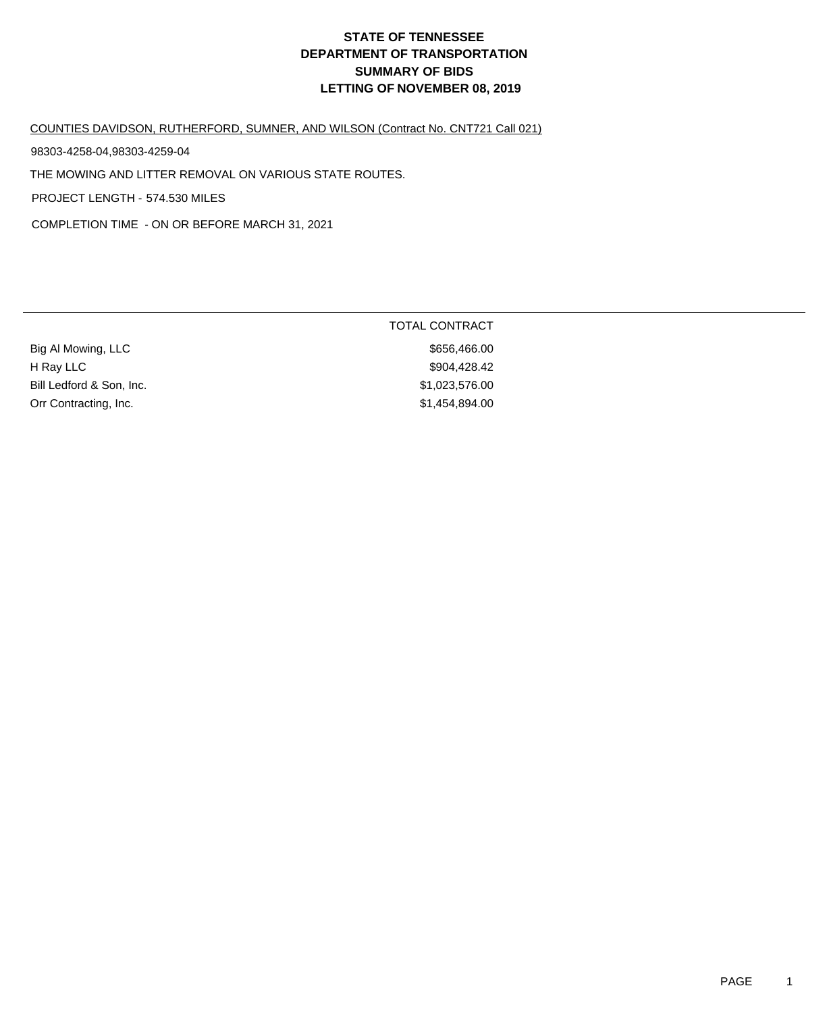#### COUNTIES DAVIDSON, RUTHERFORD, SUMNER, AND WILSON (Contract No. CNT721 Call 021)

98303-4258-04,98303-4259-04

THE MOWING AND LITTER REMOVAL ON VARIOUS STATE ROUTES.

PROJECT LENGTH - 574.530 MILES

COMPLETION TIME - ON OR BEFORE MARCH 31, 2021

|                          | <b>TOTAL CONTRACT</b> |
|--------------------------|-----------------------|
| Big Al Mowing, LLC       | \$656,466.00          |
| H Ray LLC                | \$904,428.42          |
| Bill Ledford & Son, Inc. | \$1,023,576.00        |
| Orr Contracting, Inc.    | \$1,454,894.00        |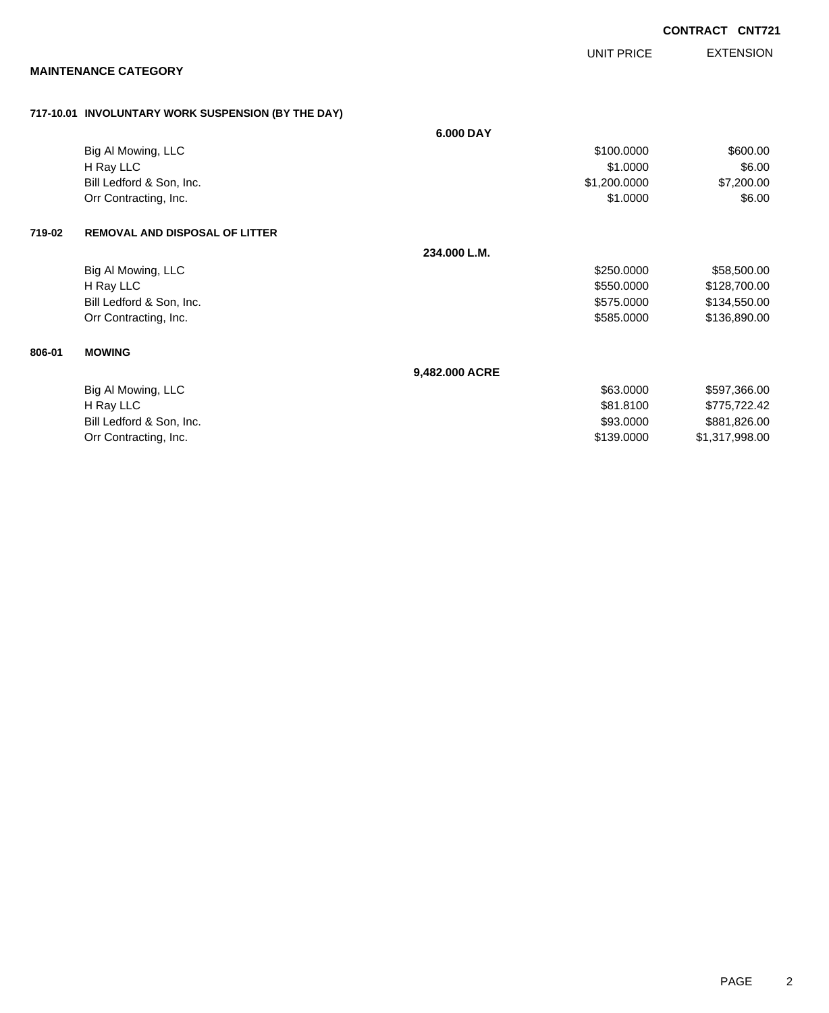|        |                                                    |                | UNIT PRICE   | <b>EXTENSION</b> |
|--------|----------------------------------------------------|----------------|--------------|------------------|
|        | <b>MAINTENANCE CATEGORY</b>                        |                |              |                  |
|        | 717-10.01 INVOLUNTARY WORK SUSPENSION (BY THE DAY) |                |              |                  |
|        |                                                    | 6.000 DAY      |              |                  |
|        | Big Al Mowing, LLC                                 |                | \$100.0000   | \$600.00         |
|        | H Ray LLC                                          |                | \$1.0000     | \$6.00           |
|        | Bill Ledford & Son, Inc.                           |                | \$1,200.0000 | \$7,200.00       |
|        | Orr Contracting, Inc.                              |                | \$1.0000     | \$6.00           |
| 719-02 | <b>REMOVAL AND DISPOSAL OF LITTER</b>              |                |              |                  |
|        |                                                    | 234.000 L.M.   |              |                  |
|        | Big Al Mowing, LLC                                 |                | \$250.0000   | \$58,500.00      |
|        | H Ray LLC                                          |                | \$550.0000   | \$128,700.00     |
|        | Bill Ledford & Son, Inc.                           |                | \$575.0000   | \$134,550.00     |
|        | Orr Contracting, Inc.                              |                | \$585.0000   | \$136,890.00     |
| 806-01 | <b>MOWING</b>                                      |                |              |                  |
|        |                                                    | 9,482.000 ACRE |              |                  |
|        |                                                    |                |              |                  |

| \$63,0000  | \$597,366.00   |
|------------|----------------|
| \$81,8100  | \$775.722.42   |
| \$93,0000  | \$881,826.00   |
| \$139,0000 | \$1,317,998.00 |
|            |                |

**CONTRACT CNT721**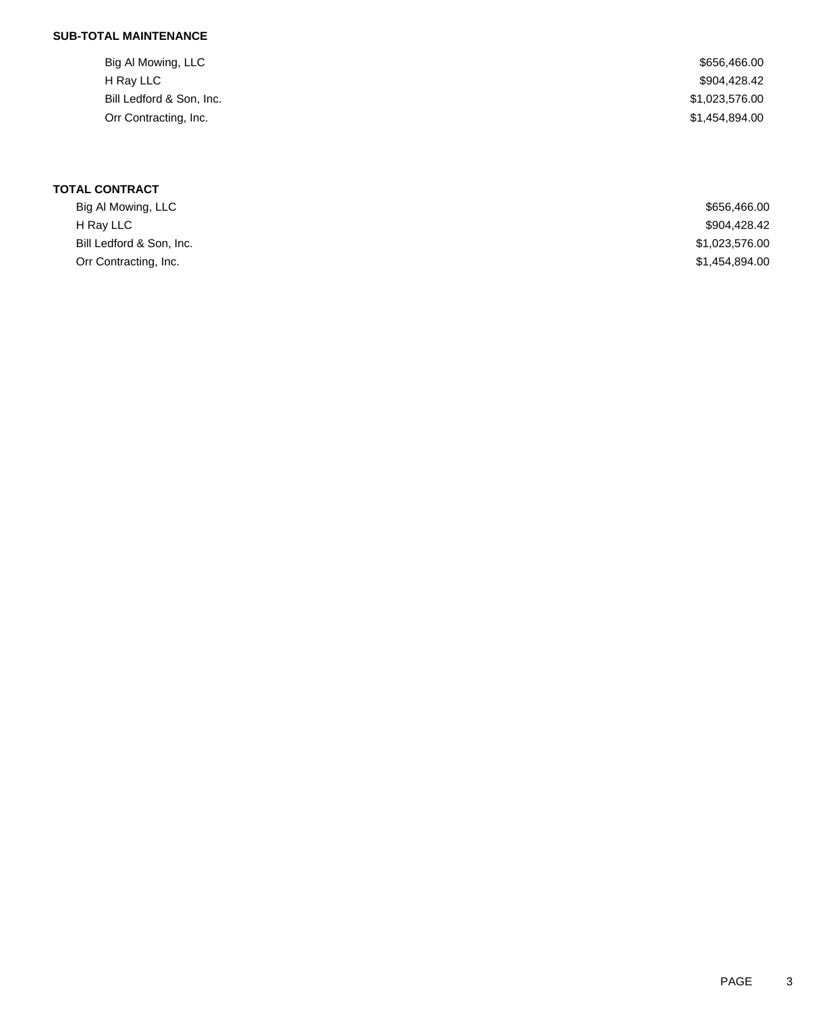## **SUB-TOTAL MAINTENANCE**

| Big Al Mowing, LLC       | \$656,466.00   |
|--------------------------|----------------|
| H Ray LLC                | \$904,428.42   |
| Bill Ledford & Son, Inc. | \$1,023,576.00 |
| Orr Contracting, Inc.    | \$1,454,894.00 |
|                          |                |

| Big Al Mowing, LLC       | \$656,466.00   |
|--------------------------|----------------|
| H Ray LLC                | \$904,428.42   |
| Bill Ledford & Son, Inc. | \$1,023,576.00 |
| Orr Contracting, Inc.    | \$1,454,894.00 |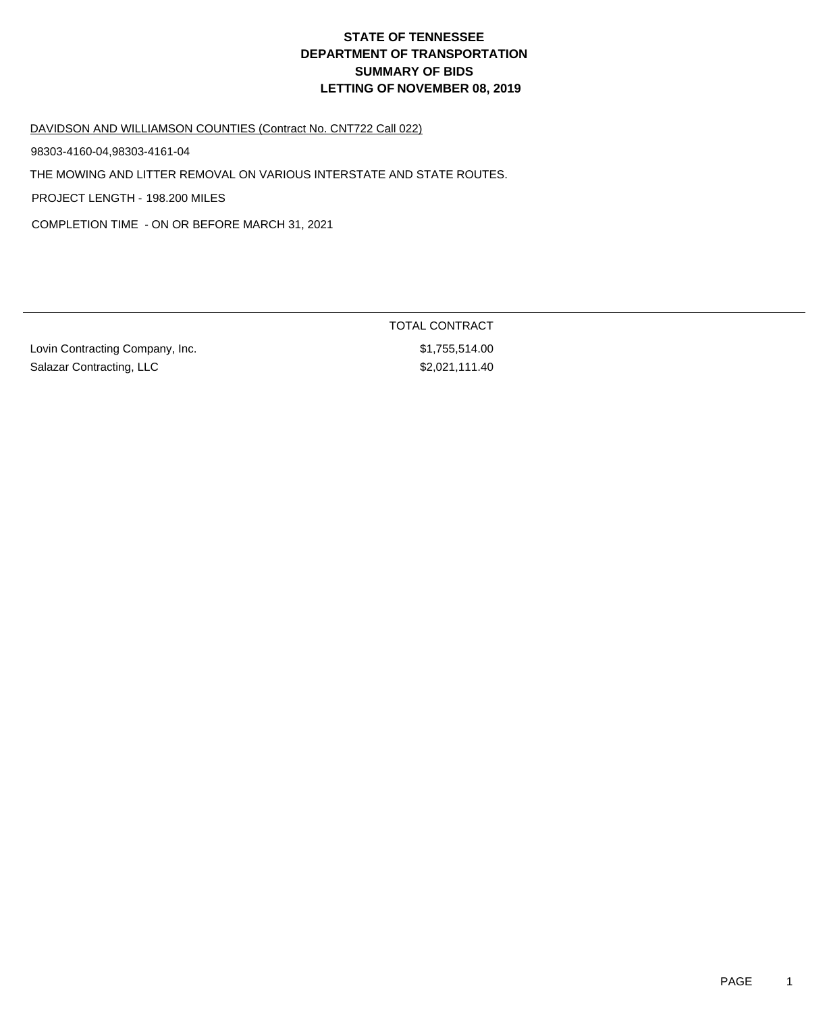DAVIDSON AND WILLIAMSON COUNTIES (Contract No. CNT722 Call 022)

98303-4160-04,98303-4161-04

THE MOWING AND LITTER REMOVAL ON VARIOUS INTERSTATE AND STATE ROUTES.

PROJECT LENGTH - 198.200 MILES

COMPLETION TIME - ON OR BEFORE MARCH 31, 2021

Lovin Contracting Company, Inc. 6. The set of the set of the set of the set of the set of the set of the set of the set of the set of the set of the set of the set of the set of the set of the set of the set of the set of Salazar Contracting, LLC \$2,021,111.40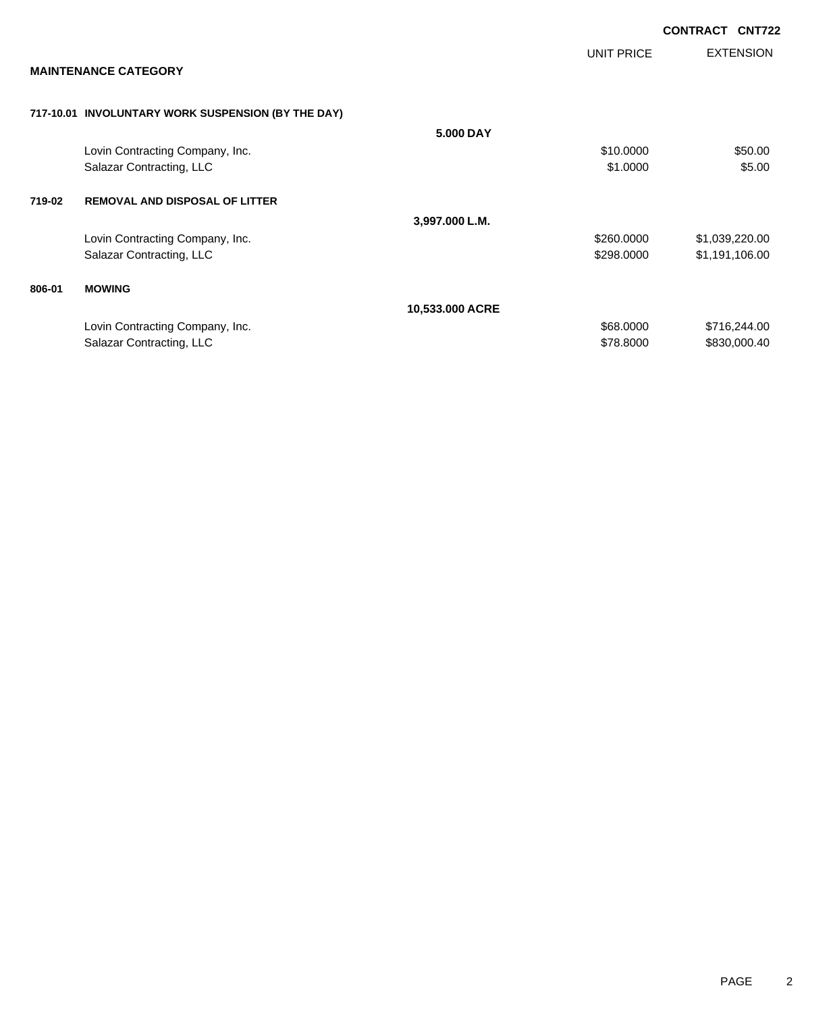|        |                                                    |                 |            | <b>CONTRACT</b><br><b>CNT722</b> |
|--------|----------------------------------------------------|-----------------|------------|----------------------------------|
|        |                                                    |                 | UNIT PRICE | <b>EXTENSION</b>                 |
|        | <b>MAINTENANCE CATEGORY</b>                        |                 |            |                                  |
|        | 717-10.01 INVOLUNTARY WORK SUSPENSION (BY THE DAY) |                 |            |                                  |
|        |                                                    | 5.000 DAY       |            |                                  |
|        | Lovin Contracting Company, Inc.                    |                 | \$10.0000  | \$50.00                          |
|        | Salazar Contracting, LLC                           |                 | \$1.0000   | \$5.00                           |
| 719-02 | <b>REMOVAL AND DISPOSAL OF LITTER</b>              |                 |            |                                  |
|        |                                                    | 3,997.000 L.M.  |            |                                  |
|        | Lovin Contracting Company, Inc.                    |                 | \$260.0000 | \$1,039,220.00                   |
|        | Salazar Contracting, LLC                           |                 | \$298.0000 | \$1,191,106.00                   |
| 806-01 | <b>MOWING</b>                                      |                 |            |                                  |
|        |                                                    | 10,533.000 ACRE |            |                                  |
|        | Lovin Contracting Company, Inc.                    |                 | \$68.0000  | \$716,244.00                     |
|        | Salazar Contracting, LLC                           |                 | \$78.8000  | \$830,000.40                     |
|        |                                                    |                 |            |                                  |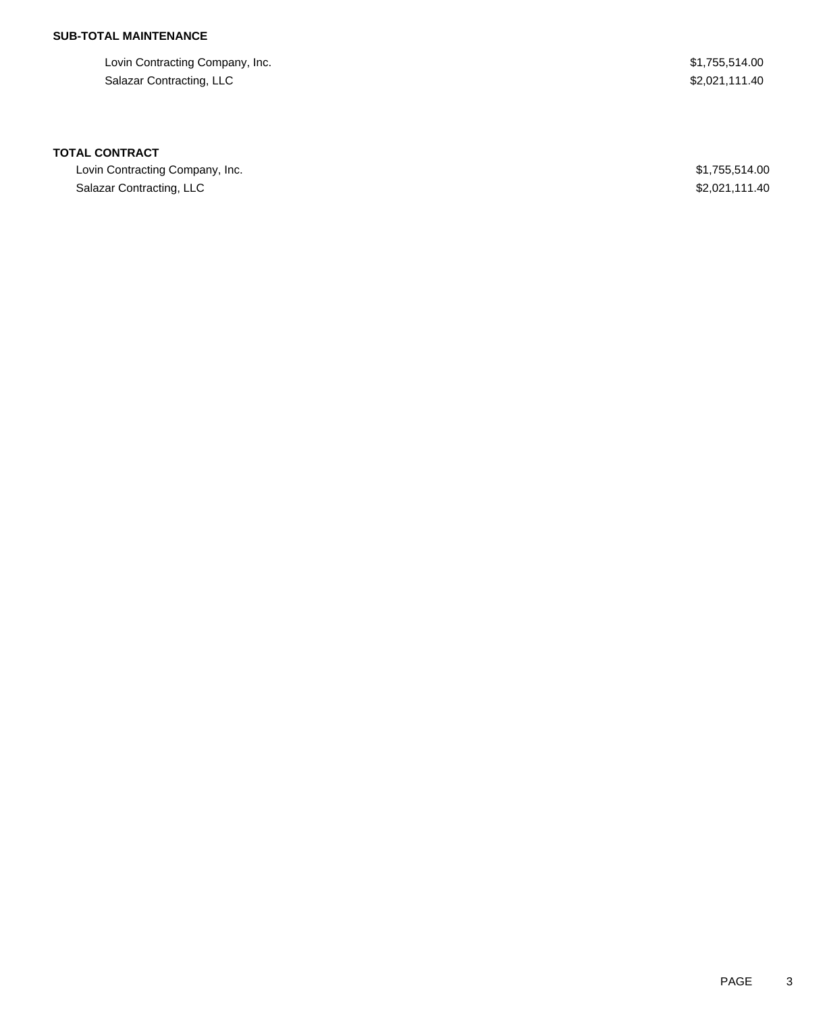## **SUB-TOTAL MAINTENANCE**

Lovin Contracting Company, Inc. **\$1,755,514.00** Salazar Contracting, LLC \$2,021,111.40

#### **TOTAL CONTRACT**

Lovin Contracting Company, Inc. 6. The Contraction of the Contraction of the S1,755,514.00 Salazar Contracting, LLC \$2,021,111.40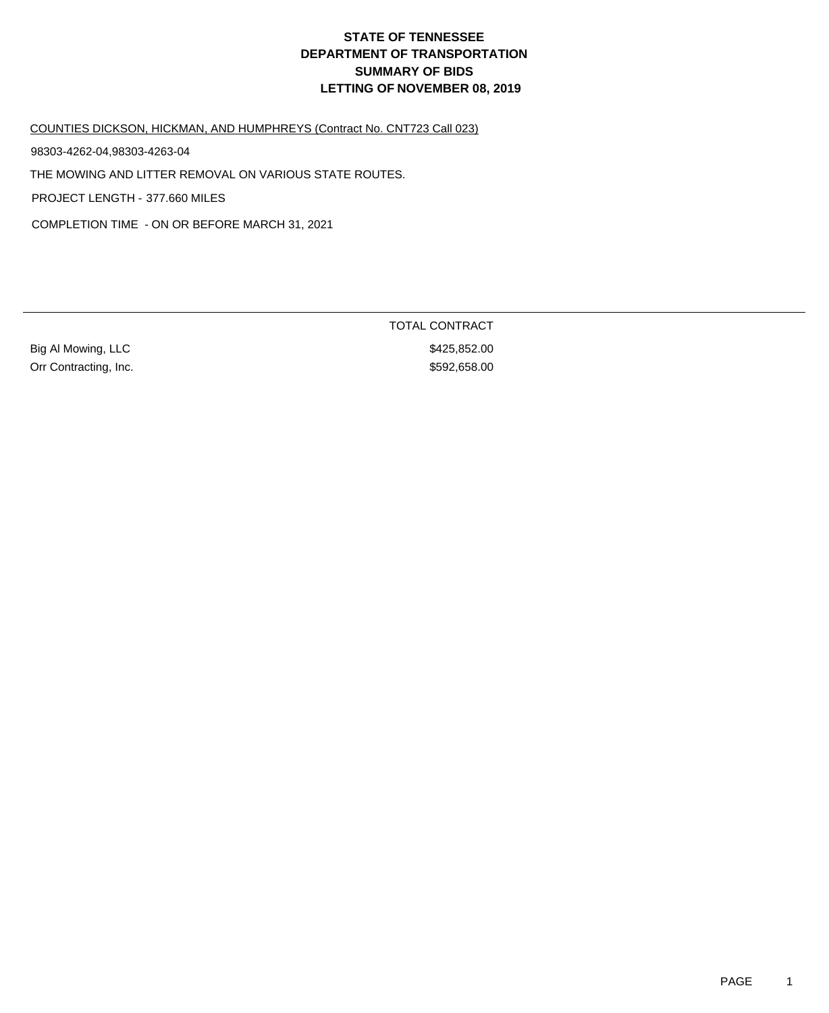COUNTIES DICKSON, HICKMAN, AND HUMPHREYS (Contract No. CNT723 Call 023)

98303-4262-04,98303-4263-04

THE MOWING AND LITTER REMOVAL ON VARIOUS STATE ROUTES.

PROJECT LENGTH - 377.660 MILES

COMPLETION TIME - ON OR BEFORE MARCH 31, 2021

Big Al Mowing, LLC 6. 2010 12:30 12:30 12:30 12:30 12:30 12:30 12:30 12:30 12:30 12:30 12:30 12:30 12:30 12:30 Orr Contracting, Inc. 6592,658.00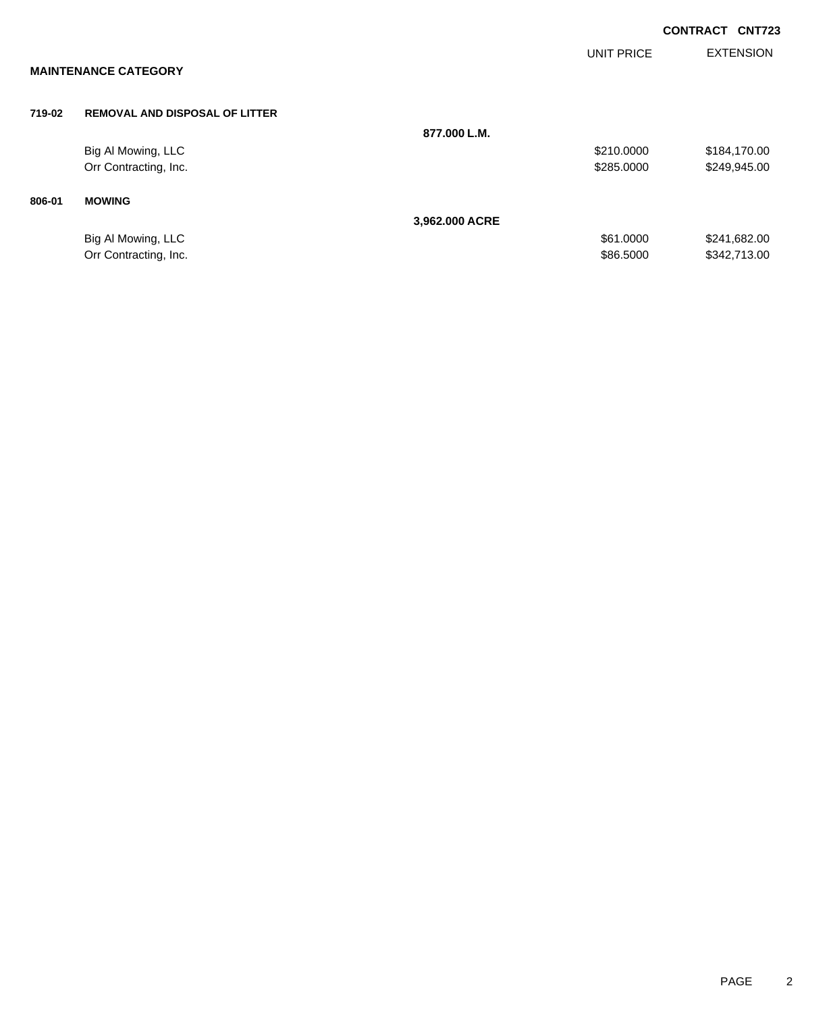|        |                                       |                |                   | <b>CONTRACT CNT723</b> |
|--------|---------------------------------------|----------------|-------------------|------------------------|
|        | <b>MAINTENANCE CATEGORY</b>           |                | <b>UNIT PRICE</b> | <b>EXTENSION</b>       |
|        |                                       |                |                   |                        |
| 719-02 | <b>REMOVAL AND DISPOSAL OF LITTER</b> |                |                   |                        |
|        |                                       | 877.000 L.M.   |                   |                        |
|        | Big Al Mowing, LLC                    |                | \$210.0000        | \$184,170.00           |
|        | Orr Contracting, Inc.                 |                | \$285.0000        | \$249,945.00           |
| 806-01 | <b>MOWING</b>                         |                |                   |                        |
|        |                                       | 3,962.000 ACRE |                   |                        |
|        | Big Al Mowing, LLC                    |                | \$61.0000         | \$241,682.00           |
|        | Orr Contracting, Inc.                 |                | \$86.5000         | \$342,713.00           |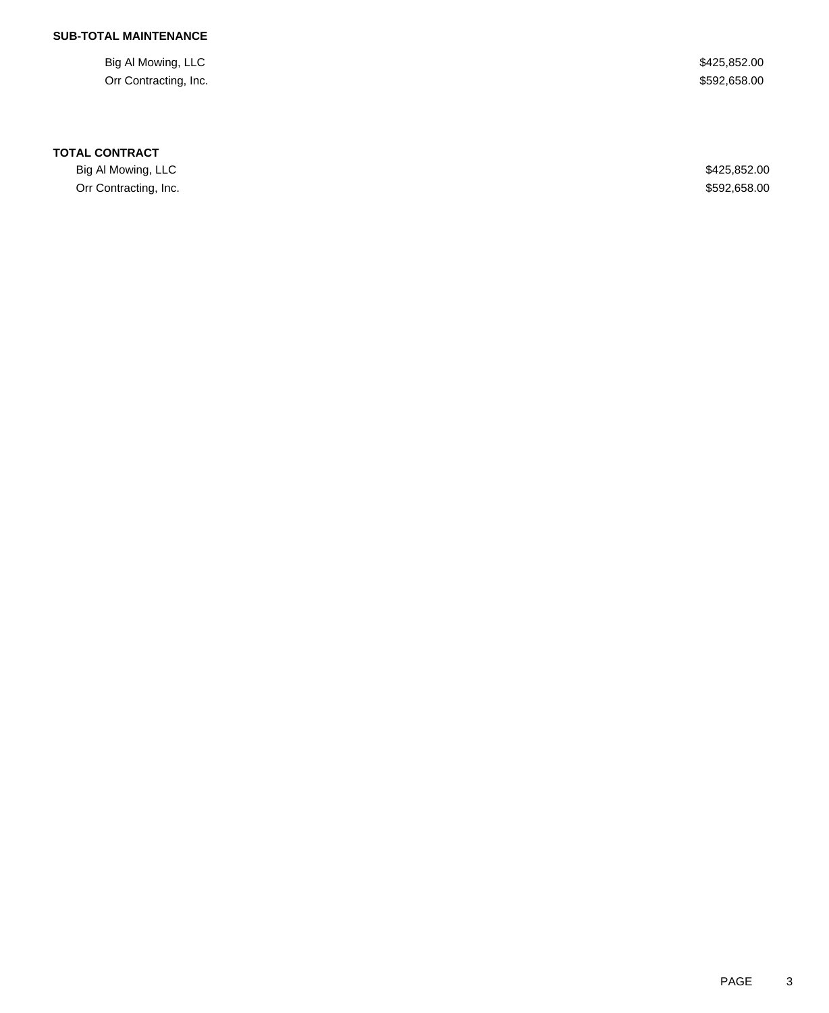### **SUB-TOTAL MAINTENANCE**

Big Al Mowing, LLC \$425,852.00 Orr Contracting, Inc. \$592,658.00

#### **TOTAL CONTRACT**

Big Al Mowing, LLC \$425,852.00 Orr Contracting, Inc. \$592,658.00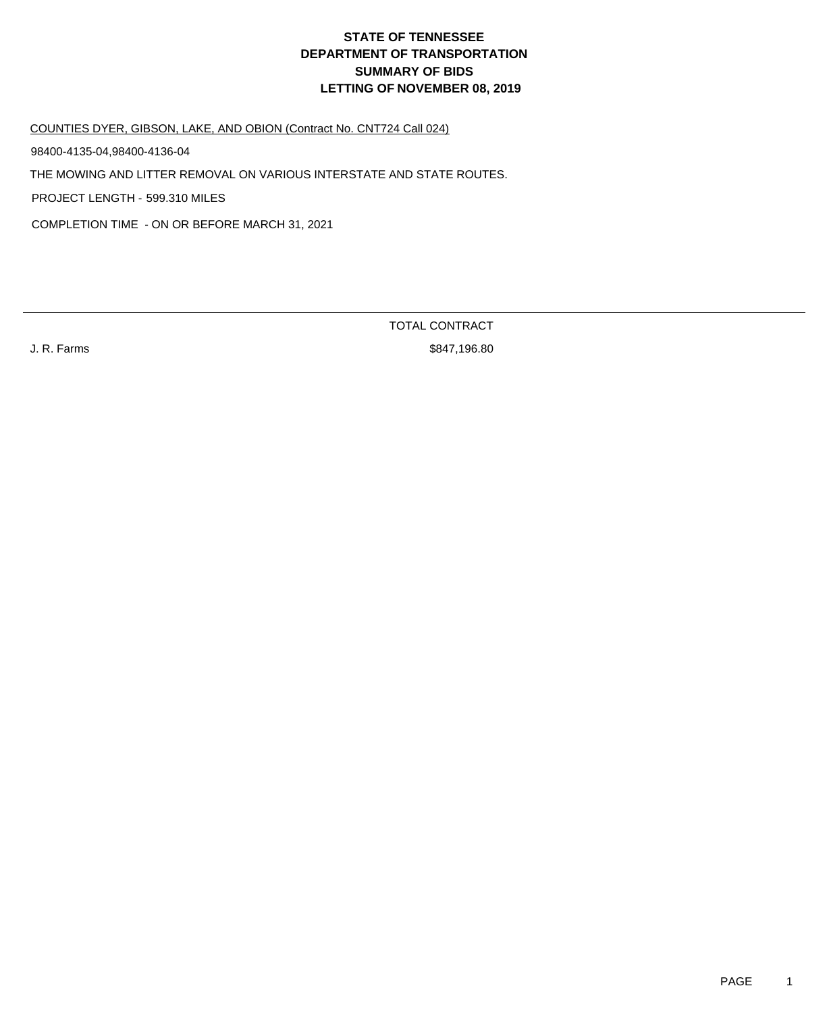COUNTIES DYER, GIBSON, LAKE, AND OBION (Contract No. CNT724 Call 024)

98400-4135-04,98400-4136-04

THE MOWING AND LITTER REMOVAL ON VARIOUS INTERSTATE AND STATE ROUTES.

PROJECT LENGTH - 599.310 MILES

COMPLETION TIME - ON OR BEFORE MARCH 31, 2021

TOTAL CONTRACT

J. R. Farms \$847,196.80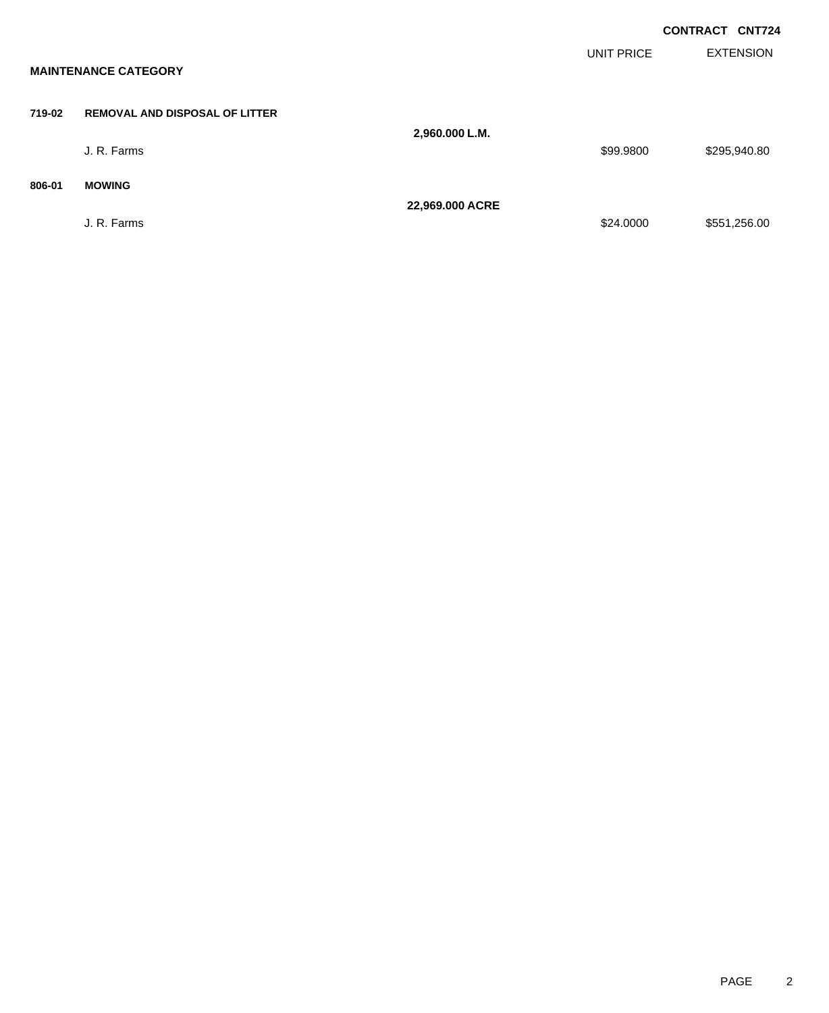|        | <b>MAINTENANCE CATEGORY</b>           |                 | UNIT PRICE | <b>CONTRACT CNT724</b><br><b>EXTENSION</b> |
|--------|---------------------------------------|-----------------|------------|--------------------------------------------|
| 719-02 | <b>REMOVAL AND DISPOSAL OF LITTER</b> |                 |            |                                            |
|        | J. R. Farms                           | 2,960.000 L.M.  | \$99.9800  | \$295,940.80                               |
| 806-01 | <b>MOWING</b>                         |                 |            |                                            |
|        | J. R. Farms                           | 22,969.000 ACRE | \$24.0000  | \$551,256.00                               |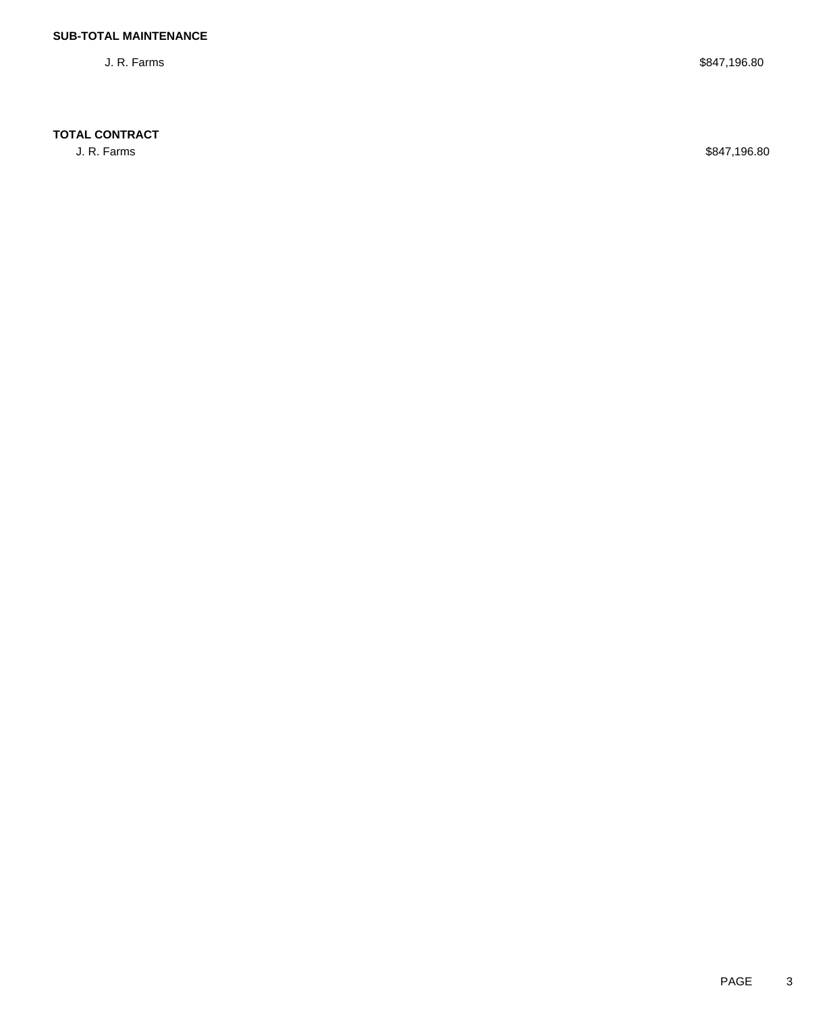### **TOTAL CONTRACT**

J. R. Farms \$847,196.80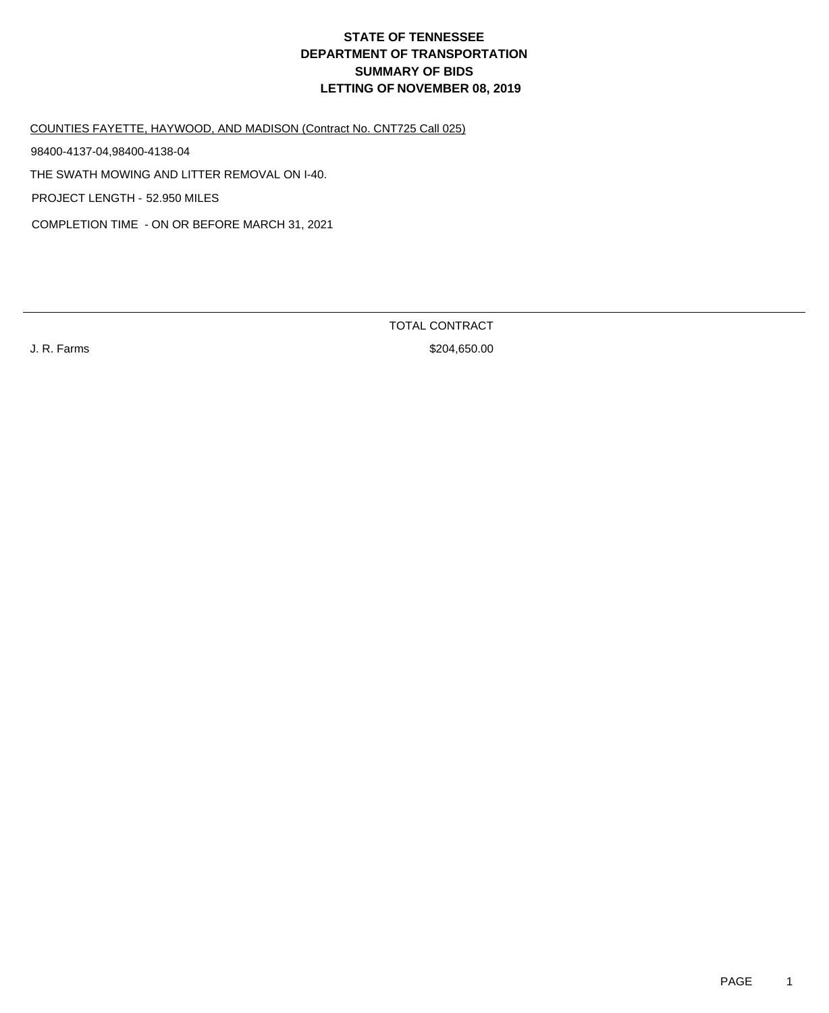COUNTIES FAYETTE, HAYWOOD, AND MADISON (Contract No. CNT725 Call 025)

98400-4137-04,98400-4138-04

THE SWATH MOWING AND LITTER REMOVAL ON I-40.

PROJECT LENGTH - 52.950 MILES

COMPLETION TIME - ON OR BEFORE MARCH 31, 2021

TOTAL CONTRACT

J. R. Farms \$204,650.00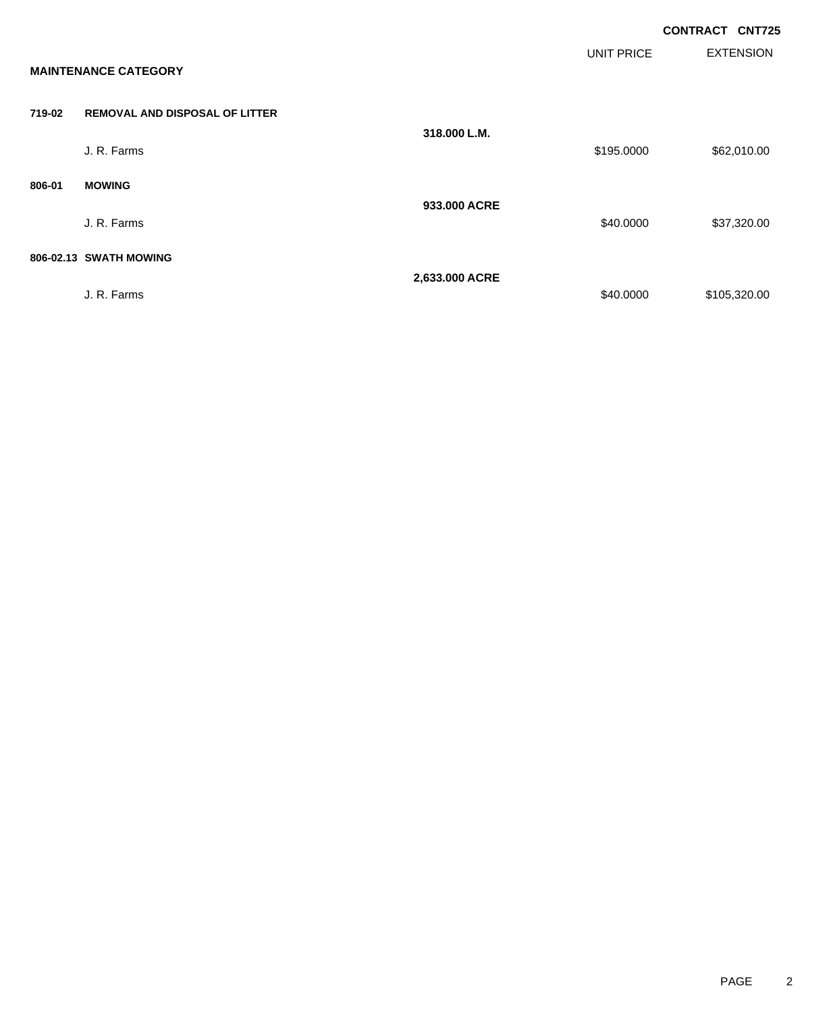|        |                                       |                |            | <b>CONTRACT CNT725</b> |                  |
|--------|---------------------------------------|----------------|------------|------------------------|------------------|
|        | <b>MAINTENANCE CATEGORY</b>           |                | UNIT PRICE |                        | <b>EXTENSION</b> |
| 719-02 | <b>REMOVAL AND DISPOSAL OF LITTER</b> |                |            |                        |                  |
|        | J. R. Farms                           | 318,000 L.M.   | \$195.0000 |                        | \$62,010.00      |
| 806-01 | <b>MOWING</b>                         |                |            |                        |                  |
|        | J. R. Farms                           | 933,000 ACRE   | \$40.0000  |                        | \$37,320.00      |
|        | 806-02.13 SWATH MOWING                |                |            |                        |                  |
|        | J. R. Farms                           | 2,633.000 ACRE | \$40.0000  |                        | \$105,320.00     |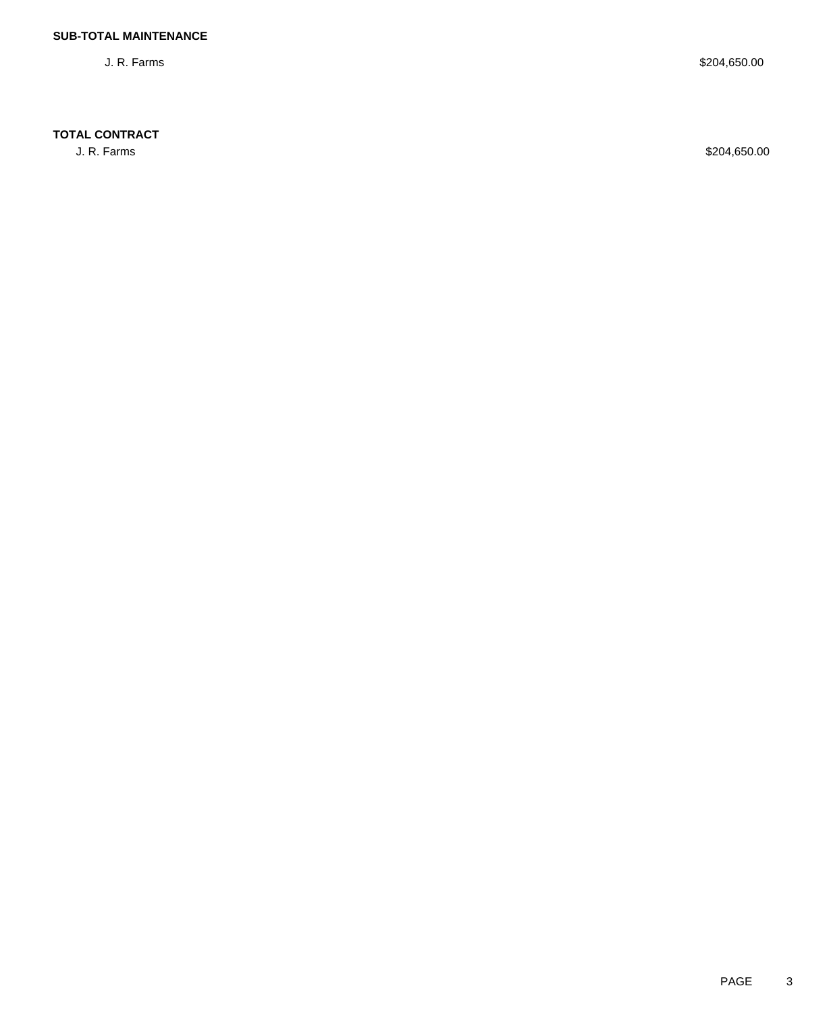### **TOTAL CONTRACT**

J. R. Farms \$204,650.00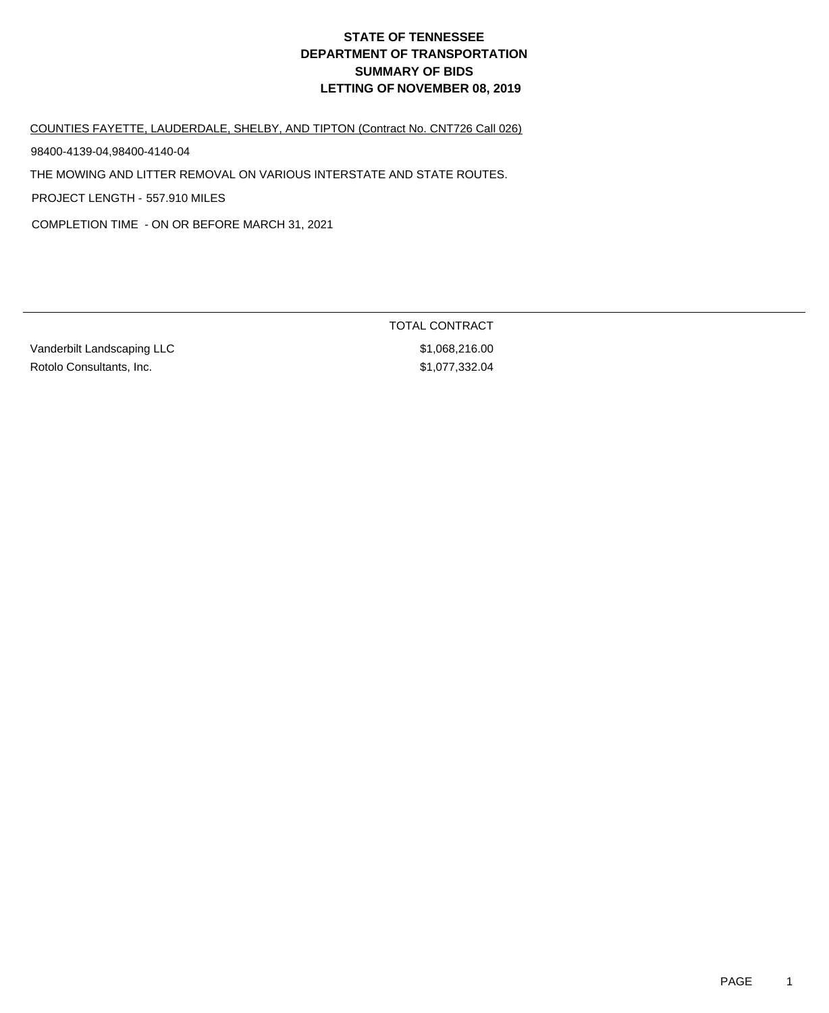COUNTIES FAYETTE, LAUDERDALE, SHELBY, AND TIPTON (Contract No. CNT726 Call 026)

98400-4139-04,98400-4140-04

THE MOWING AND LITTER REMOVAL ON VARIOUS INTERSTATE AND STATE ROUTES.

PROJECT LENGTH - 557.910 MILES

COMPLETION TIME - ON OR BEFORE MARCH 31, 2021

Vanderbilt Landscaping LLC \$1,068,216.00 Rotolo Consultants, Inc. 6. 2010 12:332.04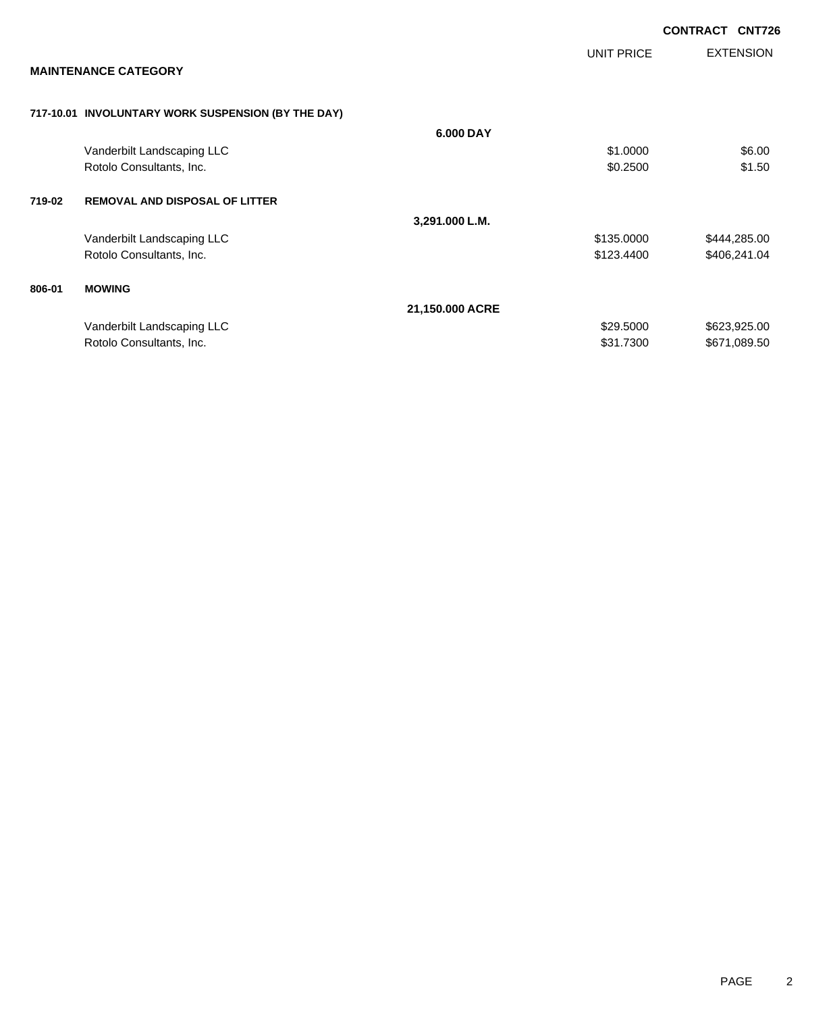|        |                                                    |                 |            | <b>CONTRACT CNT726</b> |                  |
|--------|----------------------------------------------------|-----------------|------------|------------------------|------------------|
|        |                                                    |                 | UNIT PRICE |                        | <b>EXTENSION</b> |
|        | <b>MAINTENANCE CATEGORY</b>                        |                 |            |                        |                  |
|        | 717-10.01 INVOLUNTARY WORK SUSPENSION (BY THE DAY) |                 |            |                        |                  |
|        |                                                    | 6.000 DAY       |            |                        |                  |
|        | Vanderbilt Landscaping LLC                         |                 | \$1.0000   |                        | \$6.00           |
|        | Rotolo Consultants, Inc.                           |                 | \$0.2500   |                        | \$1.50           |
| 719-02 | <b>REMOVAL AND DISPOSAL OF LITTER</b>              |                 |            |                        |                  |
|        |                                                    | 3,291.000 L.M.  |            |                        |                  |
|        | Vanderbilt Landscaping LLC                         |                 | \$135.0000 |                        | \$444,285.00     |
|        | Rotolo Consultants, Inc.                           |                 | \$123.4400 |                        | \$406,241.04     |
| 806-01 | <b>MOWING</b>                                      |                 |            |                        |                  |
|        |                                                    | 21,150.000 ACRE |            |                        |                  |
|        | Vanderbilt Landscaping LLC                         |                 | \$29.5000  |                        | \$623,925.00     |
|        | Rotolo Consultants, Inc.                           |                 | \$31.7300  |                        | \$671,089.50     |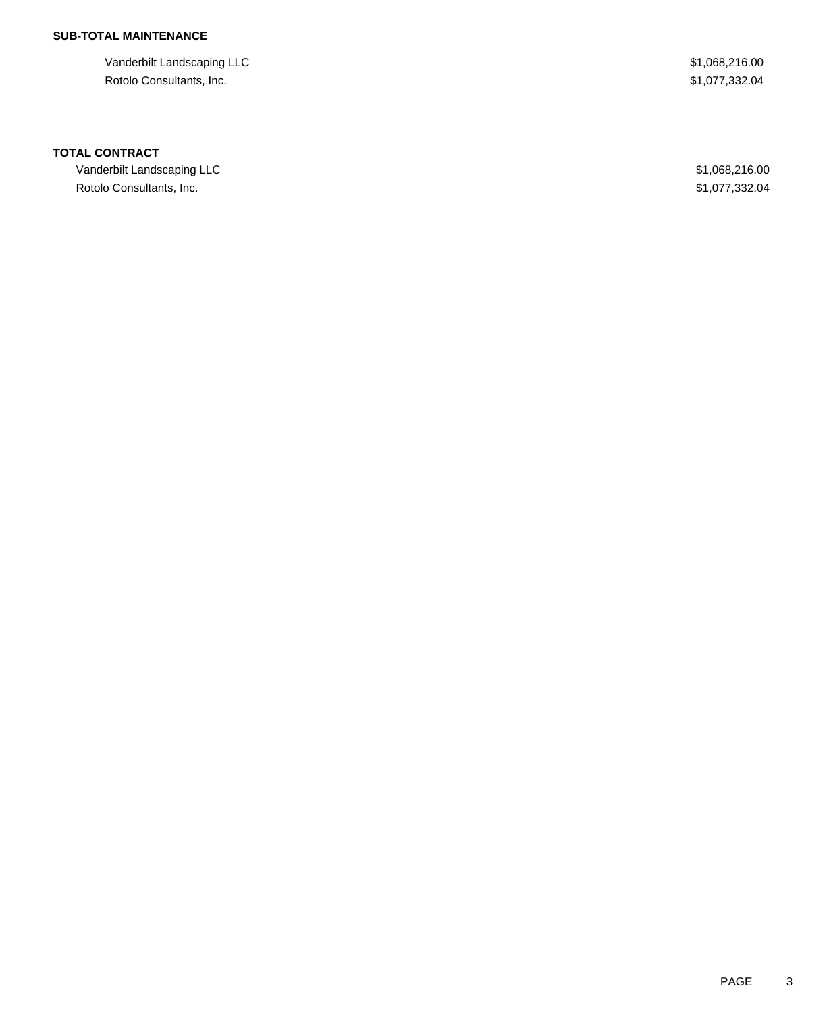## **SUB-TOTAL MAINTENANCE**

Vanderbilt Landscaping LLC  $$1,068,216.00$ Rotolo Consultants, Inc. \$1,077,332.04

#### **TOTAL CONTRACT**

Vanderbilt Landscaping LLC  $$1,068,216.00$ Rotolo Consultants, Inc. \$1,077,332.04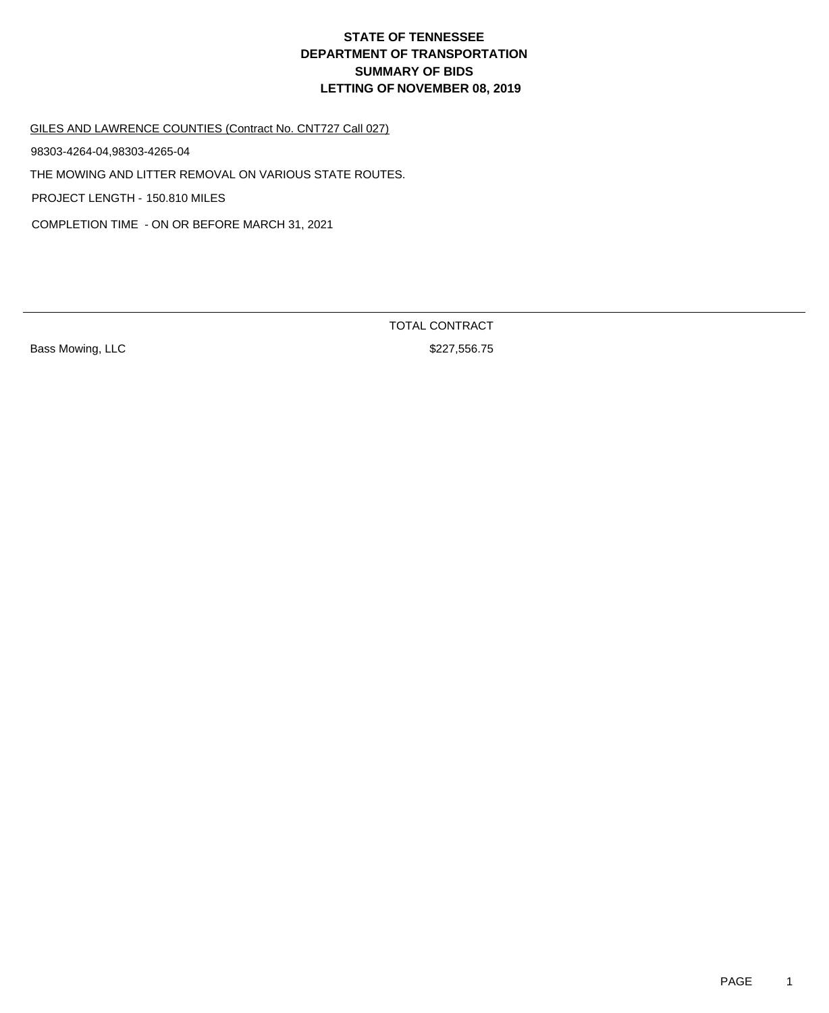GILES AND LAWRENCE COUNTIES (Contract No. CNT727 Call 027)

98303-4264-04,98303-4265-04

THE MOWING AND LITTER REMOVAL ON VARIOUS STATE ROUTES.

PROJECT LENGTH - 150.810 MILES

COMPLETION TIME - ON OR BEFORE MARCH 31, 2021

Bass Mowing, LLC **Bass Mowing, LLC Bass Mowing, LLC Bass Mowing, LLC Bass Mowing**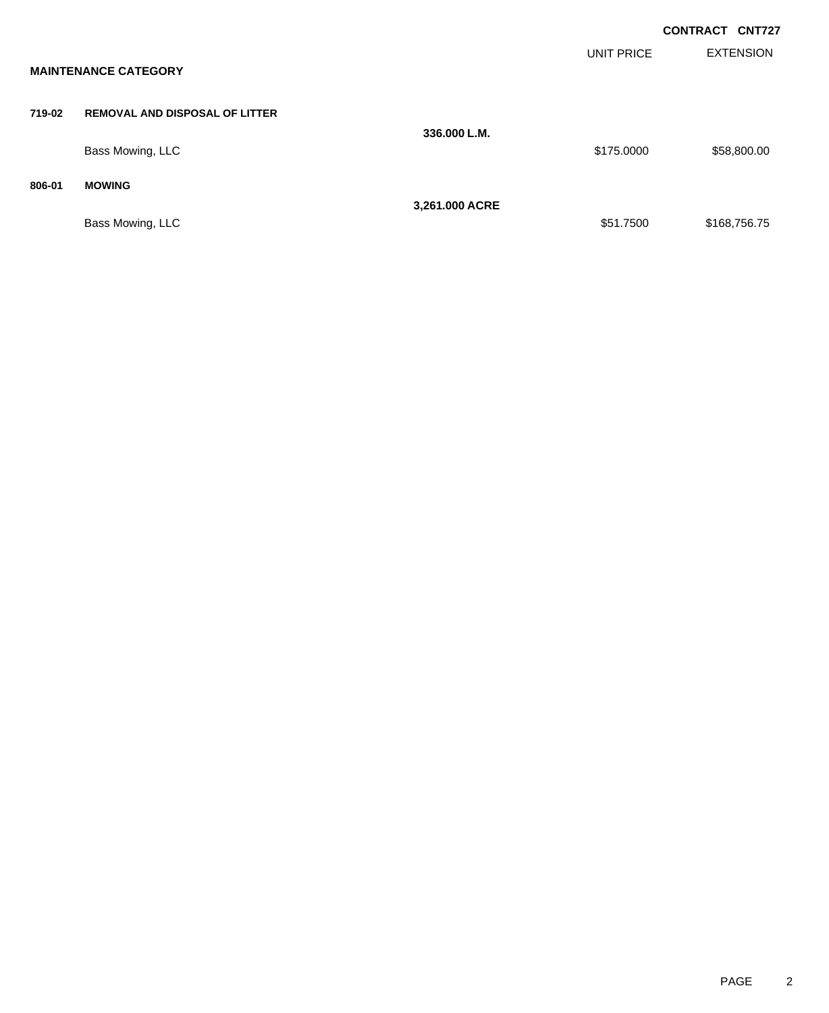|        |                                       |                |                   | <b>CONTRACT CNT727</b> |                  |
|--------|---------------------------------------|----------------|-------------------|------------------------|------------------|
|        | <b>MAINTENANCE CATEGORY</b>           |                | <b>UNIT PRICE</b> |                        | <b>EXTENSION</b> |
| 719-02 | <b>REMOVAL AND DISPOSAL OF LITTER</b> | 336,000 L.M.   |                   |                        |                  |
|        | Bass Mowing, LLC                      |                | \$175.0000        |                        | \$58,800.00      |
| 806-01 | <b>MOWING</b>                         | 3,261.000 ACRE |                   |                        |                  |
|        | Bass Mowing, LLC                      |                | \$51.7500         |                        | \$168,756.75     |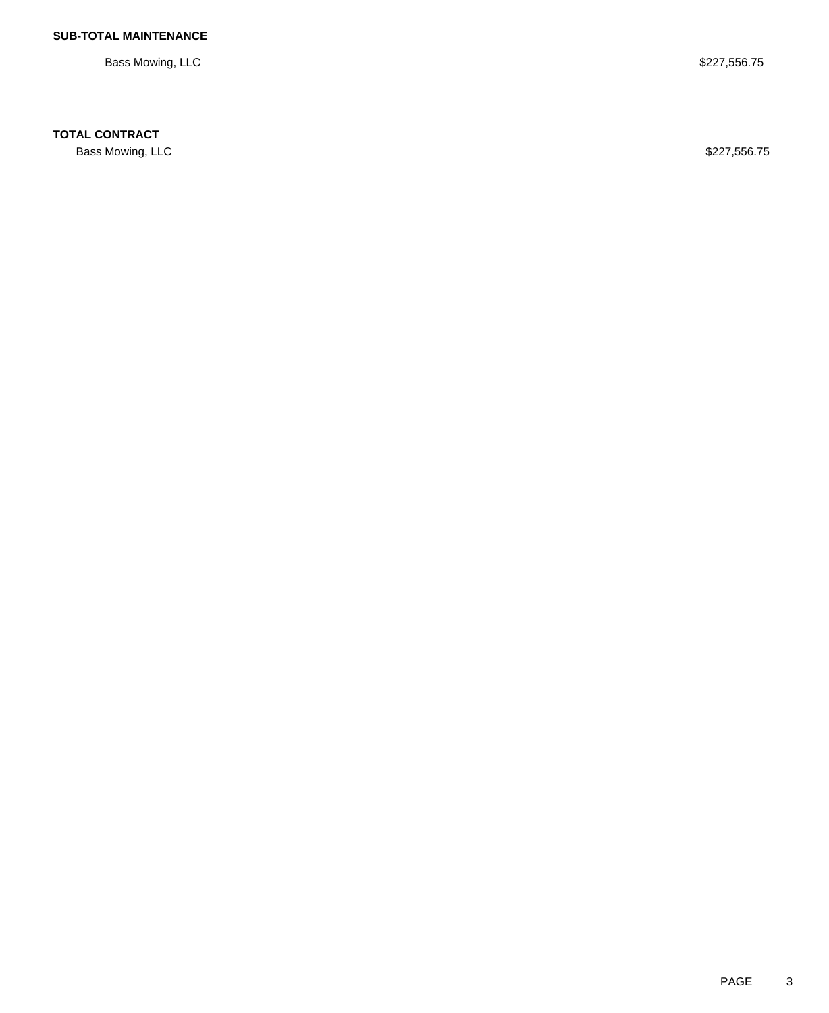Bass Mowing, LLC \$227,556.75

### **TOTAL CONTRACT**

Bass Mowing, LLC \$227,556.75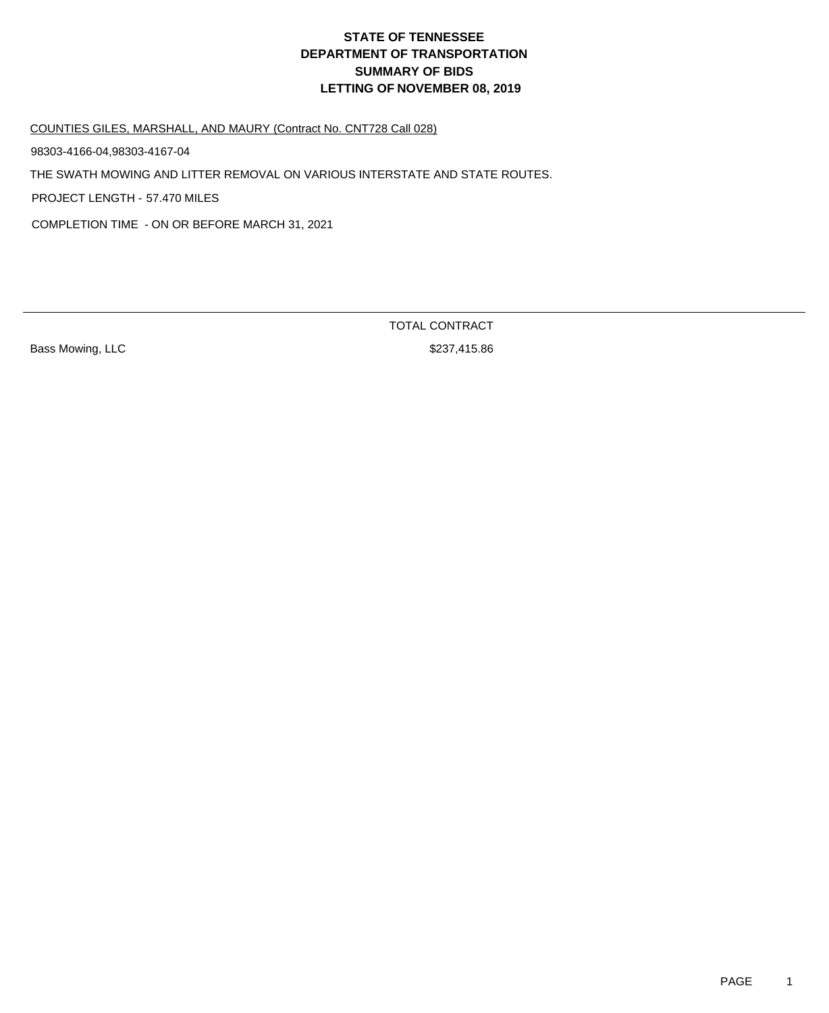COUNTIES GILES, MARSHALL, AND MAURY (Contract No. CNT728 Call 028)

98303-4166-04,98303-4167-04

THE SWATH MOWING AND LITTER REMOVAL ON VARIOUS INTERSTATE AND STATE ROUTES.

PROJECT LENGTH - 57.470 MILES

COMPLETION TIME - ON OR BEFORE MARCH 31, 2021

Bass Mowing, LLC **\$237,415.86**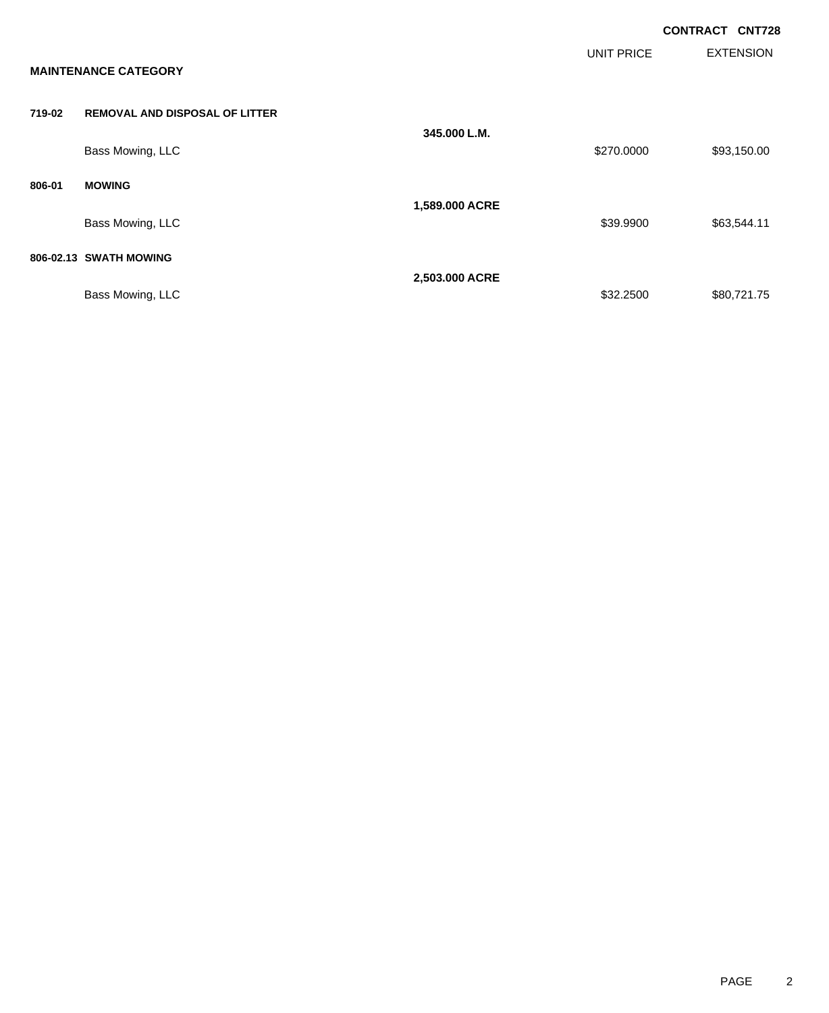|        |                                       |                |                   | <b>CONTRACT CNT728</b> |
|--------|---------------------------------------|----------------|-------------------|------------------------|
|        | <b>MAINTENANCE CATEGORY</b>           |                | <b>UNIT PRICE</b> | <b>EXTENSION</b>       |
| 719-02 | <b>REMOVAL AND DISPOSAL OF LITTER</b> |                |                   |                        |
|        | Bass Mowing, LLC                      | 345,000 L.M.   | \$270.0000        | \$93,150.00            |
| 806-01 | <b>MOWING</b>                         |                |                   |                        |
|        | Bass Mowing, LLC                      | 1,589.000 ACRE | \$39.9900         | \$63,544.11            |
|        | 806-02.13 SWATH MOWING                |                |                   |                        |
|        | Bass Mowing, LLC                      | 2,503.000 ACRE | \$32.2500         | \$80,721.75            |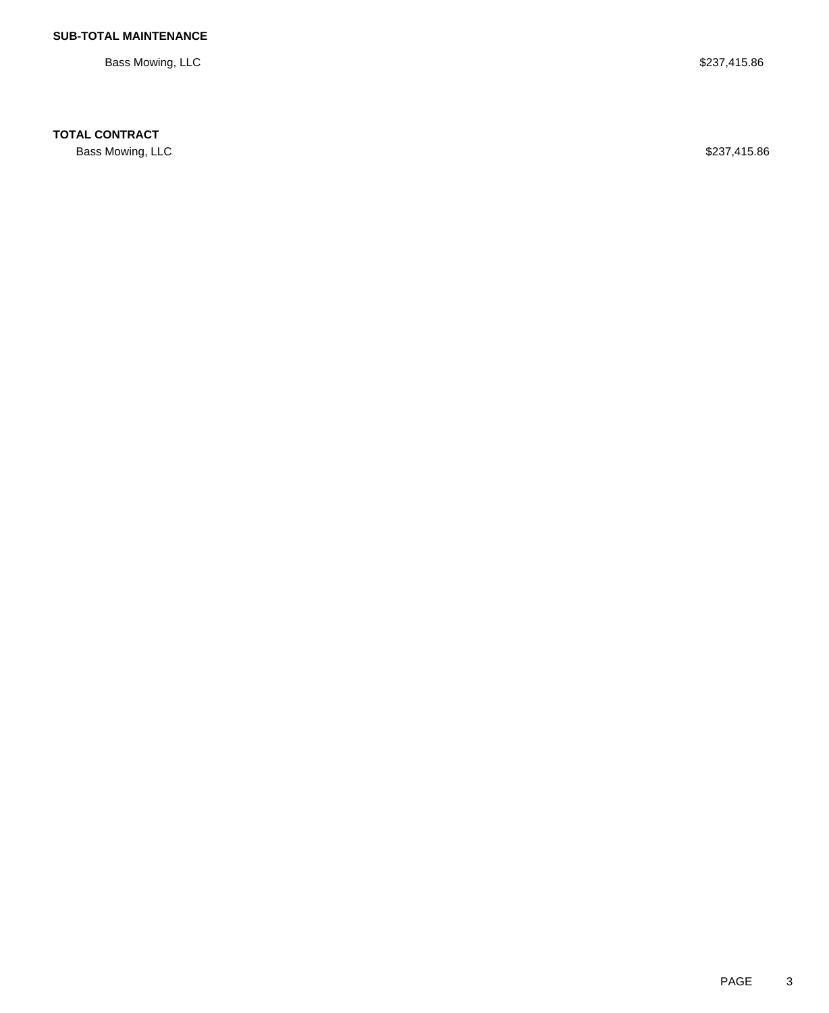Bass Mowing, LLC \$237,415.86

### **TOTAL CONTRACT**

Bass Mowing, LLC \$237,415.86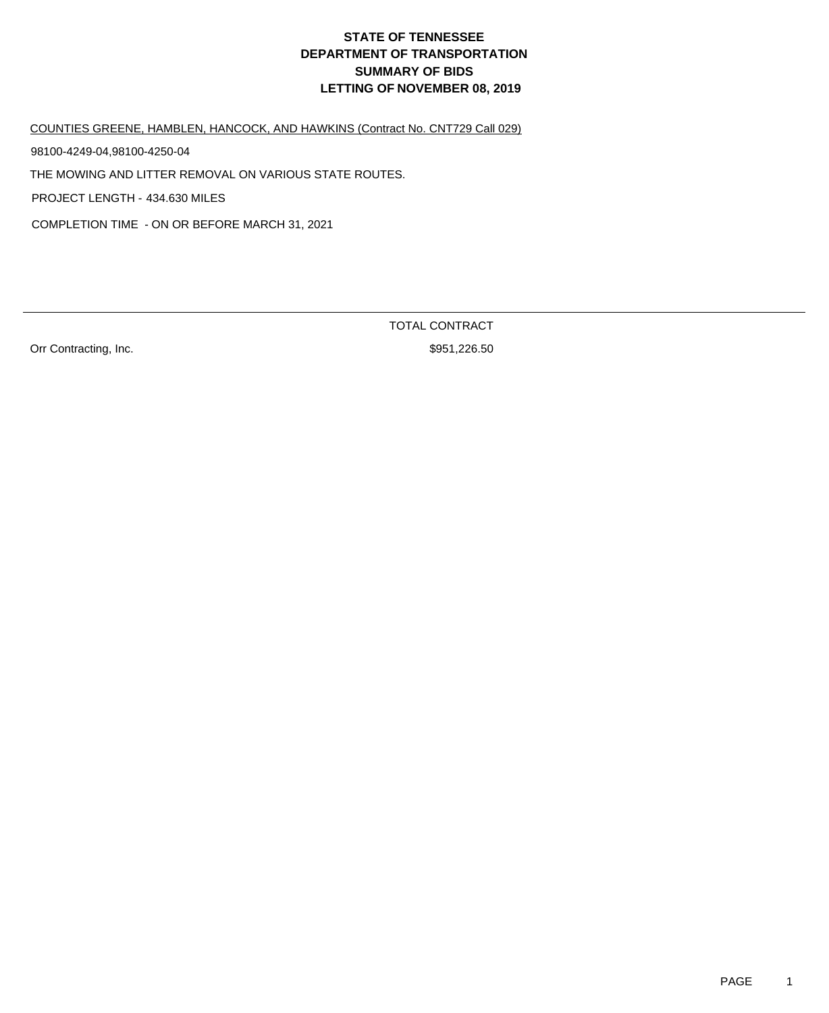COUNTIES GREENE, HAMBLEN, HANCOCK, AND HAWKINS (Contract No. CNT729 Call 029)

98100-4249-04,98100-4250-04

THE MOWING AND LITTER REMOVAL ON VARIOUS STATE ROUTES.

PROJECT LENGTH - 434.630 MILES

COMPLETION TIME - ON OR BEFORE MARCH 31, 2021

Orr Contracting, Inc. 6. The Contraction of the Superior of the Superior Section 1.226.50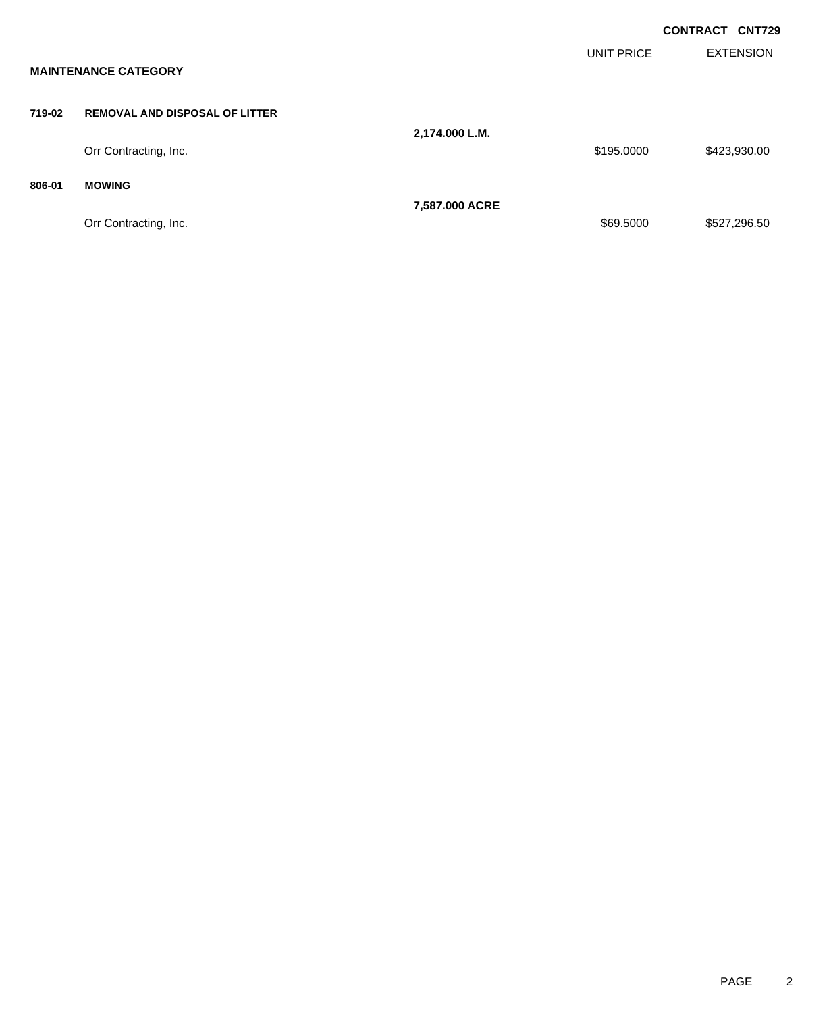|        |                                       |                |                   | <b>CONTRACT CNT729</b> |
|--------|---------------------------------------|----------------|-------------------|------------------------|
|        | <b>MAINTENANCE CATEGORY</b>           |                | <b>UNIT PRICE</b> | <b>EXTENSION</b>       |
| 719-02 | <b>REMOVAL AND DISPOSAL OF LITTER</b> |                |                   |                        |
|        | Orr Contracting, Inc.                 | 2,174.000 L.M. | \$195.0000        | \$423,930.00           |
| 806-01 | <b>MOWING</b>                         | 7,587.000 ACRE |                   |                        |
|        | Orr Contracting, Inc.                 |                | \$69.5000         | \$527,296.50           |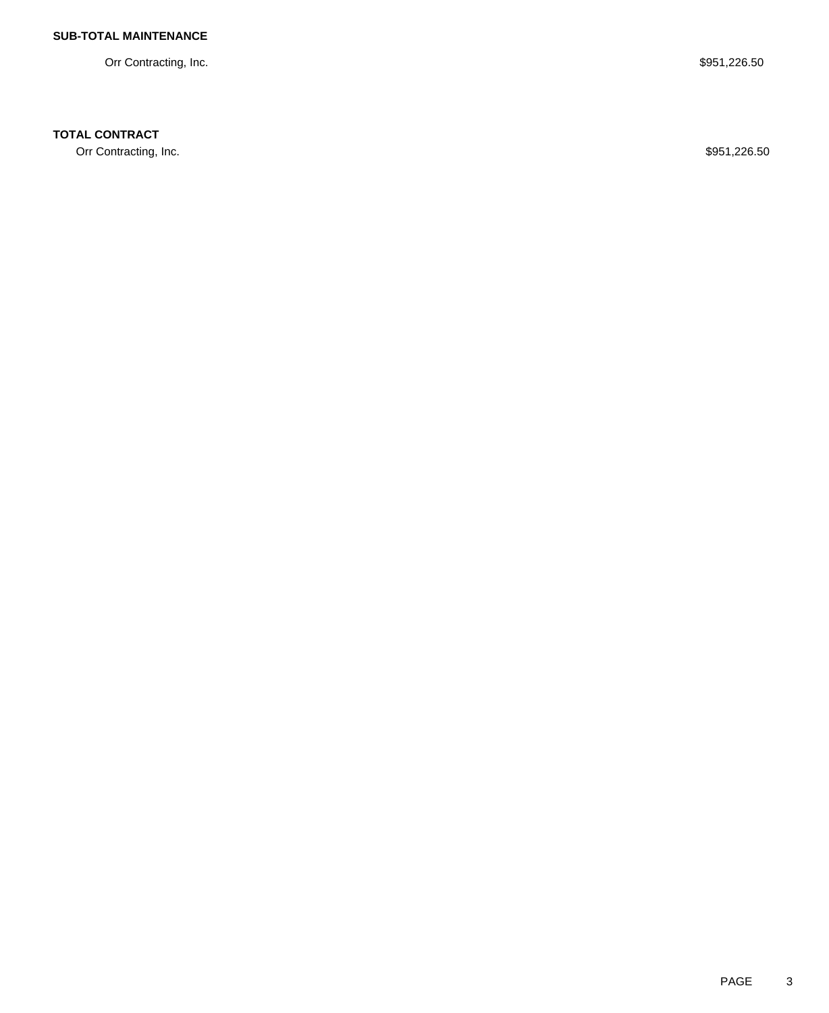Orr Contracting, Inc. \$951,226.50

## **TOTAL CONTRACT**

Orr Contracting, Inc. \$951,226.50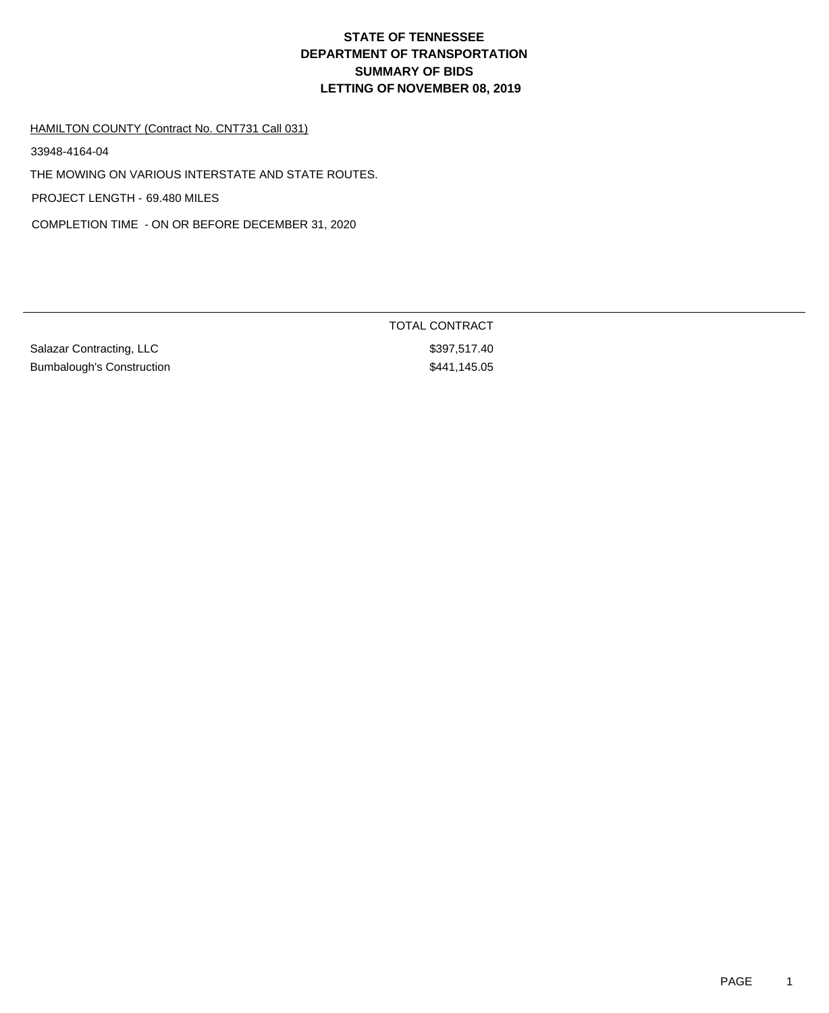#### HAMILTON COUNTY (Contract No. CNT731 Call 031)

33948-4164-04

THE MOWING ON VARIOUS INTERSTATE AND STATE ROUTES.

PROJECT LENGTH - 69.480 MILES

COMPLETION TIME - ON OR BEFORE DECEMBER 31, 2020

Salazar Contracting, LLC \$397,517.40 Bumbalough's Construction  $$441,145.05$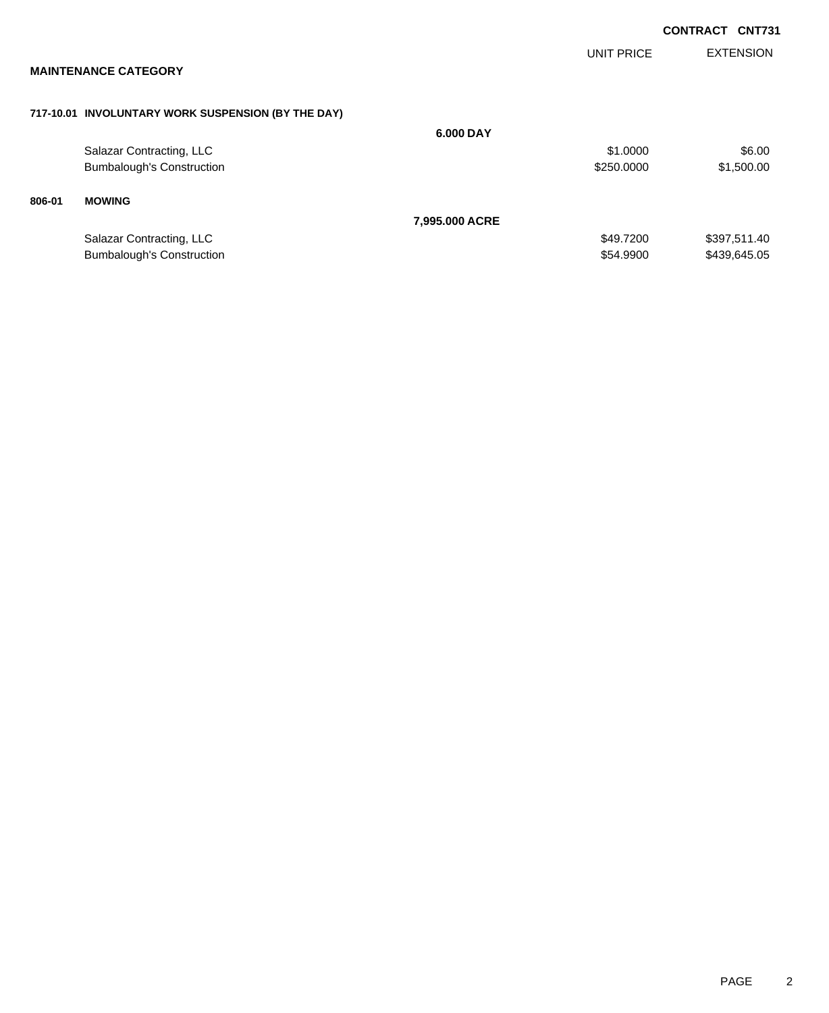|        |                                                    |                |                   | <b>CONTRACT</b>  | <b>CNT731</b> |
|--------|----------------------------------------------------|----------------|-------------------|------------------|---------------|
|        |                                                    |                | <b>UNIT PRICE</b> | <b>EXTENSION</b> |               |
|        | <b>MAINTENANCE CATEGORY</b>                        |                |                   |                  |               |
|        | 717-10.01 INVOLUNTARY WORK SUSPENSION (BY THE DAY) |                |                   |                  |               |
|        |                                                    | 6.000 DAY      |                   |                  |               |
|        | Salazar Contracting, LLC                           |                | \$1.0000          |                  | \$6.00        |
|        | <b>Bumbalough's Construction</b>                   |                | \$250.0000        |                  | \$1,500.00    |
| 806-01 | <b>MOWING</b>                                      |                |                   |                  |               |
|        |                                                    | 7,995.000 ACRE |                   |                  |               |
|        | Salazar Contracting, LLC                           |                | \$49.7200         | \$397,511.40     |               |
|        | <b>Bumbalough's Construction</b>                   |                | \$54,9900         | \$439,645.05     |               |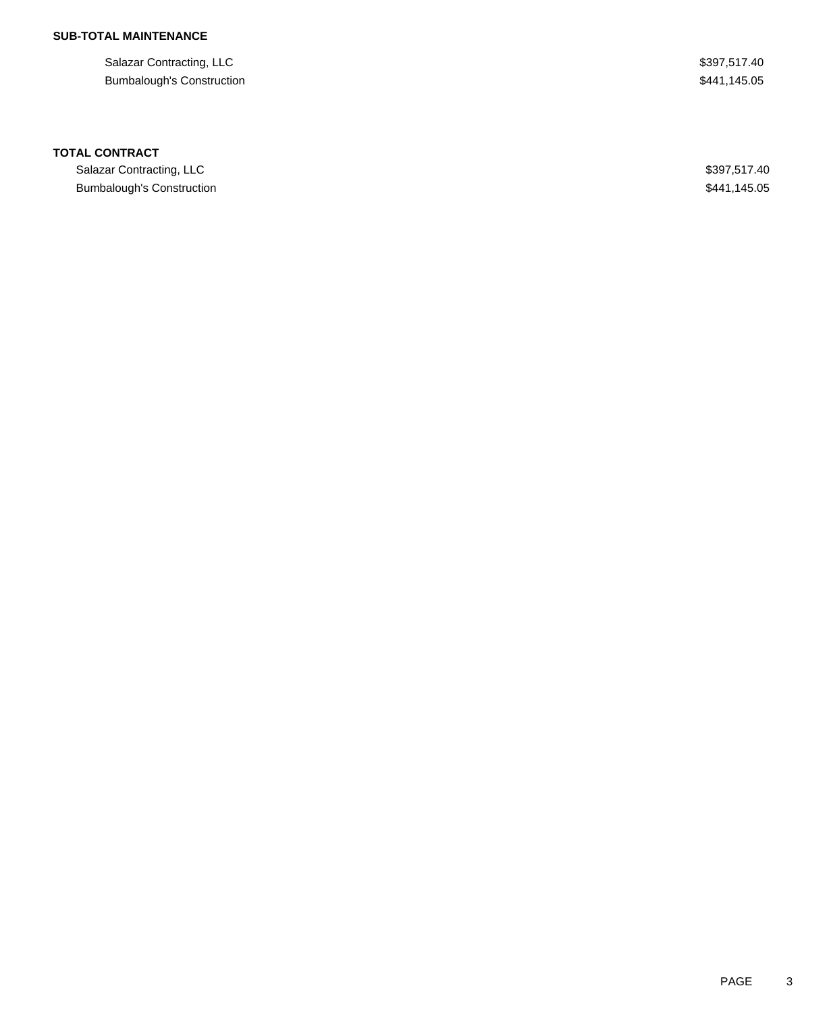Salazar Contracting, LLC \$397,517.40 Bumbalough's Construction  $$441,145.05$ 

#### **TOTAL CONTRACT**

Salazar Contracting, LLC \$397,517.40 Bumbalough's Construction  $$441,145.05$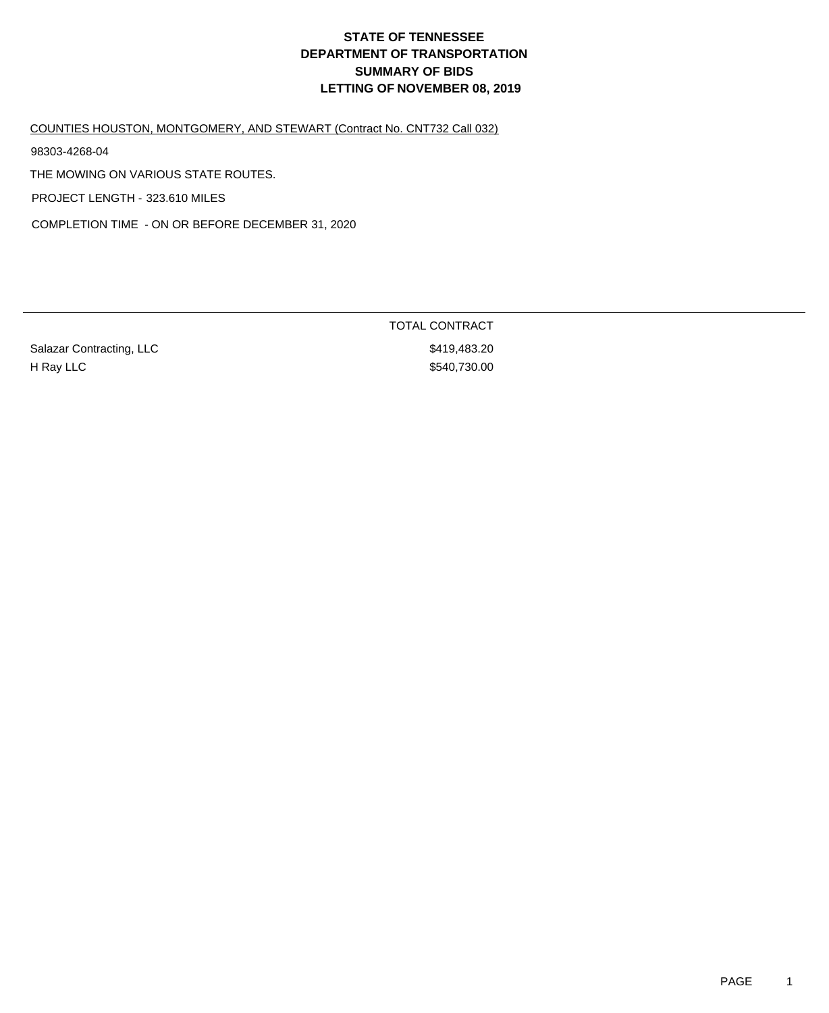COUNTIES HOUSTON, MONTGOMERY, AND STEWART (Contract No. CNT732 Call 032)

98303-4268-04

THE MOWING ON VARIOUS STATE ROUTES.

PROJECT LENGTH - 323.610 MILES

COMPLETION TIME - ON OR BEFORE DECEMBER 31, 2020

Salazar Contracting, LLC \$419,483.20 H Ray LLC \$540,730.00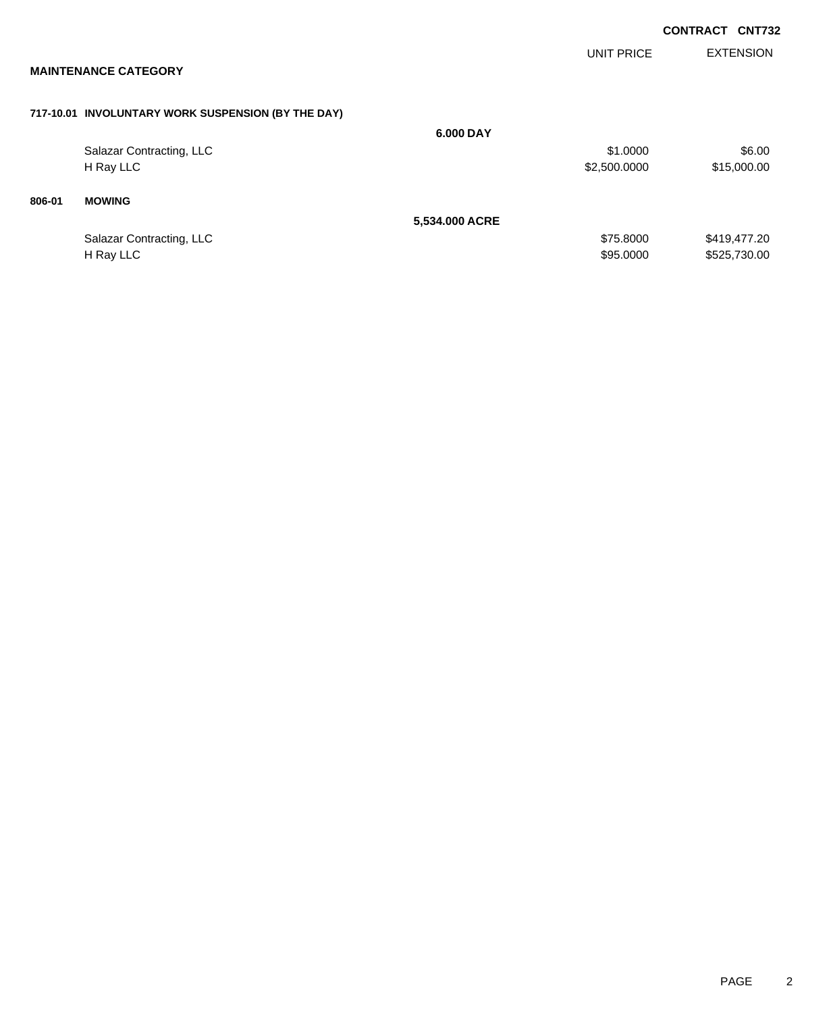|        | <b>MAINTENANCE CATEGORY</b>                        |                | UNIT PRICE   | <b>EXTENSION</b> |
|--------|----------------------------------------------------|----------------|--------------|------------------|
|        | 717-10.01 INVOLUNTARY WORK SUSPENSION (BY THE DAY) |                |              |                  |
|        |                                                    | 6.000 DAY      |              |                  |
|        | Salazar Contracting, LLC                           |                | \$1.0000     | \$6.00           |
|        | H Ray LLC                                          |                | \$2,500.0000 | \$15,000.00      |
| 806-01 | <b>MOWING</b>                                      |                |              |                  |
|        |                                                    | 5,534.000 ACRE |              |                  |
|        | Salazar Contracting, LLC                           |                | \$75.8000    | \$419,477.20     |
|        | H Ray LLC                                          |                | \$95.0000    | \$525,730.00     |
|        |                                                    |                |              |                  |

**CONTRACT CNT732**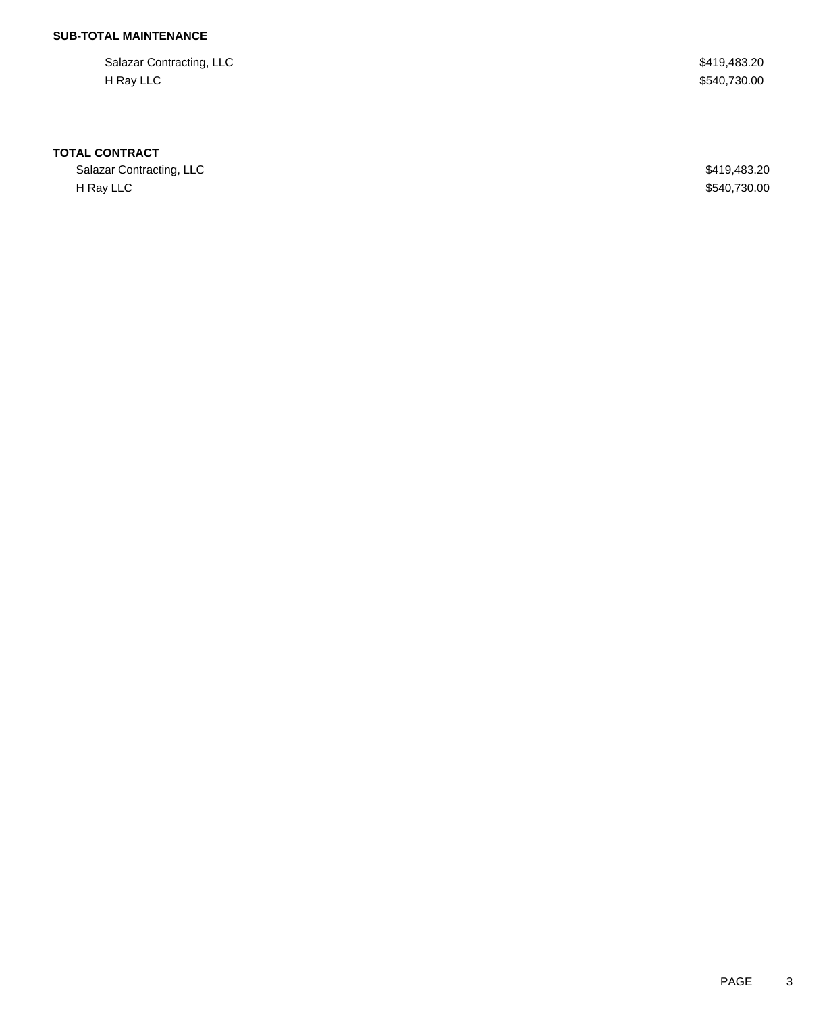Salazar Contracting, LLC \$419,483.20 H Ray LLC \$540,730.00

#### **TOTAL CONTRACT**

Salazar Contracting, LLC \$419,483.20 H Ray LLC \$540,730.00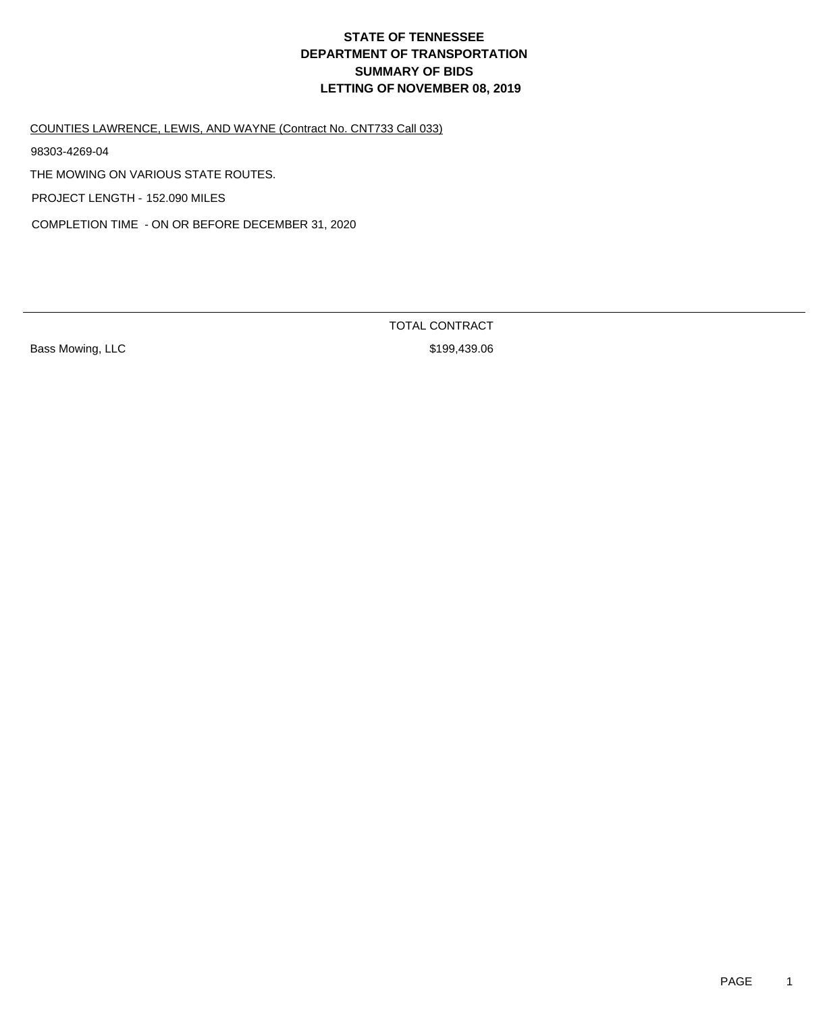COUNTIES LAWRENCE, LEWIS, AND WAYNE (Contract No. CNT733 Call 033)

98303-4269-04

THE MOWING ON VARIOUS STATE ROUTES.

PROJECT LENGTH - 152.090 MILES

COMPLETION TIME - ON OR BEFORE DECEMBER 31, 2020

Bass Mowing, LLC 6. 2008 199,439.06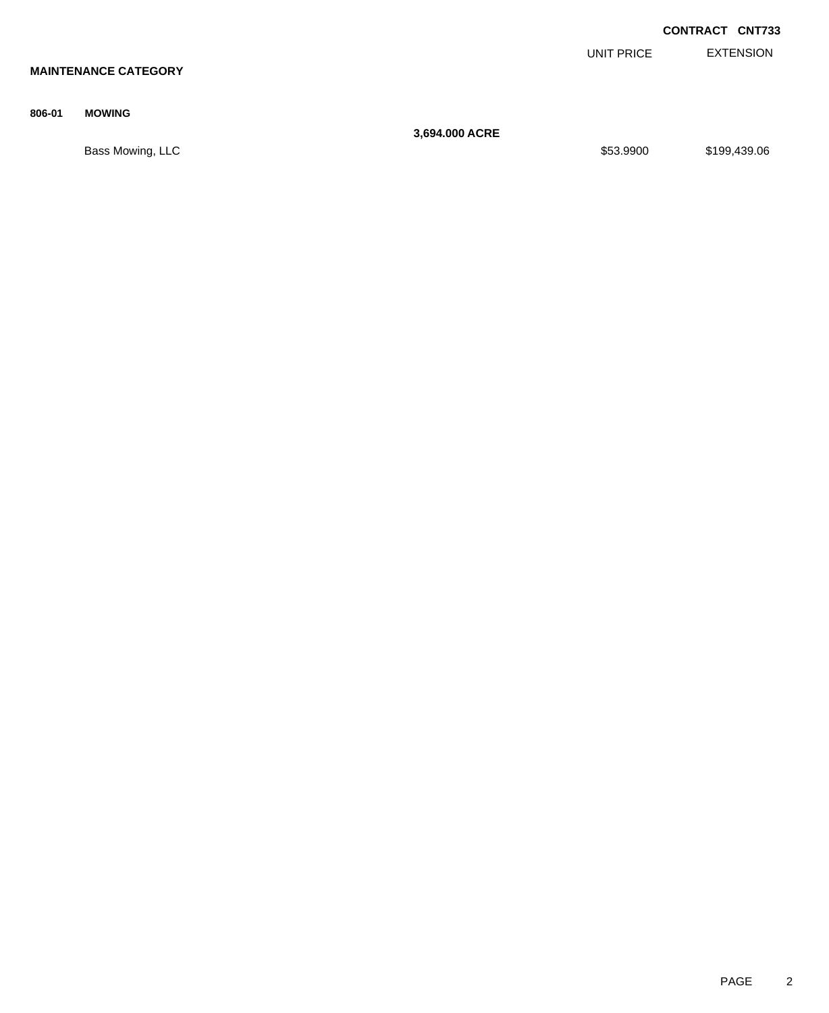|        |                             |                |            | <b>CONTRACT CNT733</b> |                  |
|--------|-----------------------------|----------------|------------|------------------------|------------------|
|        |                             |                | UNIT PRICE |                        | <b>EXTENSION</b> |
|        | <b>MAINTENANCE CATEGORY</b> |                |            |                        |                  |
|        |                             |                |            |                        |                  |
| 806-01 | <b>MOWING</b>               | 3,694.000 ACRE |            |                        |                  |
|        |                             |                |            |                        |                  |
|        | Bass Mowing, LLC            |                | \$53.9900  |                        | \$199,439.06     |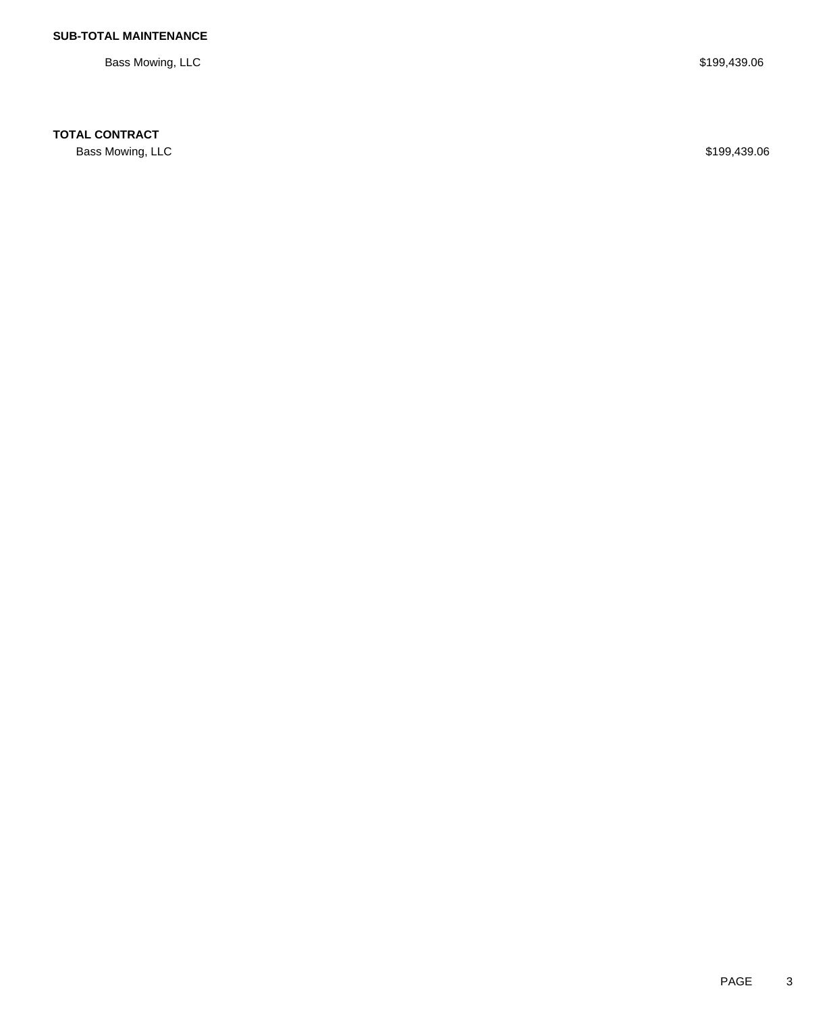Bass Mowing, LLC \$199,439.06

## **TOTAL CONTRACT**

Bass Mowing, LLC \$199,439.06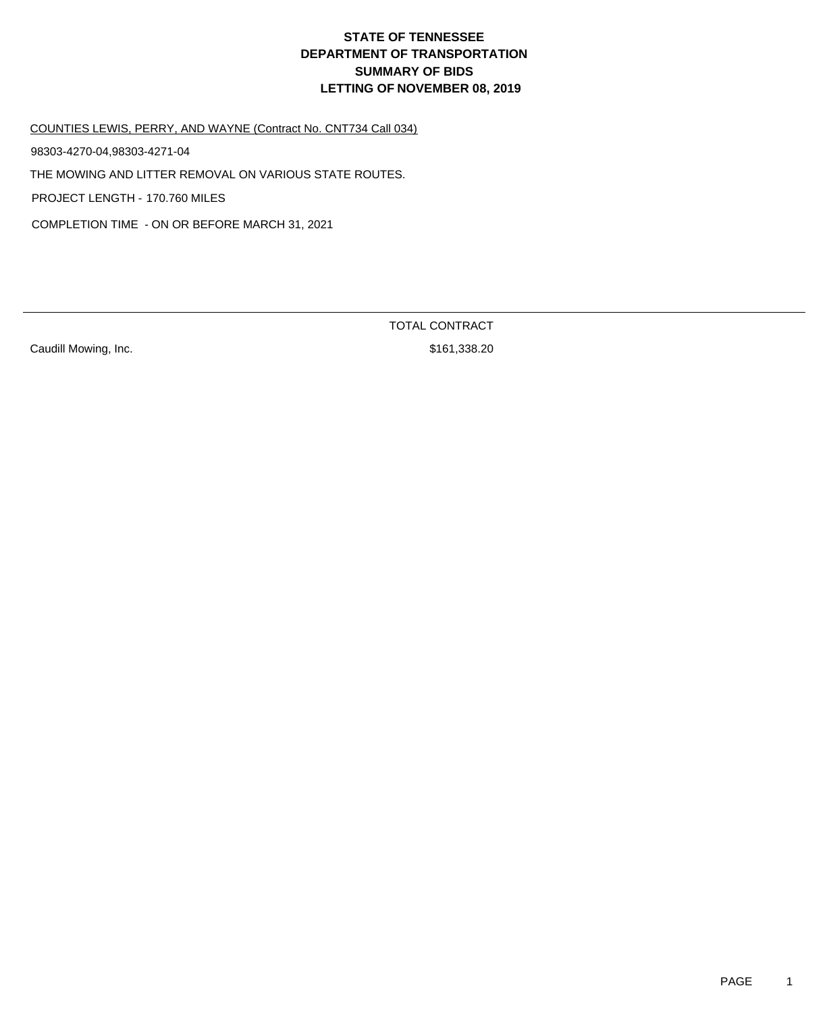COUNTIES LEWIS, PERRY, AND WAYNE (Contract No. CNT734 Call 034)

98303-4270-04,98303-4271-04

THE MOWING AND LITTER REMOVAL ON VARIOUS STATE ROUTES.

PROJECT LENGTH - 170.760 MILES

COMPLETION TIME - ON OR BEFORE MARCH 31, 2021

Caudill Mowing, Inc. **Example 20** S161,338.20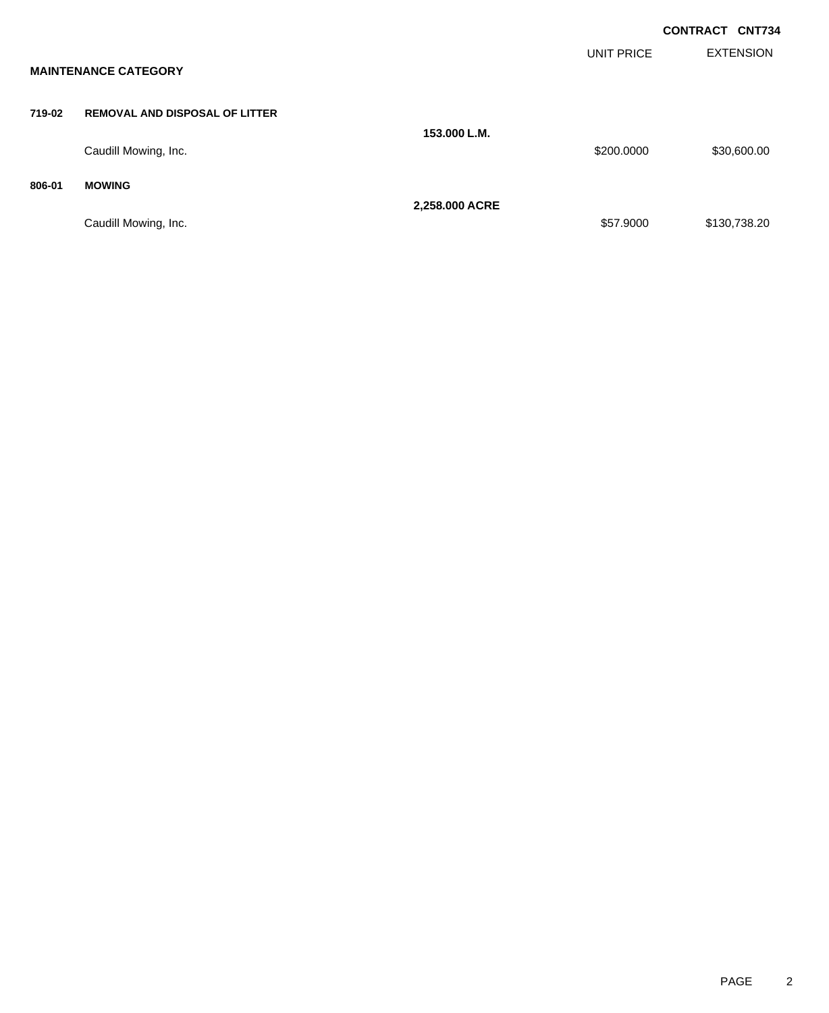|        |                                       |                |                   | <b>CONTRACT CNT734</b> |                  |
|--------|---------------------------------------|----------------|-------------------|------------------------|------------------|
|        | <b>MAINTENANCE CATEGORY</b>           |                | <b>UNIT PRICE</b> |                        | <b>EXTENSION</b> |
| 719-02 | <b>REMOVAL AND DISPOSAL OF LITTER</b> |                |                   |                        |                  |
|        | Caudill Mowing, Inc.                  | 153,000 L.M.   | \$200.0000        |                        | \$30,600.00      |
| 806-01 | <b>MOWING</b>                         | 2,258.000 ACRE |                   |                        |                  |
|        | Caudill Mowing, Inc.                  |                | \$57.9000         |                        | \$130,738.20     |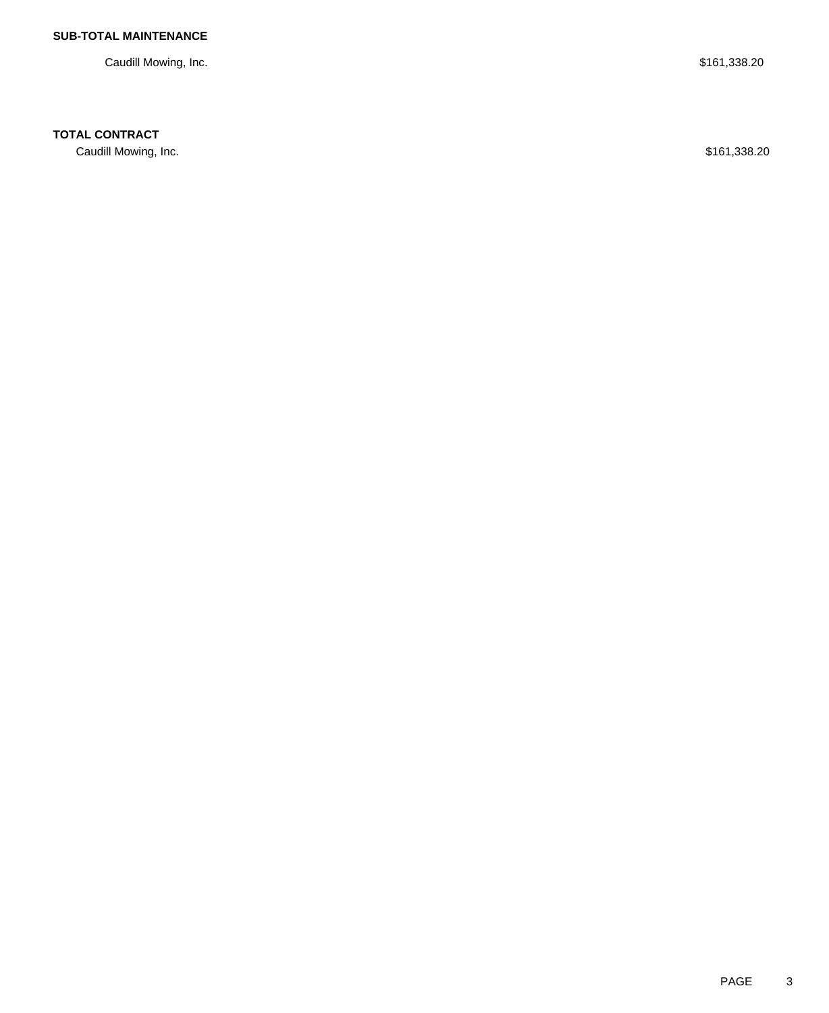Caudill Mowing, Inc. \$161,338.20

## **TOTAL CONTRACT**

Caudill Mowing, Inc. \$161,338.20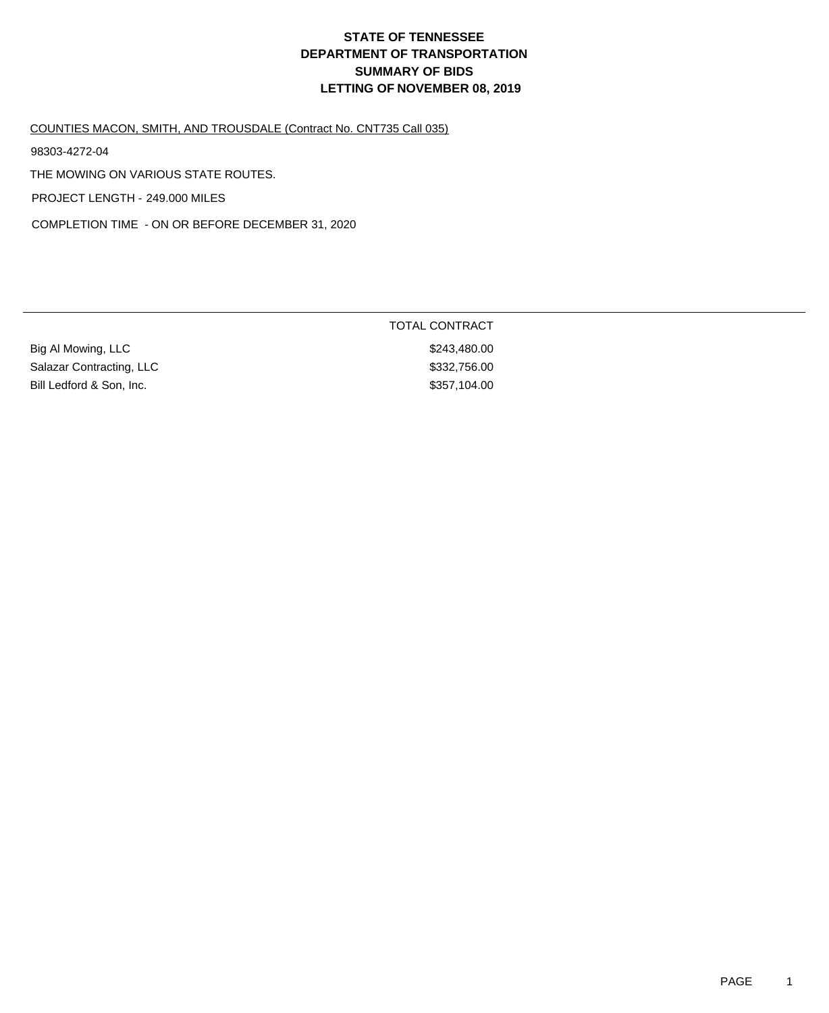TOTAL CONTRACT

#### COUNTIES MACON, SMITH, AND TROUSDALE (Contract No. CNT735 Call 035)

98303-4272-04

THE MOWING ON VARIOUS STATE ROUTES.

PROJECT LENGTH - 249.000 MILES

COMPLETION TIME - ON OR BEFORE DECEMBER 31, 2020

| Big Al Mowing, LLC       | \$243,480,00 |
|--------------------------|--------------|
| Salazar Contracting, LLC | \$332,756.00 |
| Bill Ledford & Son, Inc. | \$357,104.00 |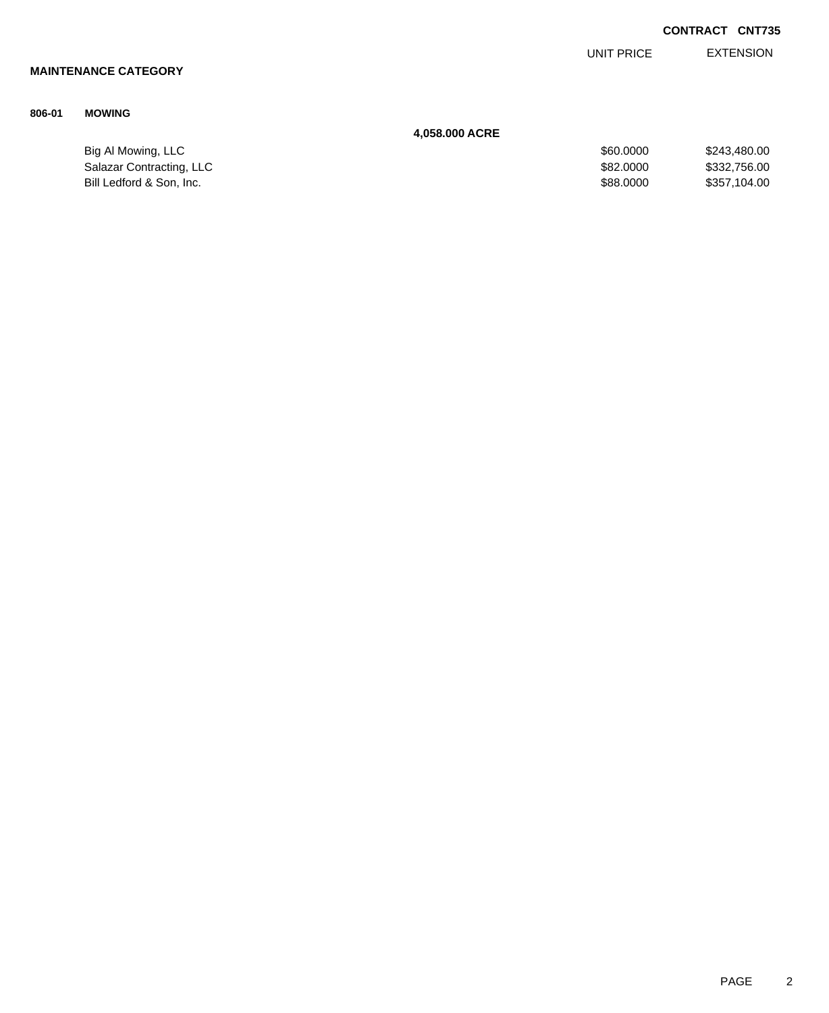| <b>CONTRACT CNT735</b> |  |
|------------------------|--|
|                        |  |

EXTENSION UNIT PRICE

# **MAINTENANCE CATEGORY**

### **806-01 MOWING**

#### **4,058.000 ACRE**

| Big Al Mowing, LLC       | \$60,0000 | \$243,480,00 |
|--------------------------|-----------|--------------|
| Salazar Contracting, LLC | \$82,0000 | \$332,756.00 |
| Bill Ledford & Son, Inc. | \$88,0000 | \$357,104.00 |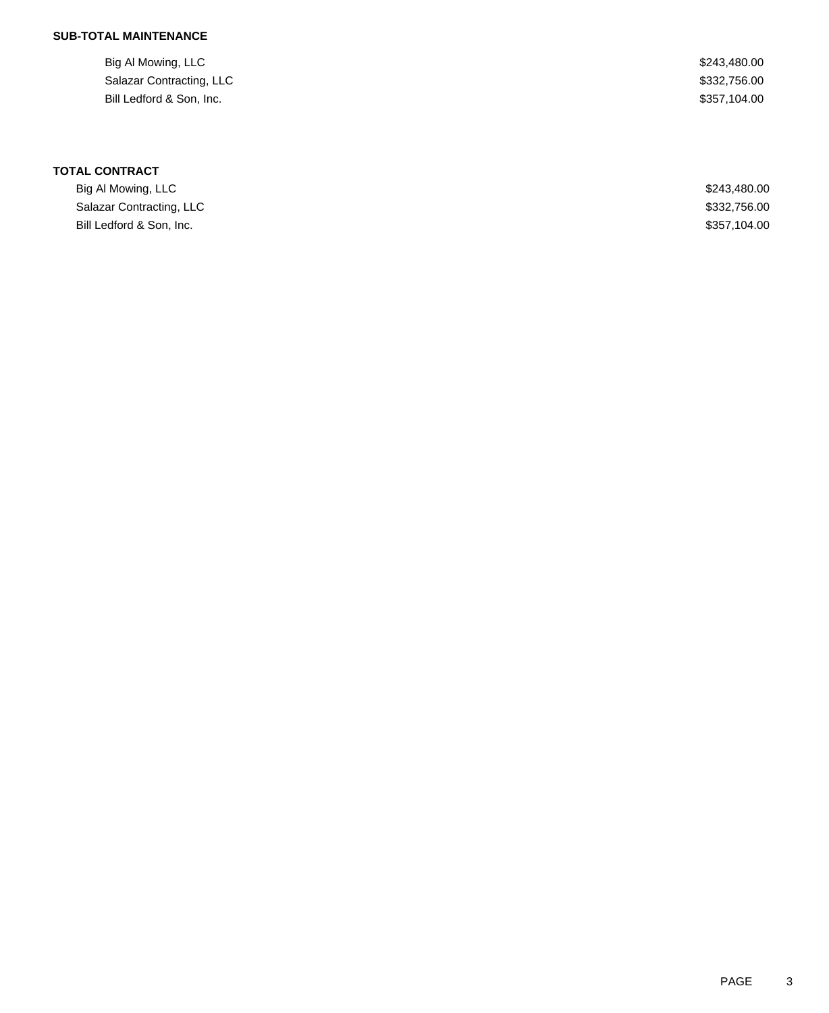| Big Al Mowing, LLC       | \$243,480.00 |
|--------------------------|--------------|
| Salazar Contracting, LLC | \$332,756.00 |
| Bill Ledford & Son, Inc. | \$357.104.00 |

| Big Al Mowing, LLC       | \$243,480,00 |
|--------------------------|--------------|
| Salazar Contracting, LLC | \$332,756.00 |
| Bill Ledford & Son, Inc. | \$357,104,00 |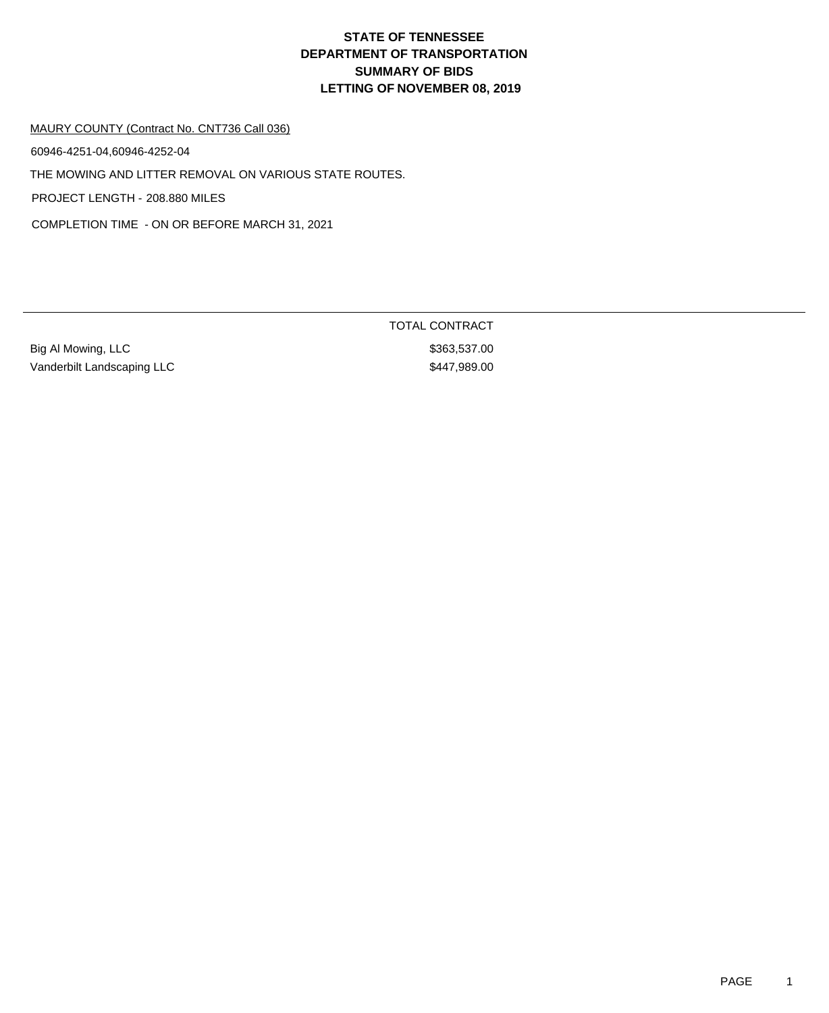#### MAURY COUNTY (Contract No. CNT736 Call 036)

60946-4251-04,60946-4252-04

THE MOWING AND LITTER REMOVAL ON VARIOUS STATE ROUTES.

PROJECT LENGTH - 208.880 MILES

COMPLETION TIME - ON OR BEFORE MARCH 31, 2021

Big Al Mowing, LLC 6. 2010 12:38:383,537.00 Vanderbilt Landscaping LLC \$447,989.00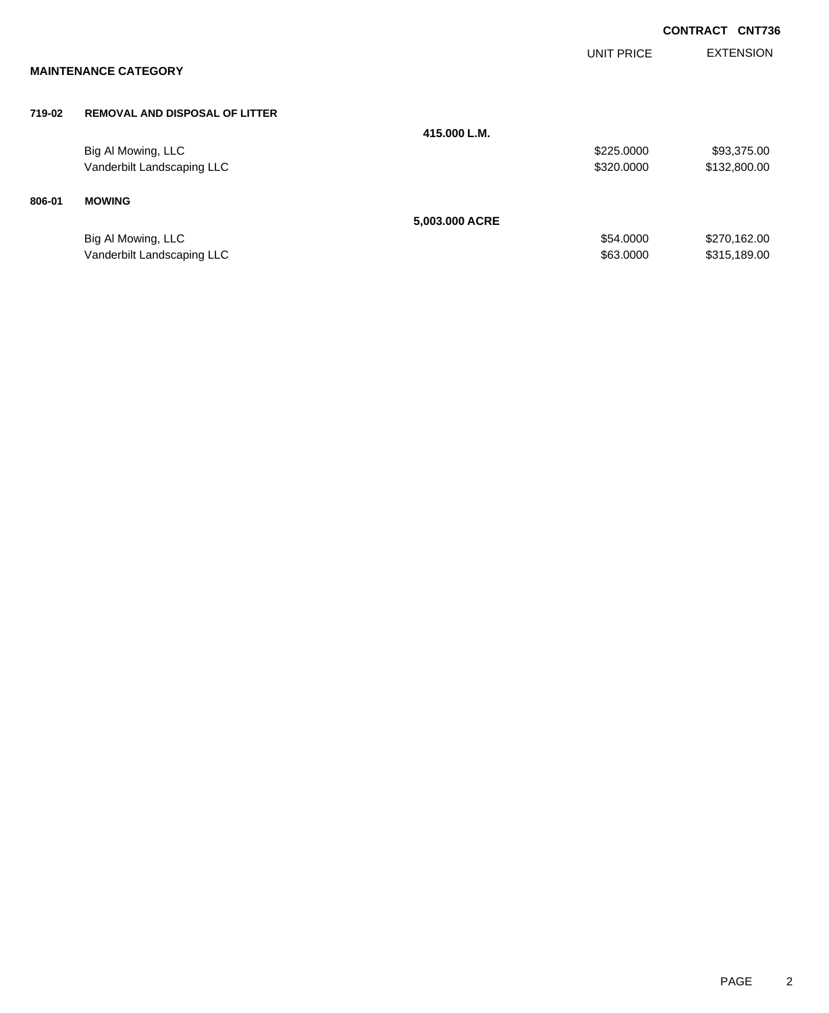|        |                                       |                |                   | <b>CONTRACT</b><br><b>CNT736</b> |
|--------|---------------------------------------|----------------|-------------------|----------------------------------|
|        | <b>MAINTENANCE CATEGORY</b>           |                | <b>UNIT PRICE</b> | <b>EXTENSION</b>                 |
| 719-02 | <b>REMOVAL AND DISPOSAL OF LITTER</b> |                |                   |                                  |
|        |                                       | 415,000 L.M.   |                   |                                  |
|        | Big Al Mowing, LLC                    |                | \$225.0000        | \$93,375.00                      |
|        | Vanderbilt Landscaping LLC            |                | \$320.0000        | \$132,800.00                     |
| 806-01 | <b>MOWING</b>                         |                |                   |                                  |
|        |                                       | 5,003.000 ACRE |                   |                                  |
|        | Big Al Mowing, LLC                    |                | \$54.0000         | \$270,162.00                     |
|        | Vanderbilt Landscaping LLC            |                | \$63,0000         | \$315,189.00                     |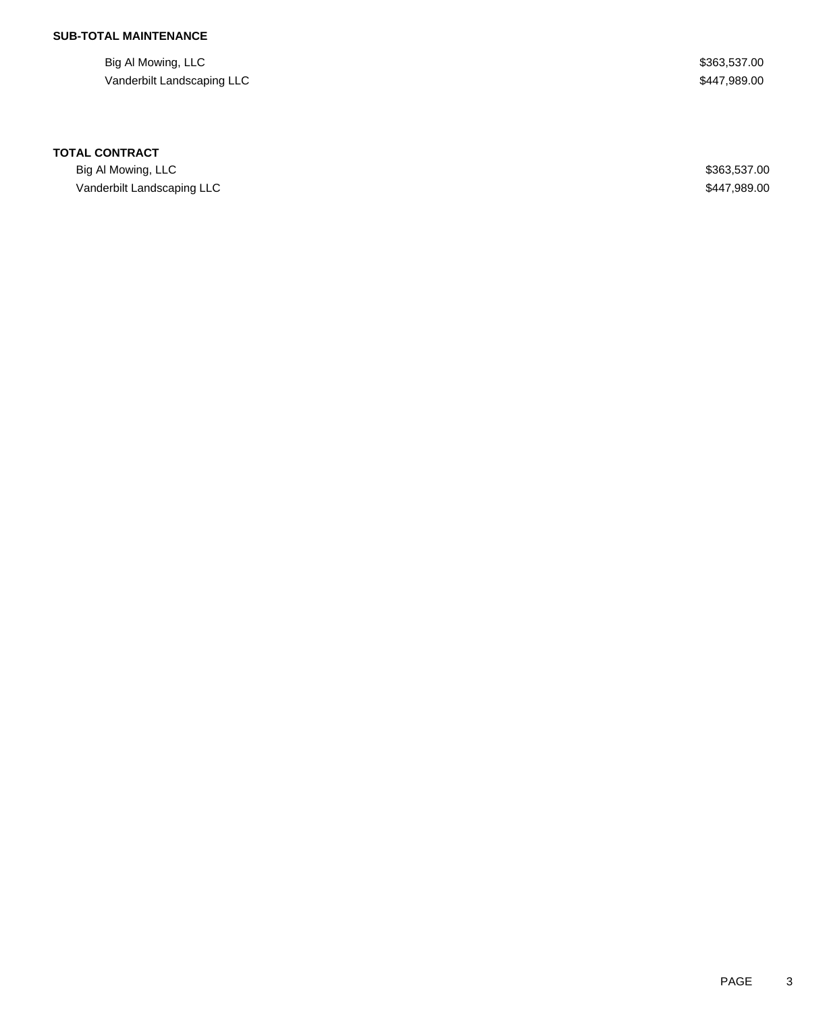Big Al Mowing, LLC \$363,537.00 Vanderbilt Landscaping LLC **\$447,989.00** \$447,989.00

#### **TOTAL CONTRACT**

Big Al Mowing, LLC \$363,537.00 Vanderbilt Landscaping LLC **\$447,989.00**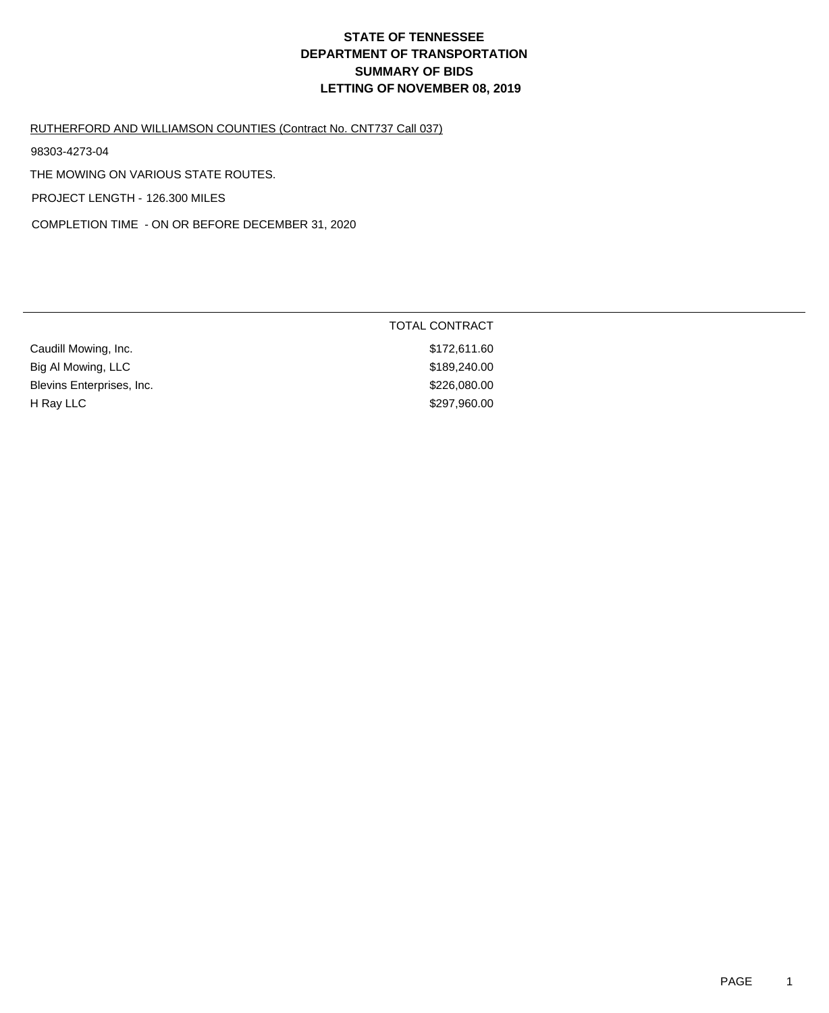#### RUTHERFORD AND WILLIAMSON COUNTIES (Contract No. CNT737 Call 037)

98303-4273-04

THE MOWING ON VARIOUS STATE ROUTES.

PROJECT LENGTH - 126.300 MILES

COMPLETION TIME - ON OR BEFORE DECEMBER 31, 2020

|                           | <b>TOTAL CONTRACT</b> |
|---------------------------|-----------------------|
| Caudill Mowing, Inc.      | \$172,611.60          |
| Big Al Mowing, LLC        | \$189,240.00          |
| Blevins Enterprises, Inc. | \$226,080.00          |
| H Ray LLC                 | \$297,960.00          |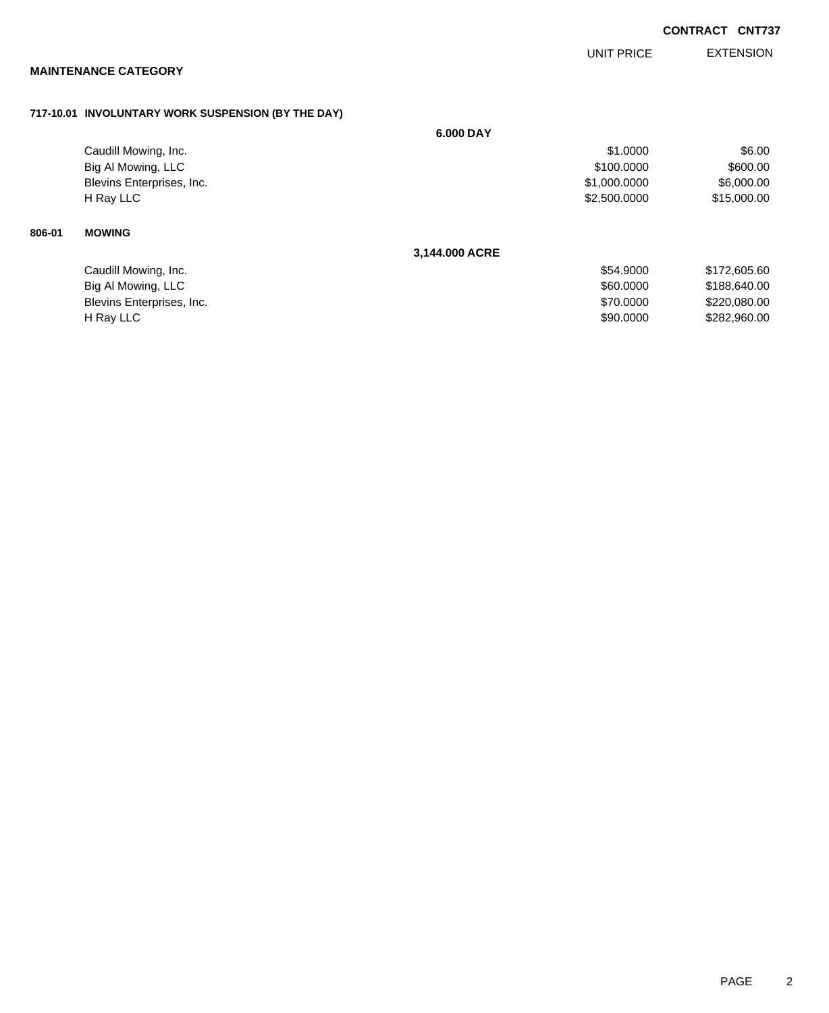**CONTRACT CNT737**

EXTENSION UNIT PRICE

# **MAINTENANCE CATEGORY**

## **717-10.01 INVOLUNTARY WORK SUSPENSION (BY THE DAY)**

|        |                           | 6.000 DAY      |              |              |
|--------|---------------------------|----------------|--------------|--------------|
|        | Caudill Mowing, Inc.      |                | \$1.0000     | \$6.00       |
|        | Big Al Mowing, LLC        |                | \$100.0000   | \$600.00     |
|        | Blevins Enterprises, Inc. |                | \$1,000.0000 | \$6,000.00   |
|        | H Ray LLC                 |                | \$2,500.0000 | \$15,000.00  |
| 806-01 | <b>MOWING</b>             |                |              |              |
|        |                           | 3,144.000 ACRE |              |              |
|        | Caudill Mowing, Inc.      |                | \$54.9000    | \$172,605.60 |
|        | Big Al Mowing, LLC        |                | \$60.0000    | \$188,640.00 |
|        | Blevins Enterprises, Inc. |                | \$70.0000    | \$220,080.00 |
|        | H Ray LLC                 |                | \$90.0000    | \$282,960.00 |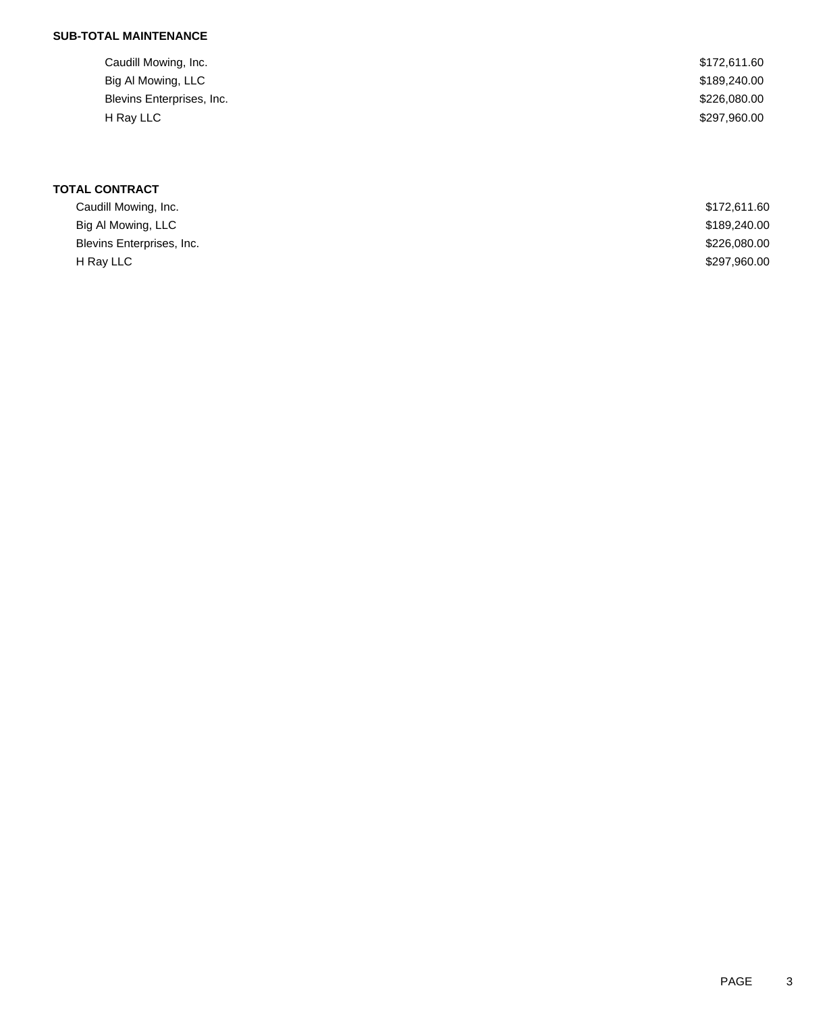| Caudill Mowing, Inc.      | \$172,611.60 |
|---------------------------|--------------|
| Big Al Mowing, LLC        | \$189,240.00 |
| Blevins Enterprises, Inc. | \$226,080.00 |
| H Ray LLC                 | \$297,960.00 |
|                           |              |

| Caudill Mowing, Inc.      | \$172,611.60 |
|---------------------------|--------------|
| Big Al Mowing, LLC        | \$189,240.00 |
| Blevins Enterprises, Inc. | \$226,080.00 |
| H Ray LLC                 | \$297,960.00 |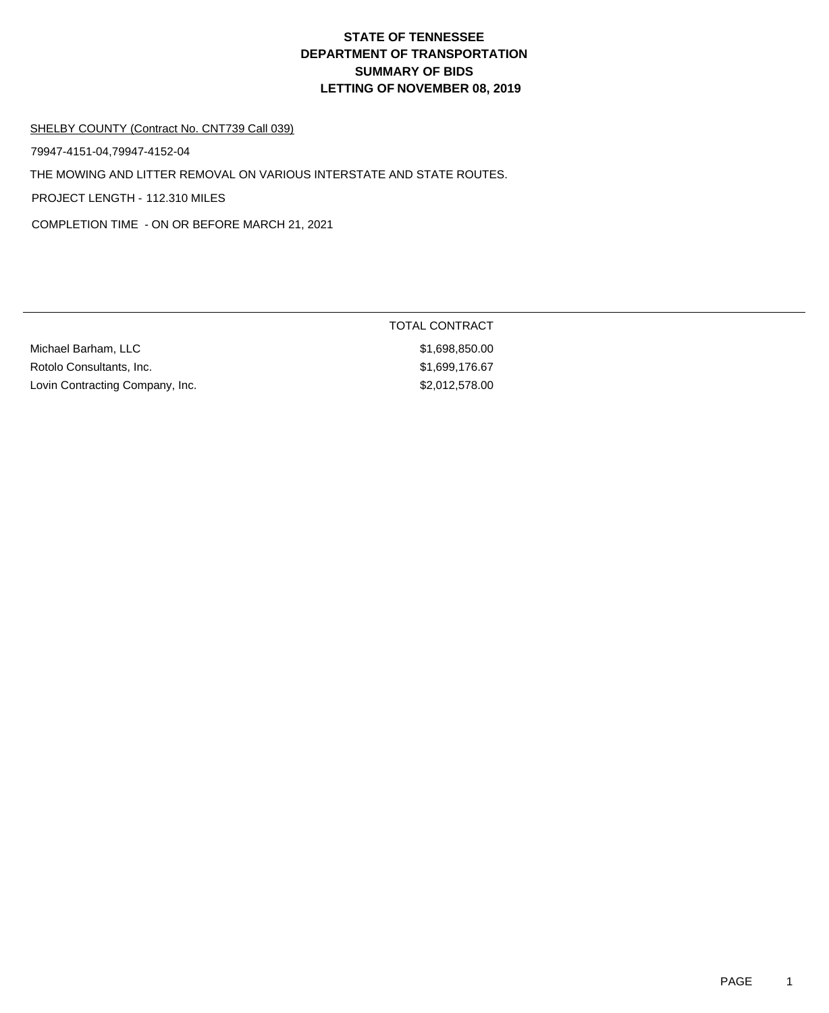TOTAL CONTRACT

#### SHELBY COUNTY (Contract No. CNT739 Call 039)

79947-4151-04,79947-4152-04

THE MOWING AND LITTER REMOVAL ON VARIOUS INTERSTATE AND STATE ROUTES.

PROJECT LENGTH - 112.310 MILES

COMPLETION TIME - ON OR BEFORE MARCH 21, 2021

| Michael Barham, LLC             | \$1.698.850.00 |
|---------------------------------|----------------|
| Rotolo Consultants, Inc.        | \$1,699,176,67 |
| Lovin Contracting Company, Inc. | \$2,012,578.00 |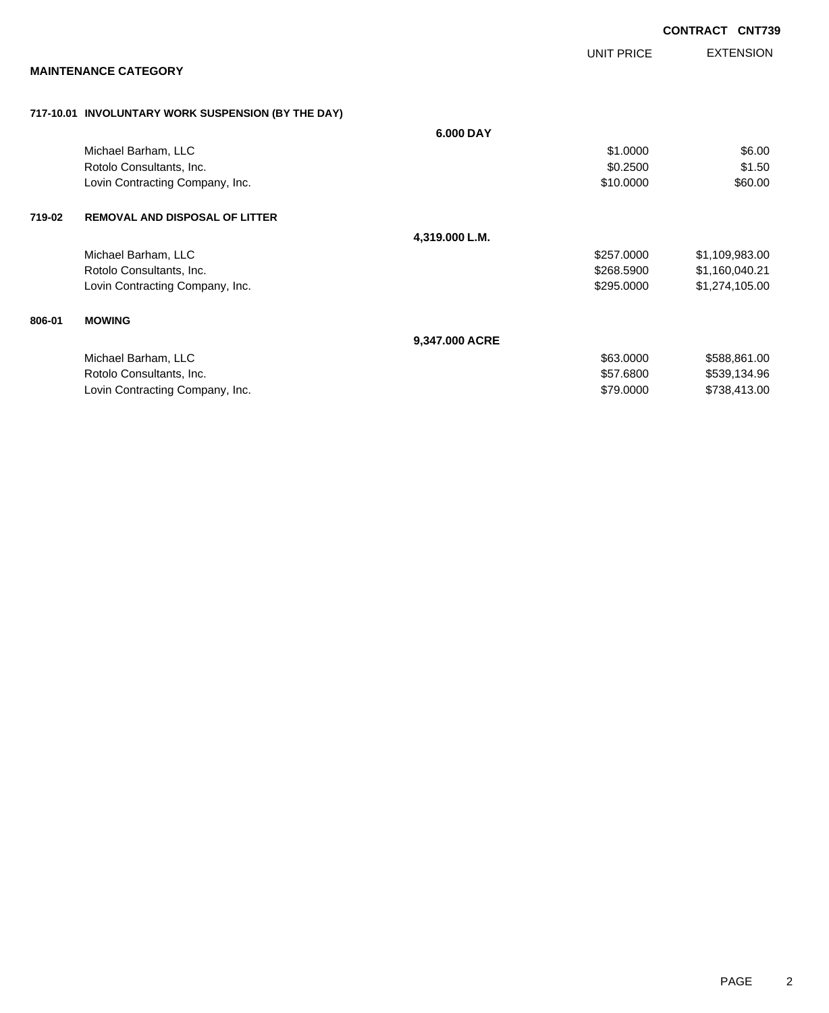| <b>EXTENSION</b> |
|------------------|
|                  |
|                  |
|                  |
|                  |
| \$6.00           |
| \$1.50           |
| \$60.00          |
|                  |
|                  |
| \$1,109,983.00   |
| \$1,160,040.21   |
| \$1,274,105.00   |
|                  |
|                  |
| \$588,861.00     |
| \$539,134.96     |
|                  |
|                  |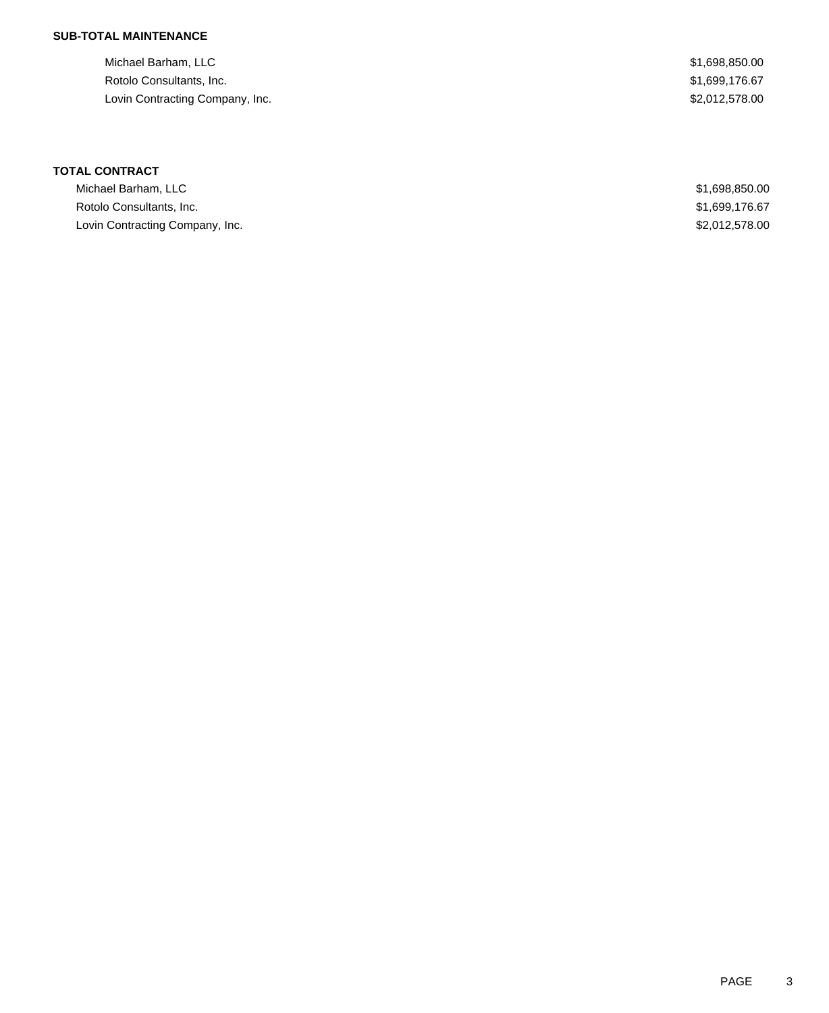| Michael Barham, LLC             |  |  |
|---------------------------------|--|--|
| Rotolo Consultants, Inc.        |  |  |
| Lovin Contracting Company, Inc. |  |  |

\$1,698,850.00  $$1,699,176.67$  $$2,012,578.00$ 

| Michael Barham, LLC             | \$1,698,850.00 |
|---------------------------------|----------------|
| Rotolo Consultants, Inc.        | \$1,699,176,67 |
| Lovin Contracting Company, Inc. | \$2,012,578,00 |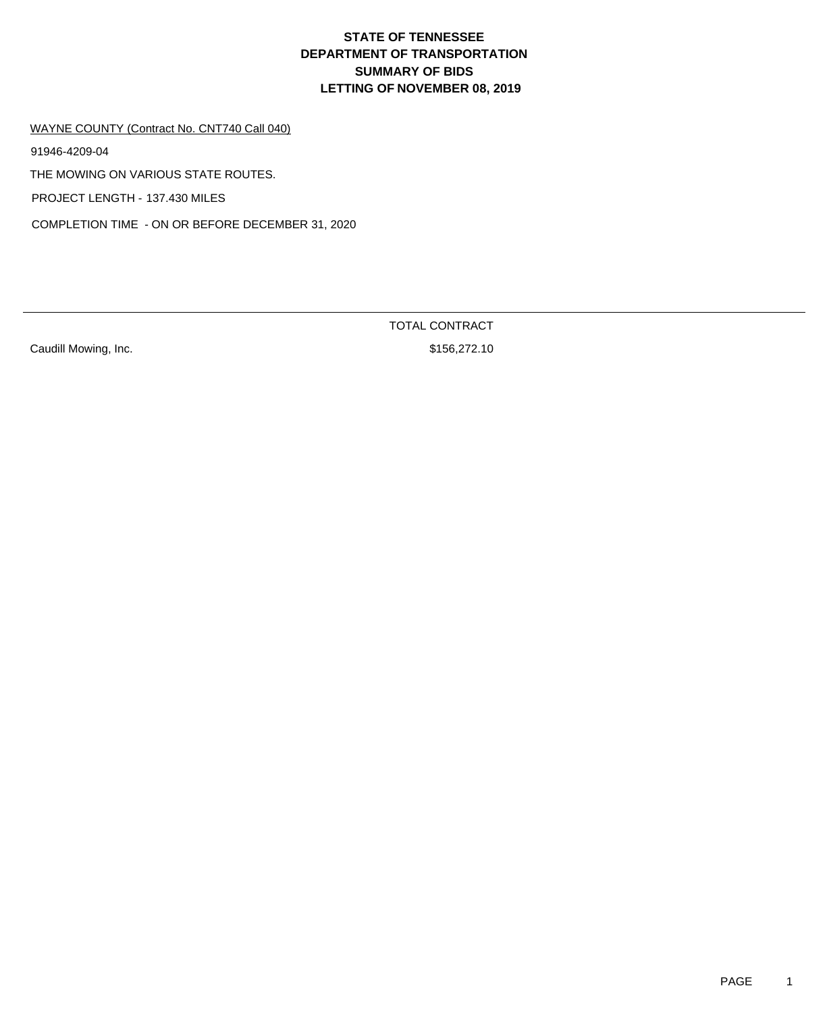WAYNE COUNTY (Contract No. CNT740 Call 040)

91946-4209-04

THE MOWING ON VARIOUS STATE ROUTES.

PROJECT LENGTH - 137.430 MILES

COMPLETION TIME - ON OR BEFORE DECEMBER 31, 2020

Caudill Mowing, Inc. **Example 20** Strategies 2018 156,272.10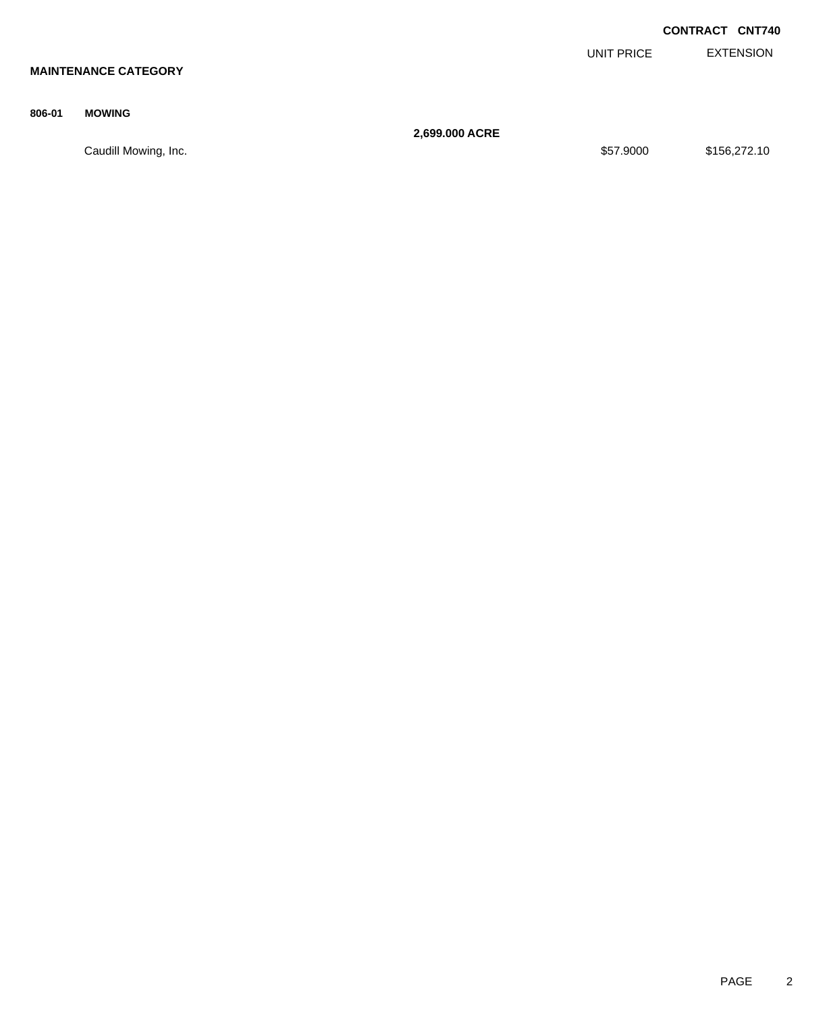|        |                             |                |            | <b>CONTRACT CNT740</b> |
|--------|-----------------------------|----------------|------------|------------------------|
|        |                             |                | UNIT PRICE | <b>EXTENSION</b>       |
|        | <b>MAINTENANCE CATEGORY</b> |                |            |                        |
| 806-01 | <b>MOWING</b>               |                |            |                        |
|        |                             | 2,699.000 ACRE |            |                        |
|        | Caudill Mowing, Inc.        |                | \$57.9000  | \$156,272.10           |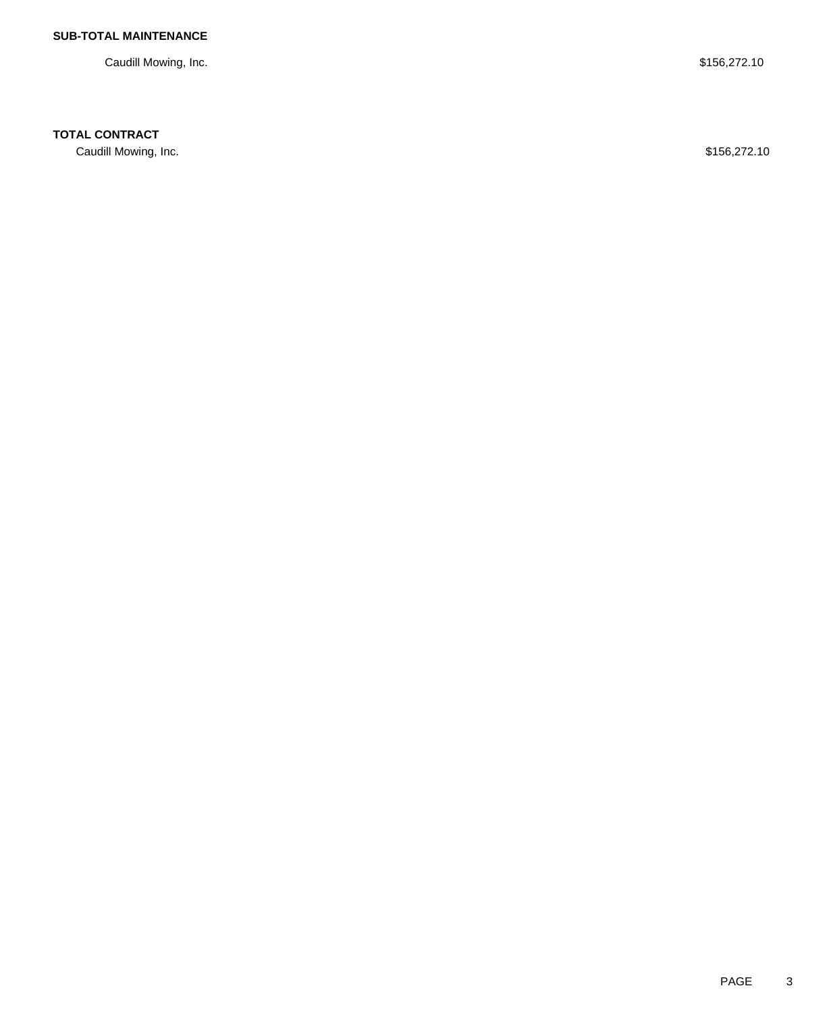Caudill Mowing, Inc. \$156,272.10

## **TOTAL CONTRACT**

Caudill Mowing, Inc. \$156,272.10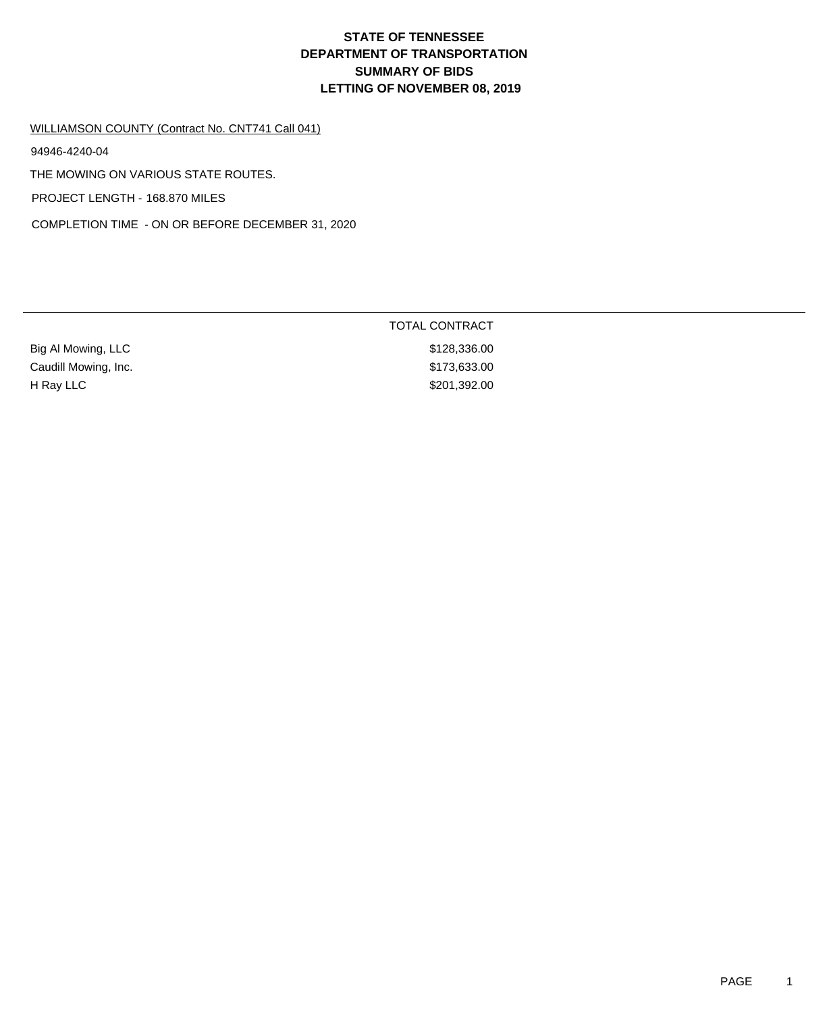#### WILLIAMSON COUNTY (Contract No. CNT741 Call 041)

94946-4240-04

THE MOWING ON VARIOUS STATE ROUTES.

PROJECT LENGTH - 168.870 MILES

COMPLETION TIME - ON OR BEFORE DECEMBER 31, 2020

|                      | <b>TOTAL CONTRACT</b> |  |
|----------------------|-----------------------|--|
| Big Al Mowing, LLC   | \$128,336.00          |  |
| Caudill Mowing, Inc. | \$173,633.00          |  |
| H Ray LLC            | \$201,392.00          |  |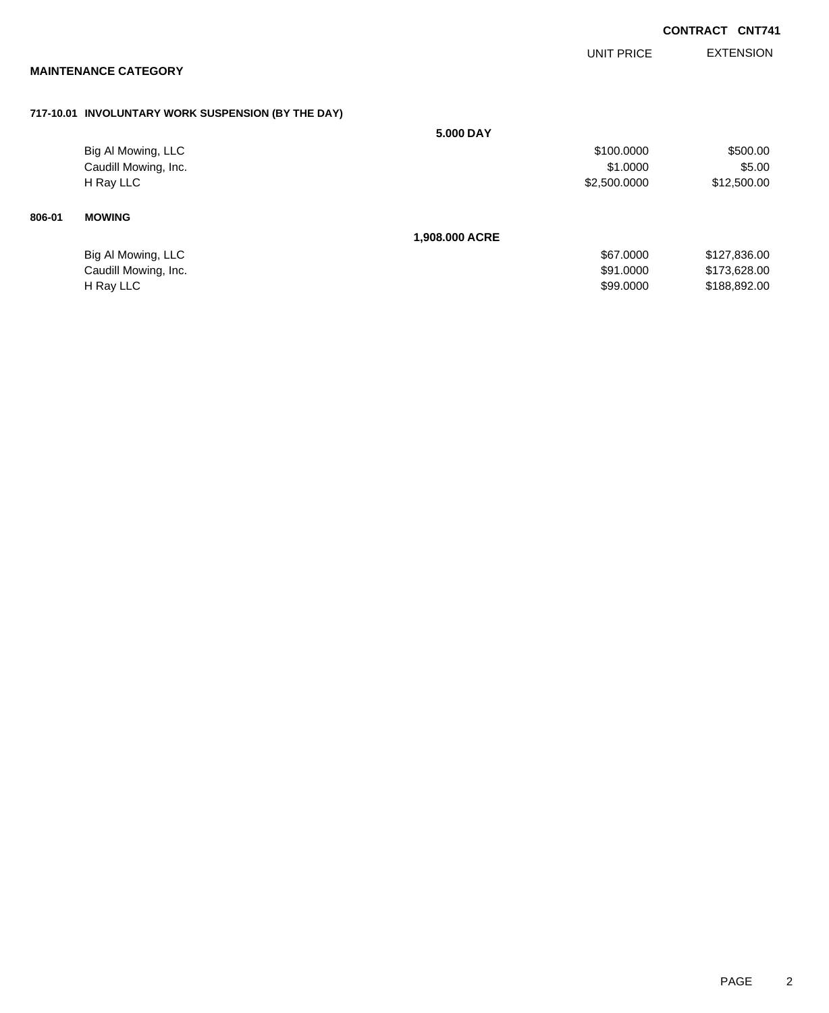|        |                                                    |                |                   | <b>CONTRACT CNT741</b> |                  |
|--------|----------------------------------------------------|----------------|-------------------|------------------------|------------------|
|        | <b>MAINTENANCE CATEGORY</b>                        |                | <b>UNIT PRICE</b> |                        | <b>EXTENSION</b> |
|        | 717-10.01 INVOLUNTARY WORK SUSPENSION (BY THE DAY) |                |                   |                        |                  |
|        |                                                    | 5.000 DAY      |                   |                        |                  |
|        | Big Al Mowing, LLC                                 |                | \$100.0000        |                        | \$500.00         |
|        | Caudill Mowing, Inc.                               |                | \$1.0000          |                        | \$5.00           |
|        | H Ray LLC                                          |                | \$2,500.0000      |                        | \$12,500.00      |
| 806-01 | <b>MOWING</b>                                      |                |                   |                        |                  |
|        |                                                    | 1,908.000 ACRE |                   |                        |                  |
|        | Big Al Mowing, LLC                                 |                | \$67.0000         |                        | \$127,836.00     |
|        | Caudill Mowing, Inc.                               |                | \$91.0000         |                        | \$173,628.00     |
|        | H Ray LLC                                          |                | \$99.0000         |                        | \$188,892.00     |
|        |                                                    |                |                   |                        |                  |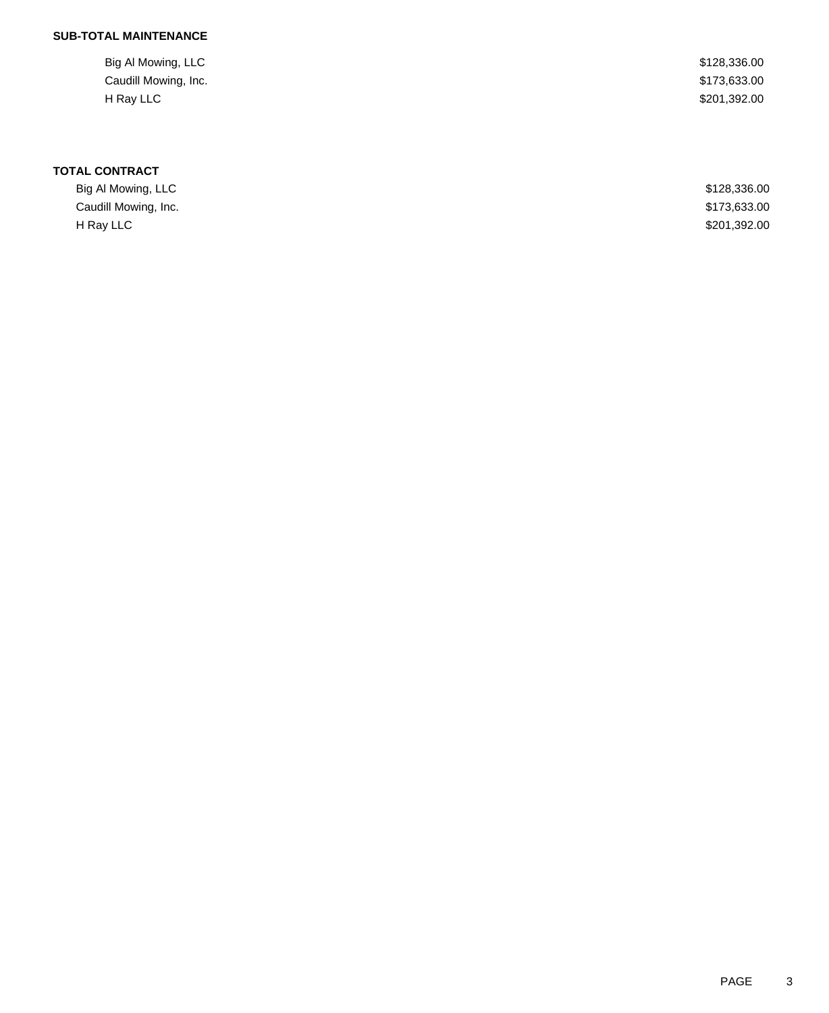| Big Al Mowing, LLC   | \$128,336.00 |
|----------------------|--------------|
| Caudill Mowing, Inc. | \$173,633.00 |
| H Ray LLC            | \$201,392.00 |

| Big Al Mowing, LLC   | \$128,336.00 |
|----------------------|--------------|
| Caudill Mowing, Inc. | \$173,633.00 |
| H Ray LLC            | \$201,392.00 |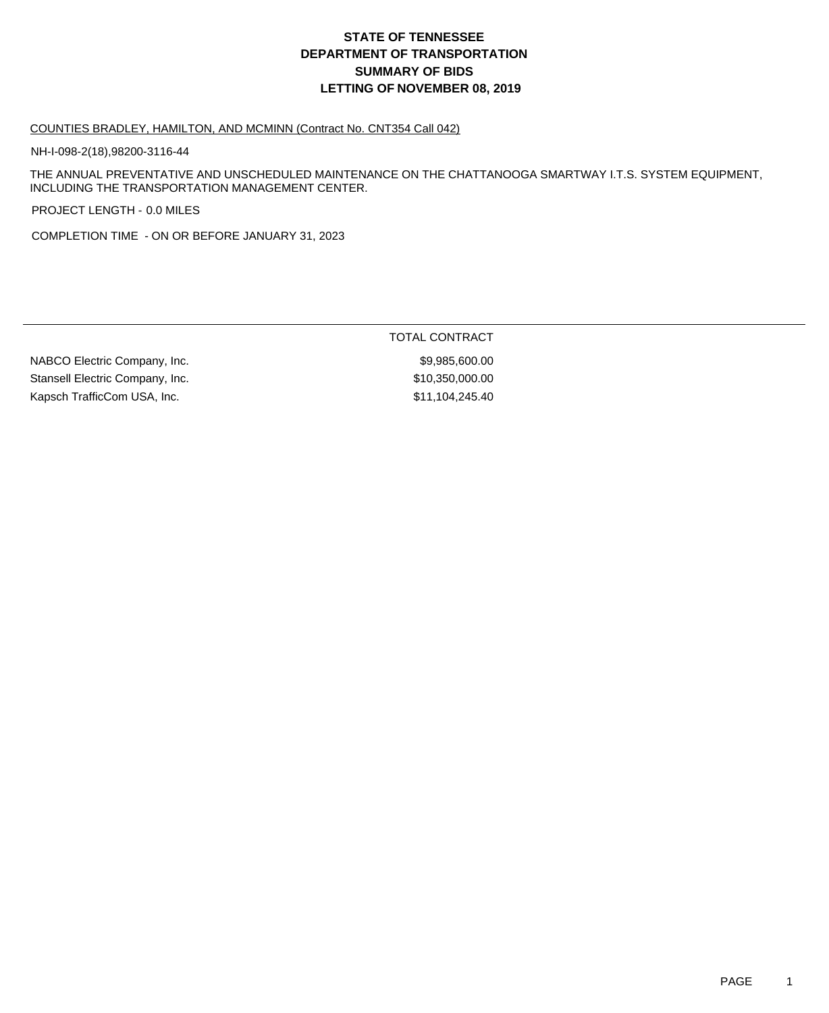#### COUNTIES BRADLEY, HAMILTON, AND MCMINN (Contract No. CNT354 Call 042)

NH-I-098-2(18),98200-3116-44

THE ANNUAL PREVENTATIVE AND UNSCHEDULED MAINTENANCE ON THE CHATTANOOGA SMARTWAY I.T.S. SYSTEM EQUIPMENT, INCLUDING THE TRANSPORTATION MANAGEMENT CENTER.

PROJECT LENGTH - 0.0 MILES

COMPLETION TIME - ON OR BEFORE JANUARY 31, 2023

TOTAL CONTRACT

NABCO Electric Company, Inc. 69,985,600.00 Stansell Electric Company, Inc. 6. The Stansell Electric Company, Inc. 6. The Stansell Electric Company, Inc. Kapsch TrafficCom USA, Inc. 6. The State of the State of State State State State State State State State State State State State State State State State State State State State State State State State State State State Sta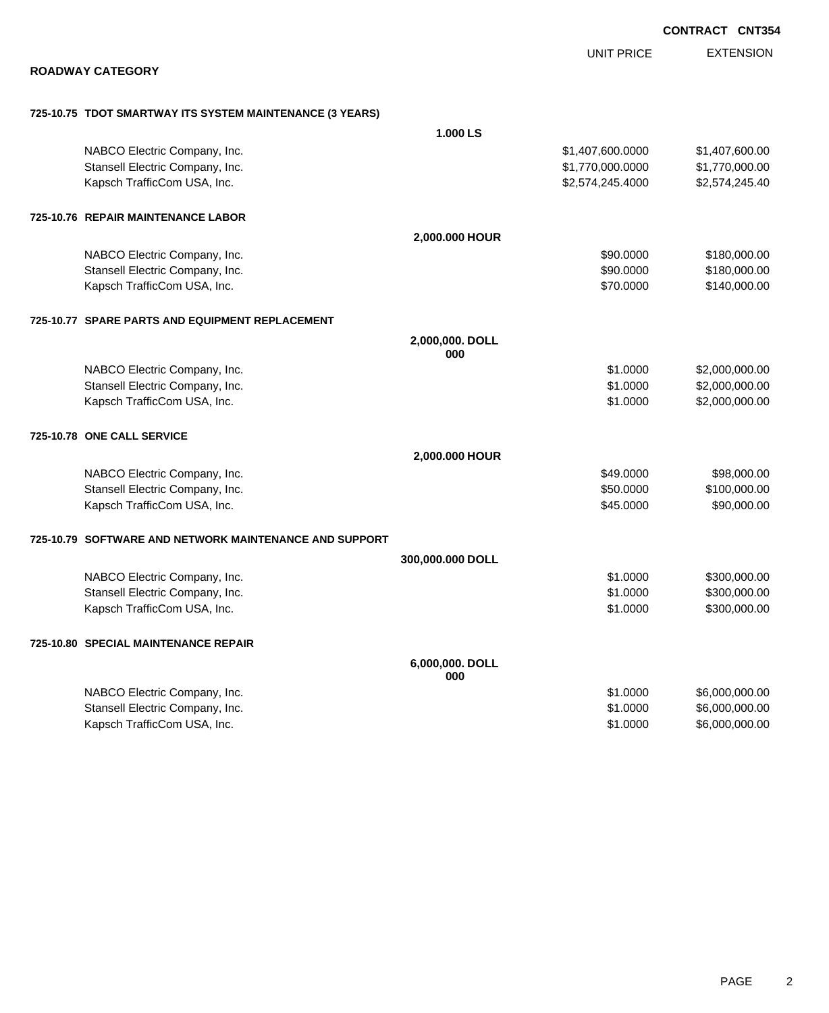|                                                                 |                        | <b>CONTRACT CNT354</b>           |
|-----------------------------------------------------------------|------------------------|----------------------------------|
|                                                                 | <b>UNIT PRICE</b>      | <b>EXTENSION</b>                 |
| <b>ROADWAY CATEGORY</b>                                         |                        |                                  |
|                                                                 |                        |                                  |
| 725-10.75 TDOT SMARTWAY ITS SYSTEM MAINTENANCE (3 YEARS)        |                        |                                  |
|                                                                 | 1.000 LS               |                                  |
| NABCO Electric Company, Inc.                                    | \$1,407,600.0000       | \$1,407,600.00                   |
| Stansell Electric Company, Inc.                                 | \$1,770,000.0000       | \$1,770,000.00                   |
| Kapsch TrafficCom USA, Inc.                                     | \$2,574,245.4000       | \$2,574,245.40                   |
| 725-10.76 REPAIR MAINTENANCE LABOR                              |                        |                                  |
|                                                                 | 2,000.000 HOUR         |                                  |
| NABCO Electric Company, Inc.                                    | \$90.0000              | \$180,000.00                     |
| Stansell Electric Company, Inc.                                 | \$90.0000              | \$180,000.00                     |
| Kapsch TrafficCom USA, Inc.                                     | \$70.0000              | \$140,000.00                     |
| 725-10.77 SPARE PARTS AND EQUIPMENT REPLACEMENT                 |                        |                                  |
|                                                                 | 2,000,000. DOLL        |                                  |
|                                                                 | 000                    |                                  |
| NABCO Electric Company, Inc.<br>Stansell Electric Company, Inc. | \$1.0000<br>\$1.0000   | \$2,000,000.00<br>\$2,000,000.00 |
| Kapsch TrafficCom USA, Inc.                                     | \$1.0000               | \$2,000,000.00                   |
|                                                                 |                        |                                  |
| 725-10.78 ONE CALL SERVICE                                      |                        |                                  |
|                                                                 | 2,000.000 HOUR         |                                  |
| NABCO Electric Company, Inc.                                    | \$49.0000              | \$98,000.00                      |
| Stansell Electric Company, Inc.                                 | \$50.0000              | \$100,000.00                     |
| Kapsch TrafficCom USA, Inc.                                     | \$45.0000              | \$90,000.00                      |
| 725-10.79 SOFTWARE AND NETWORK MAINTENANCE AND SUPPORT          |                        |                                  |
|                                                                 | 300,000.000 DOLL       |                                  |
| NABCO Electric Company, Inc.                                    | \$1.0000               | \$300,000.00                     |
| Stansell Electric Company, Inc.                                 | \$1.0000               | \$300,000.00                     |
| Kapsch TrafficCom USA, Inc.                                     | \$1.0000               | \$300,000.00                     |
| 725-10.80 SPECIAL MAINTENANCE REPAIR                            |                        |                                  |
|                                                                 | 6,000,000. DOLL<br>000 |                                  |
| NABCO Electric Company, Inc.                                    | \$1.0000               | \$6,000,000.00                   |
| Stansell Electric Company, Inc.                                 | \$1.0000               | \$6,000,000.00                   |
| Kapsch TrafficCom USA, Inc.                                     | \$1.0000               | \$6,000,000.00                   |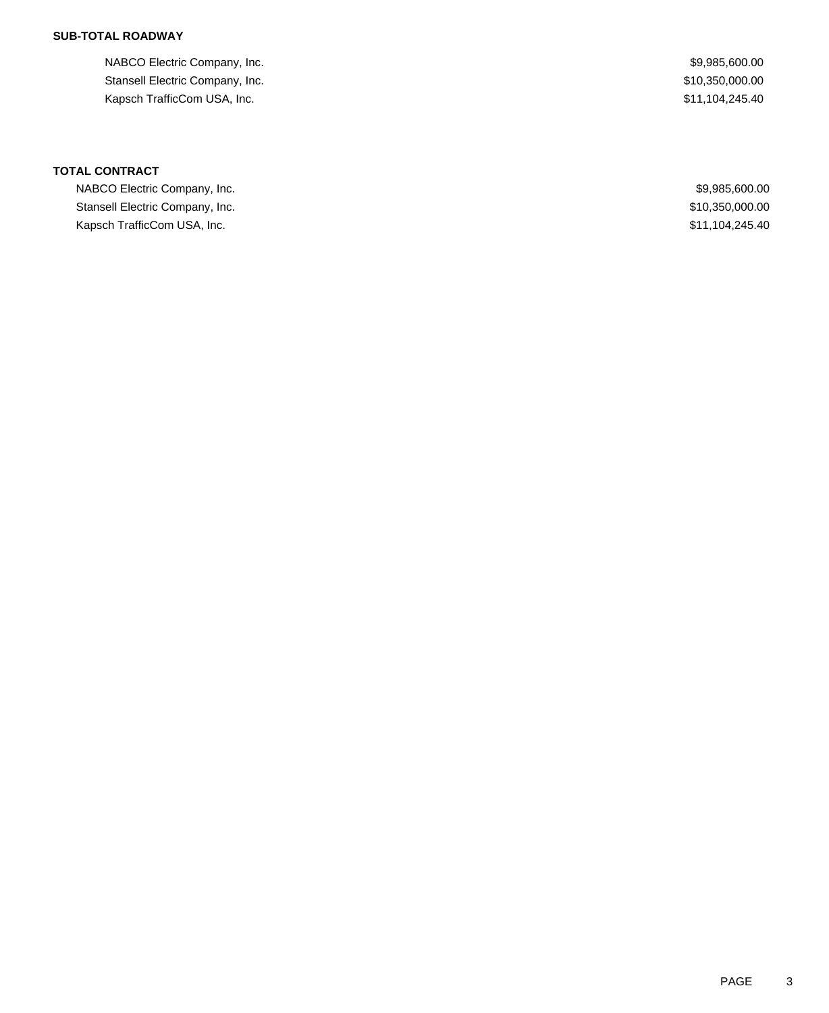## **SUB-TOTAL ROADWAY**

NABCO Electric Company, Inc. 69,985,600.00 Stansell Electric Company, Inc. 6. 2012 12:350,000.00 Kapsch TrafficCom USA, Inc.  $$11,104,245.40$ 

| NABCO Electric Company, Inc.    | \$9,985,600.00  |
|---------------------------------|-----------------|
| Stansell Electric Company, Inc. | \$10,350,000.00 |
| Kapsch TrafficCom USA, Inc.     | \$11,104,245.40 |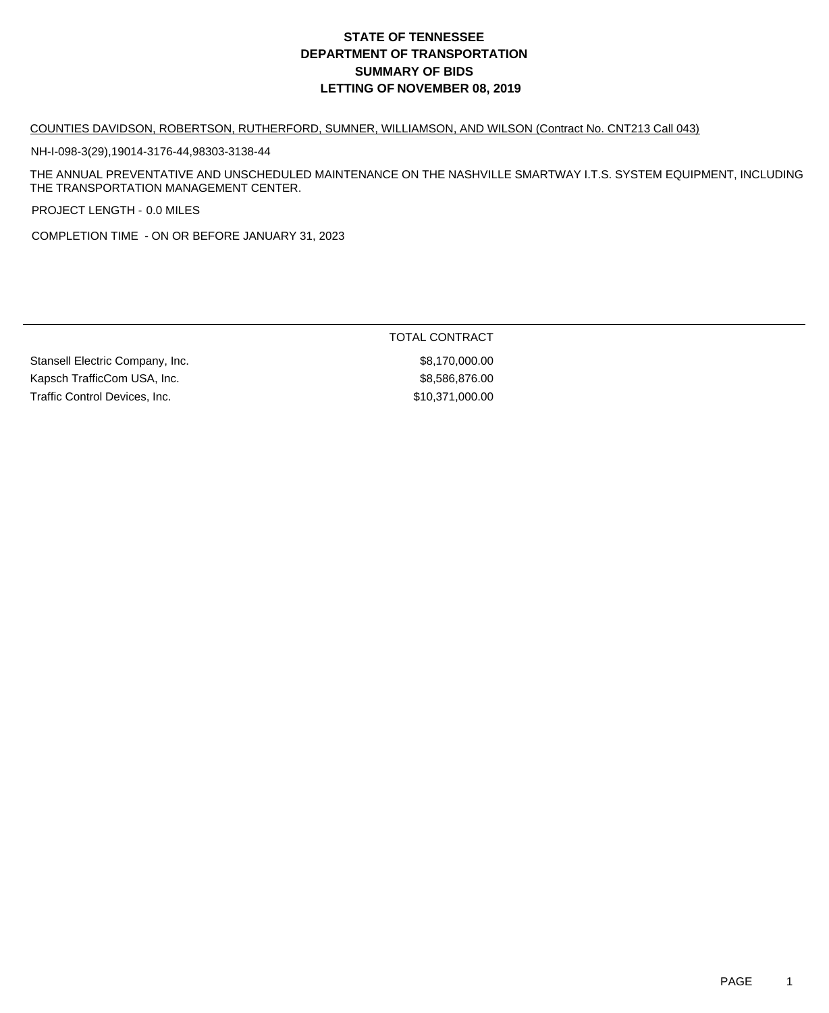#### COUNTIES DAVIDSON, ROBERTSON, RUTHERFORD, SUMNER, WILLIAMSON, AND WILSON (Contract No. CNT213 Call 043)

NH-I-098-3(29),19014-3176-44,98303-3138-44

THE ANNUAL PREVENTATIVE AND UNSCHEDULED MAINTENANCE ON THE NASHVILLE SMARTWAY I.T.S. SYSTEM EQUIPMENT, INCLUDING THE TRANSPORTATION MANAGEMENT CENTER.

PROJECT LENGTH - 0.0 MILES

COMPLETION TIME - ON OR BEFORE JANUARY 31, 2023

TOTAL CONTRACT

Stansell Electric Company, Inc. 6.170,000.000 \$8,170,000.00 Kapsch TrafficCom USA, Inc. 6. The Solution of the S8,586,876.00 Traffic Control Devices, Inc. 610,371,000.00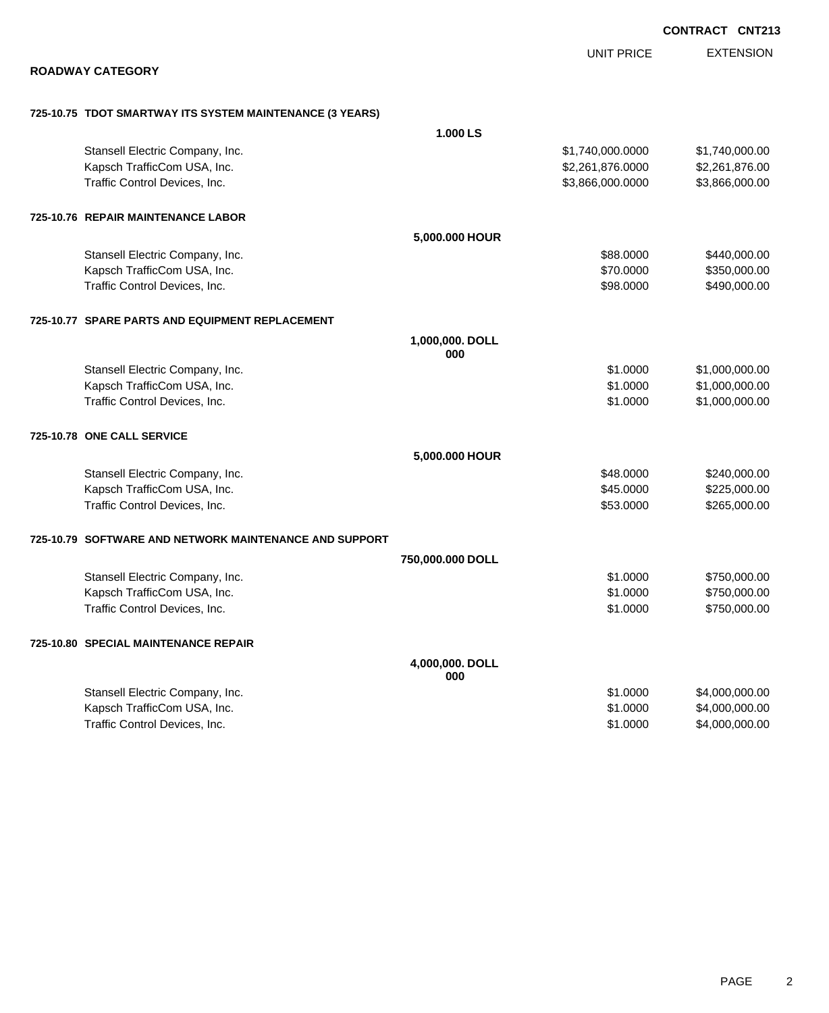|                                                          |                        |                   | <b>CONTRACT CNT213</b> |
|----------------------------------------------------------|------------------------|-------------------|------------------------|
|                                                          |                        | <b>UNIT PRICE</b> | <b>EXTENSION</b>       |
| <b>ROADWAY CATEGORY</b>                                  |                        |                   |                        |
| 725-10.75 TDOT SMARTWAY ITS SYSTEM MAINTENANCE (3 YEARS) |                        |                   |                        |
|                                                          | 1.000 LS               |                   |                        |
| Stansell Electric Company, Inc.                          |                        | \$1,740,000.0000  | \$1,740,000.00         |
| Kapsch TrafficCom USA, Inc.                              |                        | \$2,261,876.0000  | \$2,261,876.00         |
| Traffic Control Devices, Inc.                            |                        | \$3,866,000.0000  | \$3,866,000.00         |
| 725-10.76 REPAIR MAINTENANCE LABOR                       |                        |                   |                        |
|                                                          | 5,000.000 HOUR         |                   |                        |
| Stansell Electric Company, Inc.                          |                        | \$88.0000         | \$440,000.00           |
| Kapsch TrafficCom USA, Inc.                              |                        | \$70.0000         | \$350,000.00           |
| Traffic Control Devices, Inc.                            |                        | \$98.0000         | \$490,000.00           |
| 725-10.77 SPARE PARTS AND EQUIPMENT REPLACEMENT          |                        |                   |                        |
|                                                          | 1,000,000. DOLL<br>000 |                   |                        |
| Stansell Electric Company, Inc.                          |                        | \$1.0000          | \$1,000,000.00         |
| Kapsch TrafficCom USA, Inc.                              |                        | \$1.0000          | \$1,000,000.00         |
| Traffic Control Devices, Inc.                            |                        | \$1.0000          | \$1,000,000.00         |
| 725-10.78 ONE CALL SERVICE                               |                        |                   |                        |
|                                                          | 5,000.000 HOUR         |                   |                        |
| Stansell Electric Company, Inc.                          |                        | \$48.0000         | \$240,000.00           |
| Kapsch TrafficCom USA, Inc.                              |                        | \$45.0000         | \$225,000.00           |
| Traffic Control Devices, Inc.                            |                        | \$53.0000         | \$265,000.00           |
| 725-10.79 SOFTWARE AND NETWORK MAINTENANCE AND SUPPORT   |                        |                   |                        |
|                                                          | 750,000.000 DOLL       |                   |                        |
| Stansell Electric Company, Inc.                          |                        | \$1.0000          | \$750,000.00           |
| Kapsch TrafficCom USA, Inc.                              |                        | \$1.0000          | \$750,000.00           |
| Traffic Control Devices, Inc.                            |                        | \$1.0000          | \$750,000.00           |
| 725-10.80 SPECIAL MAINTENANCE REPAIR                     |                        |                   |                        |
|                                                          | 4,000,000. DOLL<br>000 |                   |                        |
| Stansell Electric Company, Inc.                          |                        | \$1.0000          | \$4,000,000.00         |
| Kapsch TrafficCom USA, Inc.                              |                        | \$1.0000          | \$4,000,000.00         |
| Traffic Control Devices, Inc.                            |                        | \$1.0000          | \$4,000,000.00         |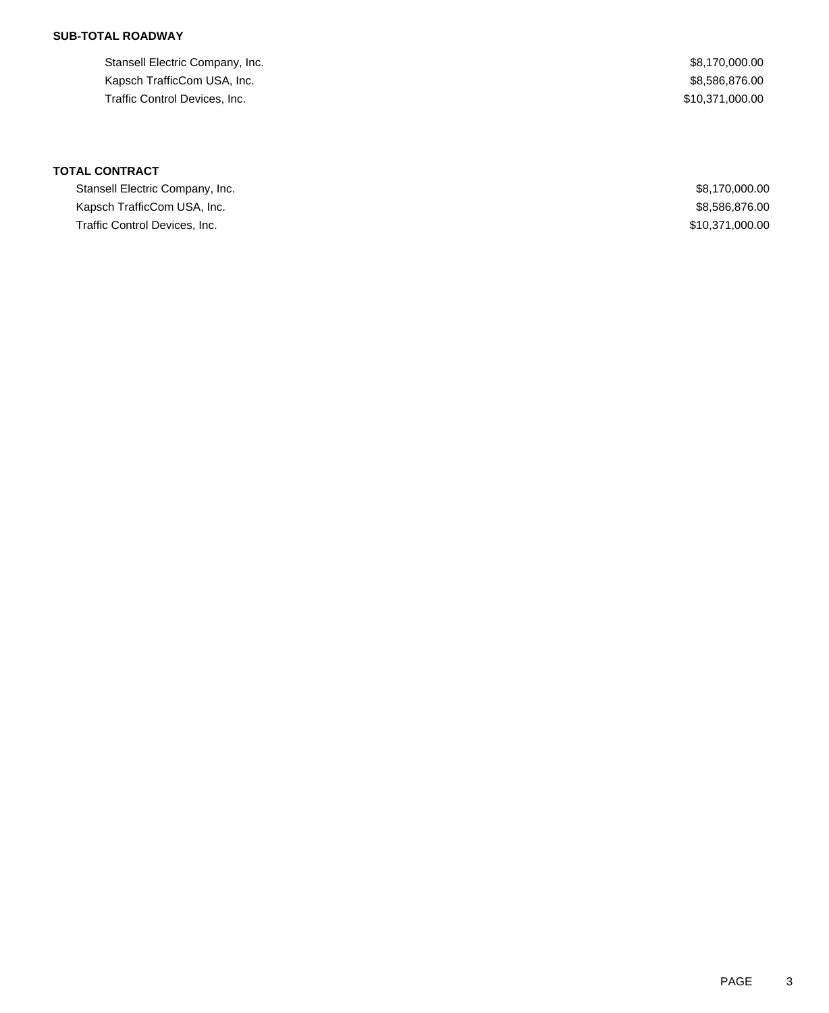## **SUB-TOTAL ROADWAY**

Stansell Electric Company, Inc. 68,170,000.00 Kapsch TrafficCom USA, Inc. 6. The Solution of the State of the State of the State of State of State of State of State of State of State of State of State of State of State of State of State of State of State of State of S Traffic Control Devices, Inc. 6. The State of the State of the State of State of State of State of State of State of State of State of State of State of State of State of State of State of State of State of State of State

**TOTAL CONTRACT**

Stansell Electric Company, Inc. **\$8,170,000.00** \$8,170,000.00 Kapsch TrafficCom USA, Inc. 6. The Second Second Second Second Second Second Second Second Second Second Second Second Second Second Second Second Second Second Second Second Second Second Second Second Second Second Secon Traffic Control Devices, Inc. \$10,371,000.00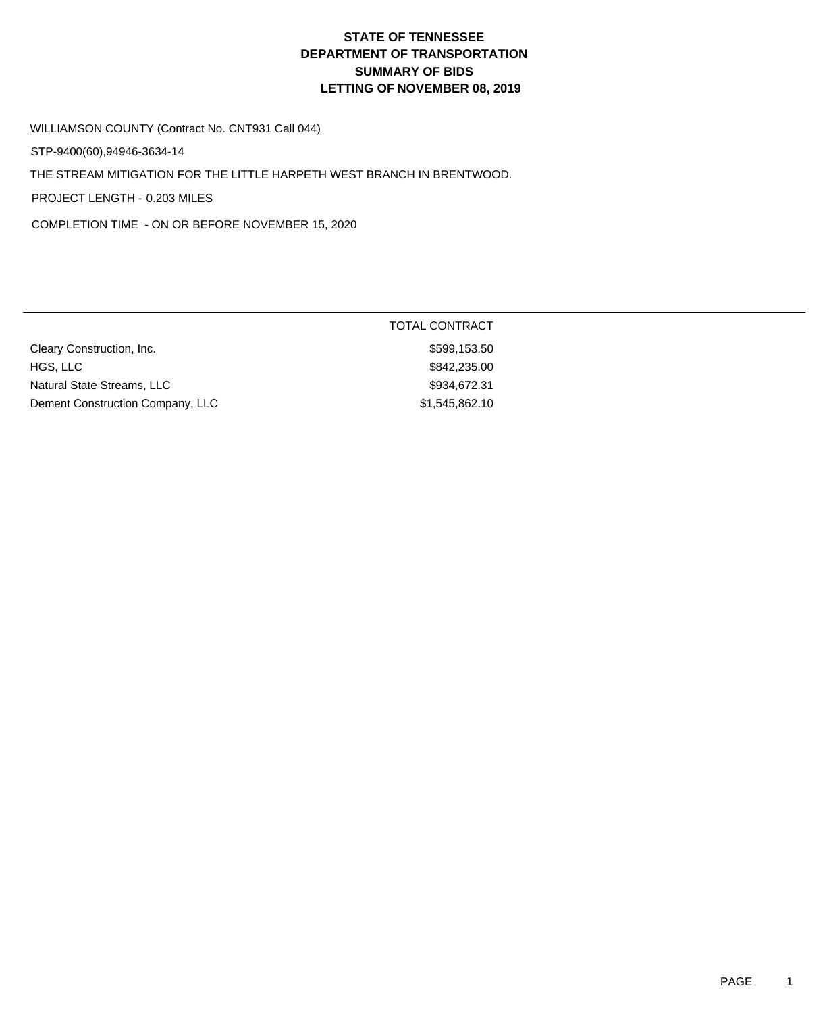## **DEPARTMENT OF TRANSPORTATION SUMMARY OF BIDS LETTING OF NOVEMBER 08, 2019 STATE OF TENNESSEE**

## WILLIAMSON COUNTY (Contract No. CNT931 Call 044)

STP-9400(60),94946-3634-14

THE STREAM MITIGATION FOR THE LITTLE HARPETH WEST BRANCH IN BRENTWOOD.

PROJECT LENGTH - 0.203 MILES

COMPLETION TIME - ON OR BEFORE NOVEMBER 15, 2020

|                                  | <b>TOTAL CONTRACT</b> |  |
|----------------------------------|-----------------------|--|
| Cleary Construction, Inc.        | \$599,153.50          |  |
| HGS, LLC                         | \$842,235.00          |  |
| Natural State Streams, LLC       | \$934,672.31          |  |
| Dement Construction Company, LLC | \$1,545,862.10        |  |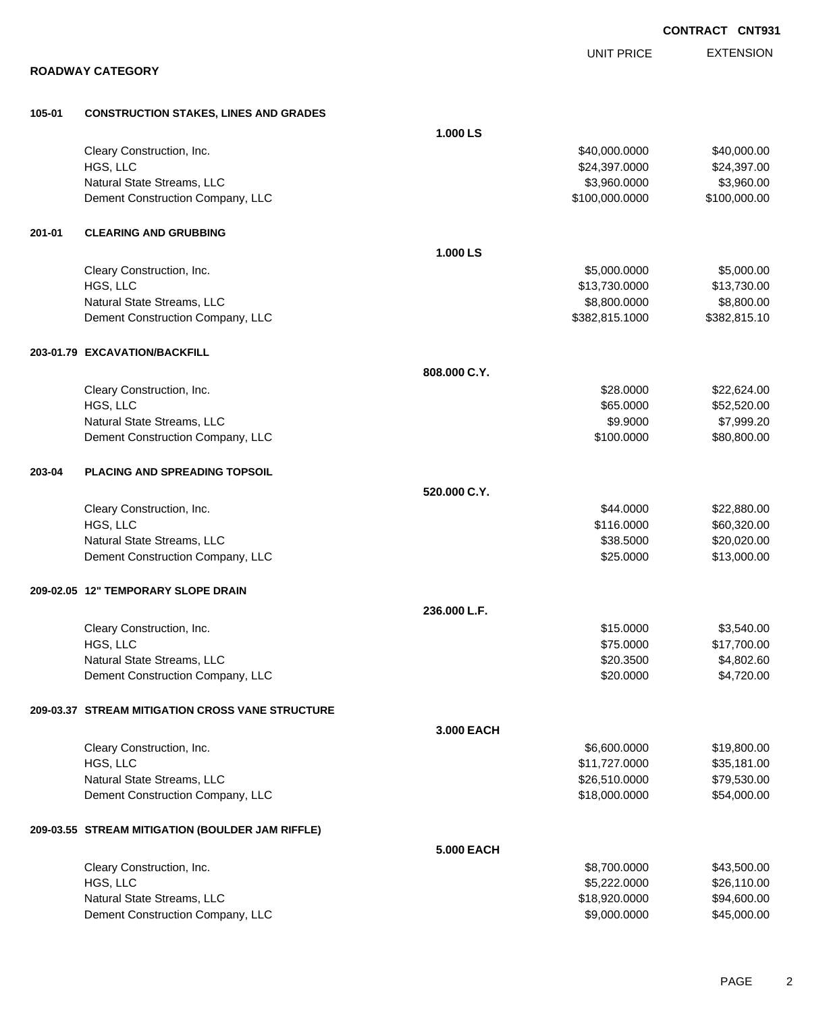|        |                                                                |                   |                                | <b>CONTRACT CNT931</b>     |
|--------|----------------------------------------------------------------|-------------------|--------------------------------|----------------------------|
|        |                                                                |                   | <b>UNIT PRICE</b>              | <b>EXTENSION</b>           |
|        | <b>ROADWAY CATEGORY</b>                                        |                   |                                |                            |
|        |                                                                |                   |                                |                            |
| 105-01 | <b>CONSTRUCTION STAKES, LINES AND GRADES</b>                   |                   |                                |                            |
|        |                                                                | 1.000 LS          |                                |                            |
|        | Cleary Construction, Inc.<br>HGS, LLC                          |                   | \$40,000.0000<br>\$24,397.0000 | \$40,000.00<br>\$24,397.00 |
|        | Natural State Streams, LLC                                     |                   | \$3,960.0000                   | \$3,960.00                 |
|        | Dement Construction Company, LLC                               |                   | \$100,000.0000                 | \$100,000.00               |
| 201-01 | <b>CLEARING AND GRUBBING</b>                                   |                   |                                |                            |
|        |                                                                | 1.000 LS          |                                |                            |
|        | Cleary Construction, Inc.                                      |                   | \$5,000.0000                   | \$5,000.00                 |
|        | HGS, LLC                                                       |                   | \$13,730.0000                  | \$13,730.00                |
|        | Natural State Streams, LLC                                     |                   | \$8,800.0000                   | \$8,800.00                 |
|        | Dement Construction Company, LLC                               |                   | \$382,815.1000                 | \$382,815.10               |
|        | 203-01.79 EXCAVATION/BACKFILL                                  |                   |                                |                            |
|        |                                                                | 808.000 C.Y.      |                                |                            |
|        | Cleary Construction, Inc.                                      |                   | \$28.0000                      | \$22,624.00                |
|        | HGS, LLC                                                       |                   | \$65.0000                      | \$52,520.00                |
|        | Natural State Streams, LLC                                     |                   | \$9.9000                       | \$7,999.20                 |
|        | Dement Construction Company, LLC                               |                   | \$100.0000                     | \$80,800.00                |
| 203-04 | <b>PLACING AND SPREADING TOPSOIL</b>                           |                   |                                |                            |
|        |                                                                | 520.000 C.Y.      |                                |                            |
|        | Cleary Construction, Inc.                                      |                   | \$44.0000                      | \$22,880.00                |
|        | HGS, LLC                                                       |                   | \$116.0000                     | \$60,320.00                |
|        | Natural State Streams, LLC                                     |                   | \$38.5000                      | \$20,020.00                |
|        | Dement Construction Company, LLC                               |                   | \$25.0000                      | \$13,000.00                |
|        | 209-02.05 12" TEMPORARY SLOPE DRAIN                            |                   |                                |                            |
|        |                                                                | 236.000 L.F.      |                                |                            |
|        | Cleary Construction, Inc.                                      |                   | \$15.0000                      | \$3,540.00                 |
|        | HGS, LLC                                                       |                   | \$75.0000                      | \$17,700.00                |
|        | Natural State Streams, LLC<br>Dement Construction Company, LLC |                   | \$20.3500<br>\$20.0000         | \$4,802.60<br>\$4,720.00   |
|        |                                                                |                   |                                |                            |
|        | 209-03.37 STREAM MITIGATION CROSS VANE STRUCTURE               |                   |                                |                            |
|        |                                                                | 3.000 EACH        |                                |                            |
|        | Cleary Construction, Inc.<br>HGS, LLC                          |                   | \$6,600.0000<br>\$11,727.0000  | \$19,800.00<br>\$35,181.00 |
|        | Natural State Streams, LLC                                     |                   | \$26,510.0000                  | \$79,530.00                |
|        | Dement Construction Company, LLC                               |                   | \$18,000.0000                  | \$54,000.00                |
|        | 209-03.55 STREAM MITIGATION (BOULDER JAM RIFFLE)               |                   |                                |                            |
|        |                                                                | <b>5.000 EACH</b> |                                |                            |
|        | Cleary Construction, Inc.                                      |                   | \$8,700.0000                   | \$43,500.00                |
|        | HGS, LLC                                                       |                   | \$5,222.0000                   | \$26,110.00                |
|        | Natural State Streams, LLC                                     |                   | \$18,920.0000                  | \$94,600.00                |
|        | Dement Construction Company, LLC                               |                   | \$9,000.0000                   | \$45,000.00                |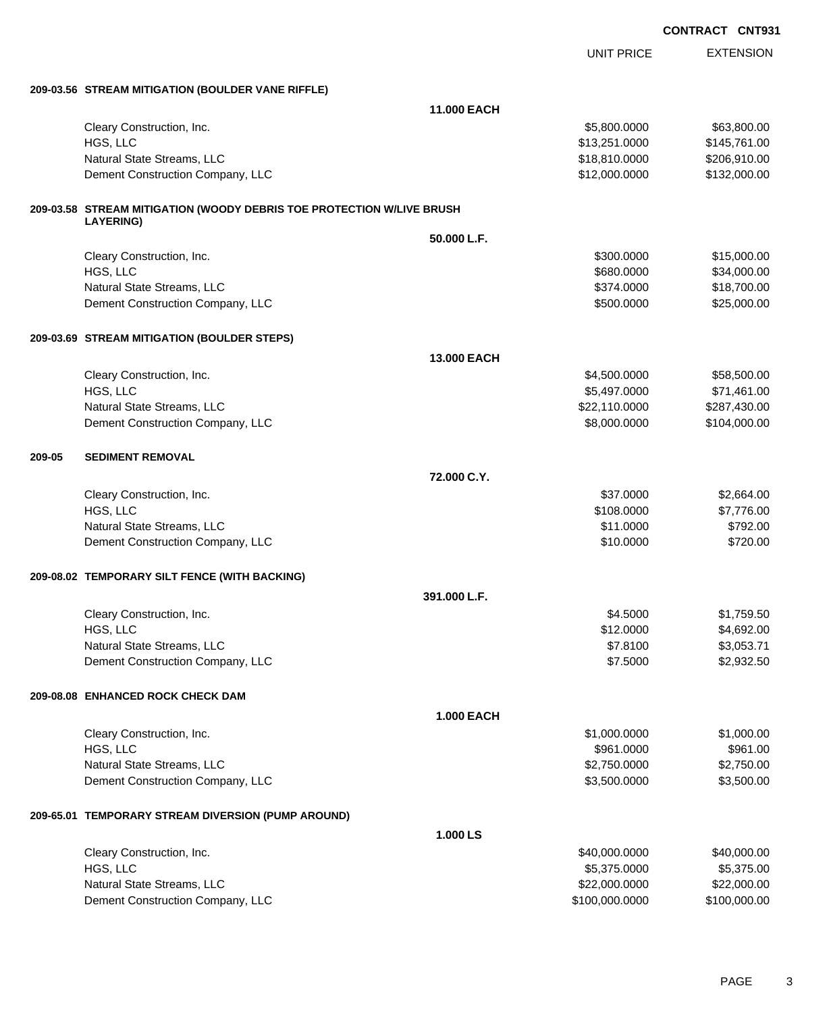|        |                                                                       |                   |                   | <b>CONTRACT CNT931</b> |
|--------|-----------------------------------------------------------------------|-------------------|-------------------|------------------------|
|        |                                                                       |                   | <b>UNIT PRICE</b> | <b>EXTENSION</b>       |
|        | 209-03.56 STREAM MITIGATION (BOULDER VANE RIFFLE)                     |                   |                   |                        |
|        |                                                                       | 11.000 EACH       |                   |                        |
|        | Cleary Construction, Inc.                                             |                   | \$5,800.0000      | \$63,800.00            |
|        | HGS, LLC                                                              |                   | \$13,251.0000     | \$145,761.00           |
|        | Natural State Streams, LLC                                            |                   | \$18,810.0000     | \$206,910.00           |
|        | Dement Construction Company, LLC                                      |                   | \$12,000.0000     | \$132,000.00           |
|        | 209-03.58 STREAM MITIGATION (WOODY DEBRIS TOE PROTECTION W/LIVE BRUSH |                   |                   |                        |
|        | <b>LAYERING)</b>                                                      | 50.000 L.F.       |                   |                        |
|        | Cleary Construction, Inc.                                             |                   | \$300.0000        | \$15,000.00            |
|        | HGS, LLC                                                              |                   | \$680.0000        | \$34,000.00            |
|        | Natural State Streams, LLC                                            |                   | \$374.0000        | \$18,700.00            |
|        | Dement Construction Company, LLC                                      |                   | \$500.0000        | \$25,000.00            |
|        | 209-03.69 STREAM MITIGATION (BOULDER STEPS)                           |                   |                   |                        |
|        |                                                                       | 13,000 EACH       |                   |                        |
|        | Cleary Construction, Inc.                                             |                   | \$4,500.0000      | \$58,500.00            |
|        | HGS, LLC                                                              |                   | \$5,497.0000      | \$71,461.00            |
|        | Natural State Streams, LLC                                            |                   | \$22,110.0000     | \$287,430.00           |
|        | Dement Construction Company, LLC                                      |                   | \$8,000.0000      | \$104,000.00           |
| 209-05 | <b>SEDIMENT REMOVAL</b>                                               |                   |                   |                        |
|        |                                                                       | 72.000 C.Y.       |                   |                        |
|        | Cleary Construction, Inc.                                             |                   | \$37.0000         | \$2,664.00             |
|        | HGS, LLC                                                              |                   | \$108.0000        | \$7,776.00             |
|        | Natural State Streams, LLC                                            |                   | \$11.0000         | \$792.00               |
|        | Dement Construction Company, LLC                                      |                   | \$10.0000         | \$720.00               |
|        | 209-08.02 TEMPORARY SILT FENCE (WITH BACKING)                         |                   |                   |                        |
|        |                                                                       | 391.000 L.F.      |                   |                        |
|        | Cleary Construction, Inc.                                             |                   | \$4.5000          | \$1,759.50             |
|        | HGS, LLC                                                              |                   | \$12.0000         | \$4,692.00             |
|        | Natural State Streams, LLC                                            |                   | \$7.8100          | \$3,053.71             |
|        | Dement Construction Company, LLC                                      |                   | \$7.5000          | \$2,932.50             |
|        | 209-08.08 ENHANCED ROCK CHECK DAM                                     |                   |                   |                        |
|        |                                                                       | <b>1.000 EACH</b> |                   |                        |
|        | Cleary Construction, Inc.                                             |                   | \$1,000.0000      | \$1,000.00             |
|        | HGS, LLC                                                              |                   | \$961.0000        | \$961.00               |
|        | Natural State Streams, LLC                                            |                   | \$2,750.0000      | \$2,750.00             |
|        | Dement Construction Company, LLC                                      |                   | \$3,500.0000      | \$3,500.00             |
|        | 209-65.01 TEMPORARY STREAM DIVERSION (PUMP AROUND)                    |                   |                   |                        |
|        |                                                                       | 1.000 LS          |                   |                        |
|        | Cleary Construction, Inc.                                             |                   | \$40,000.0000     | \$40,000.00            |
|        | HGS, LLC                                                              |                   | \$5,375.0000      | \$5,375.00             |
|        | Natural State Streams, LLC                                            |                   | \$22,000.0000     | \$22,000.00            |

Dement Construction Company, LLC \$100,000.0000 \$100,000.00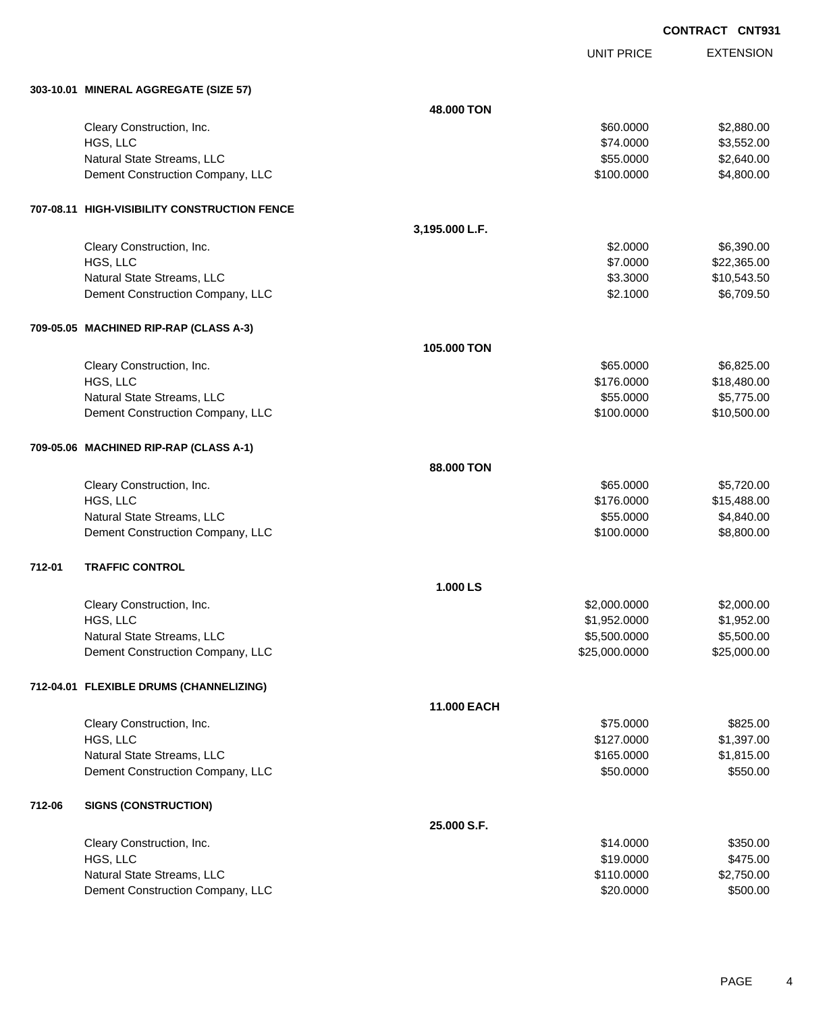**CONTRACT CNT931**

UNIT PRICE EXTENSION

|        | 303-10.01 MINERAL AGGREGATE (SIZE 57)        |                |               |             |
|--------|----------------------------------------------|----------------|---------------|-------------|
|        |                                              | 48.000 TON     |               |             |
|        | Cleary Construction, Inc.                    |                | \$60.0000     | \$2,880.00  |
|        | HGS, LLC                                     |                | \$74.0000     | \$3,552.00  |
|        | Natural State Streams, LLC                   |                | \$55.0000     | \$2,640.00  |
|        | Dement Construction Company, LLC             |                | \$100.0000    | \$4,800.00  |
|        | 707-08.11 HIGH-VISIBILITY CONSTRUCTION FENCE |                |               |             |
|        |                                              | 3,195.000 L.F. |               |             |
|        | Cleary Construction, Inc.                    |                | \$2.0000      | \$6,390.00  |
|        | HGS, LLC                                     |                | \$7.0000      | \$22,365.00 |
|        | Natural State Streams, LLC                   |                | \$3.3000      | \$10,543.50 |
|        | Dement Construction Company, LLC             |                | \$2.1000      | \$6,709.50  |
|        | 709-05.05 MACHINED RIP-RAP (CLASS A-3)       |                |               |             |
|        |                                              | 105.000 TON    |               |             |
|        | Cleary Construction, Inc.                    |                | \$65.0000     | \$6,825.00  |
|        | HGS, LLC                                     |                | \$176.0000    | \$18,480.00 |
|        | Natural State Streams, LLC                   |                | \$55.0000     | \$5,775.00  |
|        | Dement Construction Company, LLC             |                | \$100.0000    | \$10,500.00 |
|        | 709-05.06 MACHINED RIP-RAP (CLASS A-1)       |                |               |             |
|        |                                              | 88.000 TON     |               |             |
|        | Cleary Construction, Inc.                    |                | \$65.0000     | \$5,720.00  |
|        | HGS, LLC                                     |                | \$176.0000    | \$15,488.00 |
|        | Natural State Streams, LLC                   |                | \$55.0000     | \$4,840.00  |
|        | Dement Construction Company, LLC             |                | \$100.0000    | \$8,800.00  |
| 712-01 | <b>TRAFFIC CONTROL</b>                       |                |               |             |
|        |                                              | 1.000 LS       |               |             |
|        | Cleary Construction, Inc.                    |                | \$2,000.0000  | \$2,000.00  |
|        | HGS, LLC                                     |                | \$1,952.0000  | \$1,952.00  |
|        | Natural State Streams, LLC                   |                | \$5,500.0000  | \$5,500.00  |
|        | Dement Construction Company, LLC             |                | \$25,000.0000 | \$25,000.00 |
|        | 712-04.01 FLEXIBLE DRUMS (CHANNELIZING)      |                |               |             |
|        |                                              | 11.000 EACH    |               |             |
|        | Cleary Construction, Inc.                    |                | \$75.0000     | \$825.00    |
|        | HGS, LLC                                     |                | \$127.0000    | \$1,397.00  |
|        | Natural State Streams, LLC                   |                | \$165.0000    | \$1,815.00  |
|        | Dement Construction Company, LLC             |                | \$50.0000     | \$550.00    |
| 712-06 | <b>SIGNS (CONSTRUCTION)</b>                  |                |               |             |
|        |                                              | 25.000 S.F.    |               |             |
|        | Cleary Construction, Inc.                    |                | \$14.0000     | \$350.00    |
|        | HGS, LLC                                     |                | \$19.0000     | \$475.00    |
|        | Natural State Streams, LLC                   |                | \$110.0000    | \$2,750.00  |
|        | Dement Construction Company, LLC             |                | \$20.0000     | \$500.00    |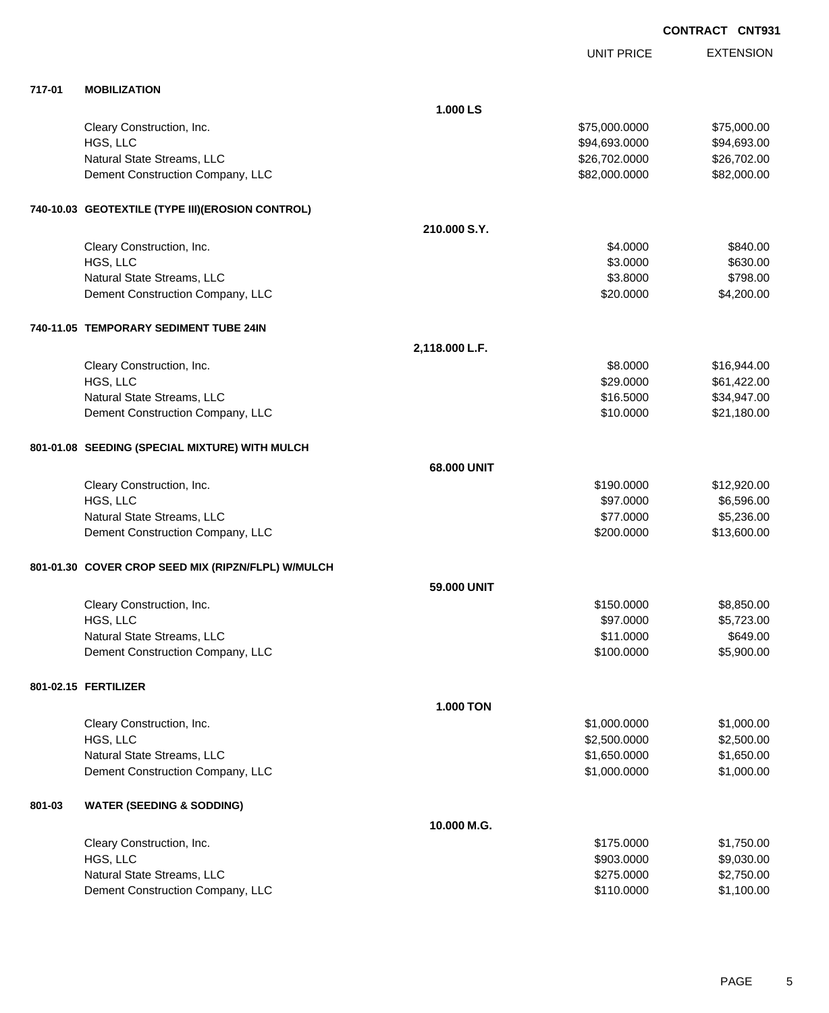**CONTRACT CNT931**

|        |                                                    |                  | <b>UNIT PRICE</b> | <b>EXTENSION</b> |
|--------|----------------------------------------------------|------------------|-------------------|------------------|
| 717-01 | <b>MOBILIZATION</b>                                |                  |                   |                  |
|        |                                                    | 1.000 LS         |                   |                  |
|        | Cleary Construction, Inc.                          |                  | \$75,000.0000     | \$75,000.00      |
|        | HGS, LLC                                           |                  | \$94,693.0000     | \$94,693.00      |
|        | Natural State Streams, LLC                         |                  | \$26,702.0000     | \$26,702.00      |
|        | Dement Construction Company, LLC                   |                  | \$82,000.0000     | \$82,000.00      |
|        | 740-10.03 GEOTEXTILE (TYPE III)(EROSION CONTROL)   |                  |                   |                  |
|        |                                                    | 210.000 S.Y.     |                   |                  |
|        | Cleary Construction, Inc.                          |                  | \$4.0000          | \$840.00         |
|        | HGS, LLC                                           |                  | \$3.0000          | \$630.00         |
|        | Natural State Streams, LLC                         |                  | \$3.8000          | \$798.00         |
|        | Dement Construction Company, LLC                   |                  | \$20.0000         | \$4,200.00       |
|        | 740-11.05 TEMPORARY SEDIMENT TUBE 24IN             |                  |                   |                  |
|        |                                                    | 2,118.000 L.F.   |                   |                  |
|        | Cleary Construction, Inc.                          |                  | \$8.0000          | \$16,944.00      |
|        | HGS, LLC                                           |                  | \$29.0000         | \$61,422.00      |
|        | Natural State Streams, LLC                         |                  | \$16.5000         | \$34,947.00      |
|        | Dement Construction Company, LLC                   |                  | \$10.0000         | \$21,180.00      |
|        | 801-01.08 SEEDING (SPECIAL MIXTURE) WITH MULCH     |                  |                   |                  |
|        |                                                    | 68.000 UNIT      |                   |                  |
|        | Cleary Construction, Inc.                          |                  | \$190.0000        | \$12,920.00      |
|        | HGS, LLC                                           |                  | \$97.0000         | \$6,596.00       |
|        | Natural State Streams, LLC                         |                  | \$77.0000         | \$5,236.00       |
|        | Dement Construction Company, LLC                   |                  | \$200.0000        | \$13,600.00      |
|        | 801-01.30 COVER CROP SEED MIX (RIPZN/FLPL) W/MULCH |                  |                   |                  |
|        |                                                    | 59.000 UNIT      |                   |                  |
|        | Cleary Construction, Inc.                          |                  | \$150.0000        | \$8,850.00       |
|        | HGS, LLC                                           |                  | \$97.0000         | \$5,723.00       |
|        | Natural State Streams, LLC                         |                  | \$11.0000         | \$649.00         |
|        | Dement Construction Company, LLC                   |                  | \$100.0000        | \$5,900.00       |
|        | 801-02.15 FERTILIZER                               |                  |                   |                  |
|        |                                                    | <b>1.000 TON</b> |                   |                  |
|        | Cleary Construction, Inc.                          |                  | \$1,000.0000      | \$1,000.00       |
|        | HGS, LLC                                           |                  | \$2,500.0000      | \$2,500.00       |
|        | Natural State Streams, LLC                         |                  | \$1,650.0000      | \$1,650.00       |
|        | Dement Construction Company, LLC                   |                  | \$1,000.0000      | \$1,000.00       |
| 801-03 | <b>WATER (SEEDING &amp; SODDING)</b>               |                  |                   |                  |
|        |                                                    | 10.000 M.G.      |                   |                  |
|        | Cleary Construction, Inc.                          |                  | \$175.0000        | \$1,750.00       |
|        | HGS, LLC                                           |                  | \$903.0000        | \$9,030.00       |
|        | Natural State Streams, LLC                         |                  | \$275.0000        | \$2,750.00       |
|        | Dement Construction Company, LLC                   |                  | \$110.0000        | \$1,100.00       |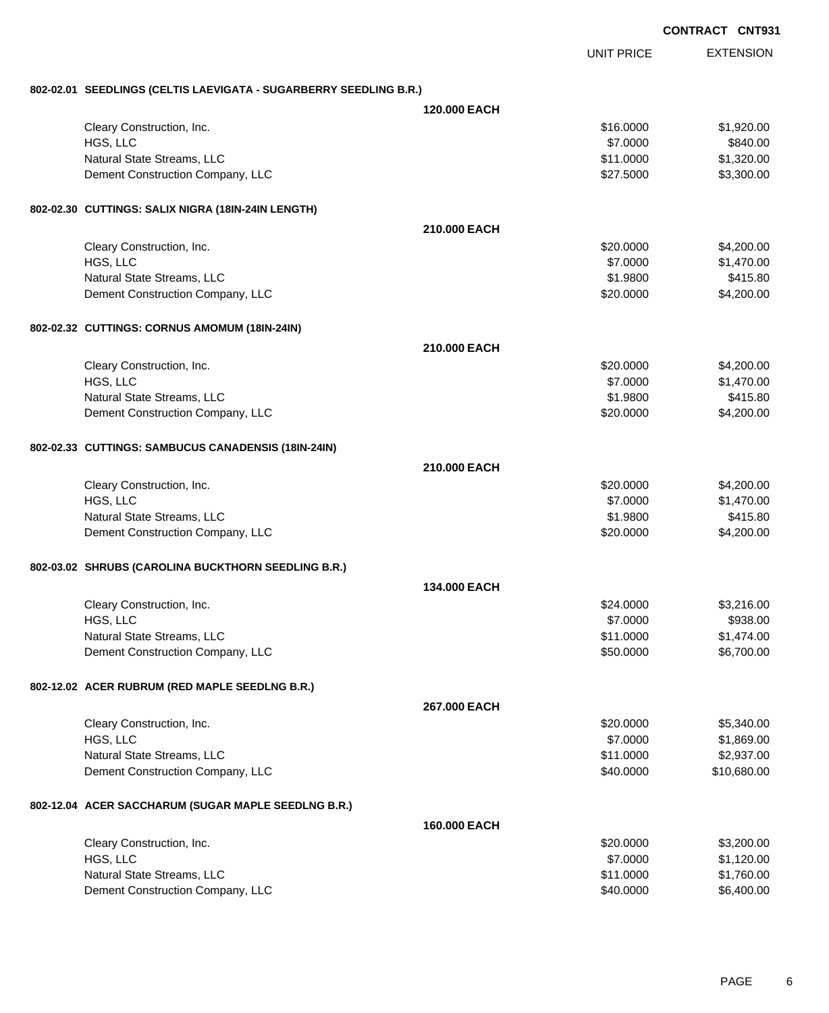|                                                                   | <b>CONTRACT CNT931</b> |                   |                  |
|-------------------------------------------------------------------|------------------------|-------------------|------------------|
|                                                                   |                        | <b>UNIT PRICE</b> | <b>EXTENSION</b> |
| 802-02.01 SEEDLINGS (CELTIS LAEVIGATA - SUGARBERRY SEEDLING B.R.) |                        |                   |                  |
|                                                                   | 120,000 EACH           |                   |                  |
| Cleary Construction, Inc.                                         |                        | \$16.0000         | \$1,920.00       |
| HGS, LLC                                                          |                        | \$7.0000          | \$840.00         |
| Natural State Streams, LLC                                        |                        | \$11.0000         | \$1,320.00       |
| Dement Construction Company, LLC                                  |                        | \$27.5000         | \$3,300.00       |
| 802-02.30 CUTTINGS: SALIX NIGRA (18IN-24IN LENGTH)                |                        |                   |                  |
|                                                                   | 210,000 EACH           |                   |                  |
| Cleary Construction, Inc.                                         |                        | \$20.0000         | \$4,200.00       |
| HGS, LLC                                                          |                        | \$7.0000          | \$1,470.00       |
| Natural State Streams, LLC                                        |                        | \$1.9800          | \$415.80         |
| Dement Construction Company, LLC                                  |                        | \$20.0000         | \$4,200.00       |
| 802-02.32 CUTTINGS: CORNUS AMOMUM (18IN-24IN)                     |                        |                   |                  |
|                                                                   | 210,000 EACH           |                   |                  |
| Cleary Construction, Inc.                                         |                        | \$20.0000         | \$4,200.00       |
| HGS, LLC                                                          |                        | \$7.0000          | \$1,470.00       |
| Natural State Streams, LLC                                        |                        | \$1.9800          | \$415.80         |
| Dement Construction Company, LLC                                  |                        | \$20.0000         | \$4,200.00       |
| 802-02.33 CUTTINGS: SAMBUCUS CANADENSIS (18IN-24IN)               |                        |                   |                  |
|                                                                   | 210.000 EACH           |                   |                  |
| Cleary Construction, Inc.                                         |                        | \$20.0000         | \$4,200.00       |
| HGS, LLC                                                          |                        | \$7.0000          | \$1,470.00       |
| Natural State Streams, LLC                                        |                        | \$1.9800          | \$415.80         |
| Dement Construction Company, LLC                                  |                        | \$20.0000         | \$4,200.00       |
| 802-03.02 SHRUBS (CAROLINA BUCKTHORN SEEDLING B.R.)               |                        |                   |                  |
|                                                                   | 134.000 EACH           |                   |                  |
| Cleary Construction, Inc.                                         |                        | \$24.0000         | \$3,216.00       |
| HGS, LLC                                                          |                        | \$7.0000          | \$938.00         |
| Natural State Streams, LLC                                        |                        | \$11.0000         | \$1,474.00       |
| Dement Construction Company, LLC                                  |                        | \$50.0000         | \$6,700.00       |
| 802-12.02 ACER RUBRUM (RED MAPLE SEEDLNG B.R.)                    |                        |                   |                  |
|                                                                   | 267.000 EACH           |                   |                  |
| Cleary Construction, Inc.                                         |                        | \$20.0000         | \$5,340.00       |
| HGS, LLC                                                          |                        | \$7.0000          | \$1,869.00       |
| Natural State Streams, LLC                                        |                        | \$11.0000         | \$2,937.00       |
| Dement Construction Company, LLC                                  |                        | \$40.0000         | \$10,680.00      |
| 802-12.04 ACER SACCHARUM (SUGAR MAPLE SEEDLNG B.R.)               |                        |                   |                  |
|                                                                   | 160.000 EACH           |                   |                  |
| Cleary Construction, Inc.                                         |                        | \$20.0000         | \$3,200.00       |
| HGS, LLC                                                          |                        | \$7.0000          | \$1,120.00       |
| Natural State Streams, LLC                                        |                        | \$11.0000         | \$1,760.00       |
| Dement Construction Company, LLC                                  |                        | \$40.0000         | \$6,400.00       |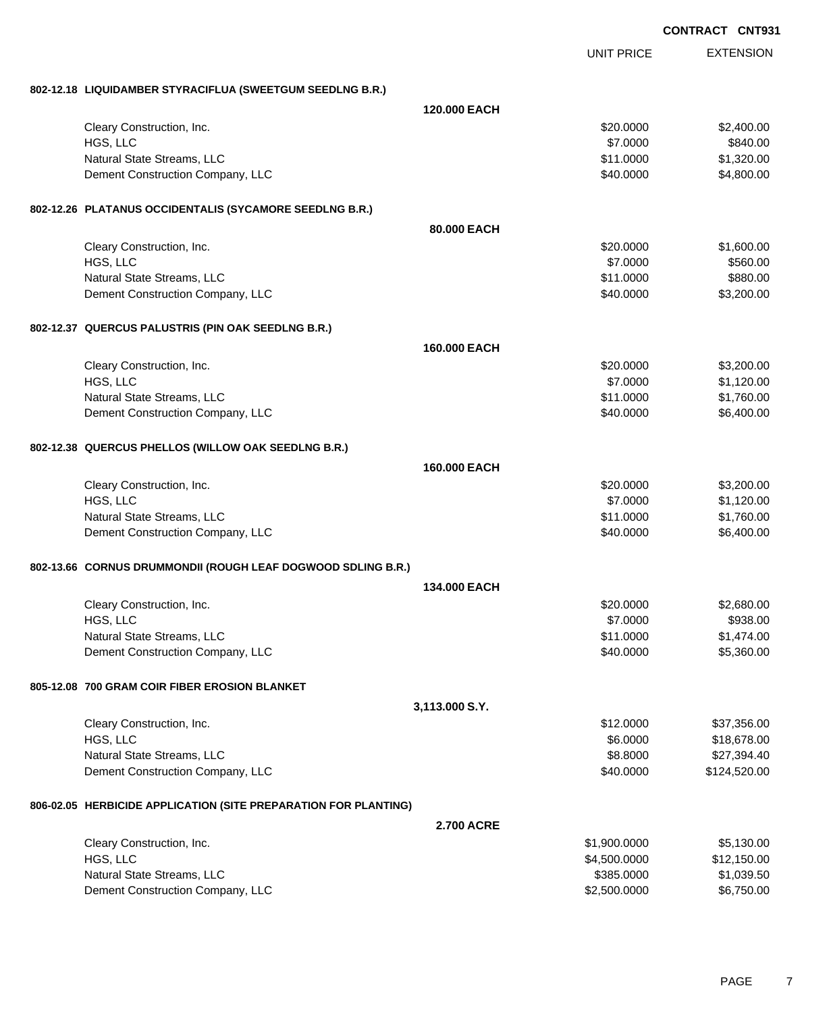|                                                                 |                     |                   | <b>CONTRACT CNT931</b> |
|-----------------------------------------------------------------|---------------------|-------------------|------------------------|
|                                                                 |                     | <b>UNIT PRICE</b> | <b>EXTENSION</b>       |
| 802-12.18 LIQUIDAMBER STYRACIFLUA (SWEETGUM SEEDLNG B.R.)       |                     |                   |                        |
|                                                                 | 120,000 EACH        |                   |                        |
| Cleary Construction, Inc.                                       |                     | \$20.0000         | \$2,400.00             |
| HGS, LLC                                                        |                     | \$7.0000          | \$840.00               |
| Natural State Streams, LLC                                      |                     | \$11.0000         | \$1,320.00             |
| Dement Construction Company, LLC                                |                     | \$40.0000         | \$4,800.00             |
| 802-12.26 PLATANUS OCCIDENTALIS (SYCAMORE SEEDLNG B.R.)         |                     |                   |                        |
|                                                                 | 80.000 EACH         |                   |                        |
| Cleary Construction, Inc.                                       |                     | \$20.0000         | \$1,600.00             |
| HGS, LLC                                                        |                     | \$7.0000          | \$560.00               |
| Natural State Streams, LLC                                      |                     | \$11.0000         | \$880.00               |
| Dement Construction Company, LLC                                |                     | \$40.0000         | \$3,200.00             |
| 802-12.37 QUERCUS PALUSTRIS (PIN OAK SEEDLNG B.R.)              |                     |                   |                        |
|                                                                 | 160.000 EACH        |                   |                        |
| Cleary Construction, Inc.                                       |                     | \$20.0000         | \$3,200.00             |
| HGS, LLC                                                        |                     | \$7.0000          | \$1,120.00             |
| Natural State Streams, LLC                                      |                     | \$11.0000         | \$1,760.00             |
| Dement Construction Company, LLC                                |                     | \$40.0000         | \$6,400.00             |
| 802-12.38 QUERCUS PHELLOS (WILLOW OAK SEEDLNG B.R.)             |                     |                   |                        |
|                                                                 | 160,000 EACH        |                   |                        |
| Cleary Construction, Inc.                                       |                     | \$20.0000         | \$3,200.00             |
| HGS, LLC                                                        |                     | \$7.0000          | \$1,120.00             |
| Natural State Streams, LLC                                      |                     | \$11.0000         | \$1,760.00             |
| Dement Construction Company, LLC                                |                     | \$40.0000         | \$6,400.00             |
| 802-13.66 CORNUS DRUMMONDII (ROUGH LEAF DOGWOOD SDLING B.R.)    |                     |                   |                        |
|                                                                 | <b>134.000 EACH</b> |                   |                        |
| Cleary Construction, Inc.                                       |                     | \$20.0000         | \$2,680.00             |
| HGS, LLC                                                        |                     | \$7.0000          | \$938.00               |
| Natural State Streams, LLC                                      |                     | \$11.0000         | \$1,474.00             |
| Dement Construction Company, LLC                                |                     | \$40.0000         | \$5,360.00             |
| 805-12.08 700 GRAM COIR FIBER EROSION BLANKET                   |                     |                   |                        |
|                                                                 | 3,113.000 S.Y.      |                   |                        |
| Cleary Construction, Inc.                                       |                     | \$12.0000         | \$37,356.00            |
| HGS, LLC                                                        |                     | \$6.0000          | \$18,678.00            |
| Natural State Streams, LLC                                      |                     | \$8.8000          | \$27,394.40            |
| Dement Construction Company, LLC                                |                     | \$40.0000         | \$124,520.00           |
| 806-02.05 HERBICIDE APPLICATION (SITE PREPARATION FOR PLANTING) |                     |                   |                        |
|                                                                 | <b>2.700 ACRE</b>   |                   |                        |
| Cleary Construction, Inc.                                       |                     | \$1,900.0000      | \$5,130.00             |
| HGS, LLC                                                        |                     | \$4,500.0000      | \$12,150.00            |
| Natural State Streams, LLC                                      |                     | \$385.0000        | \$1,039.50             |

Dement Construction Company, LLC 6.750.000 \$6,750.000 \$6,750.000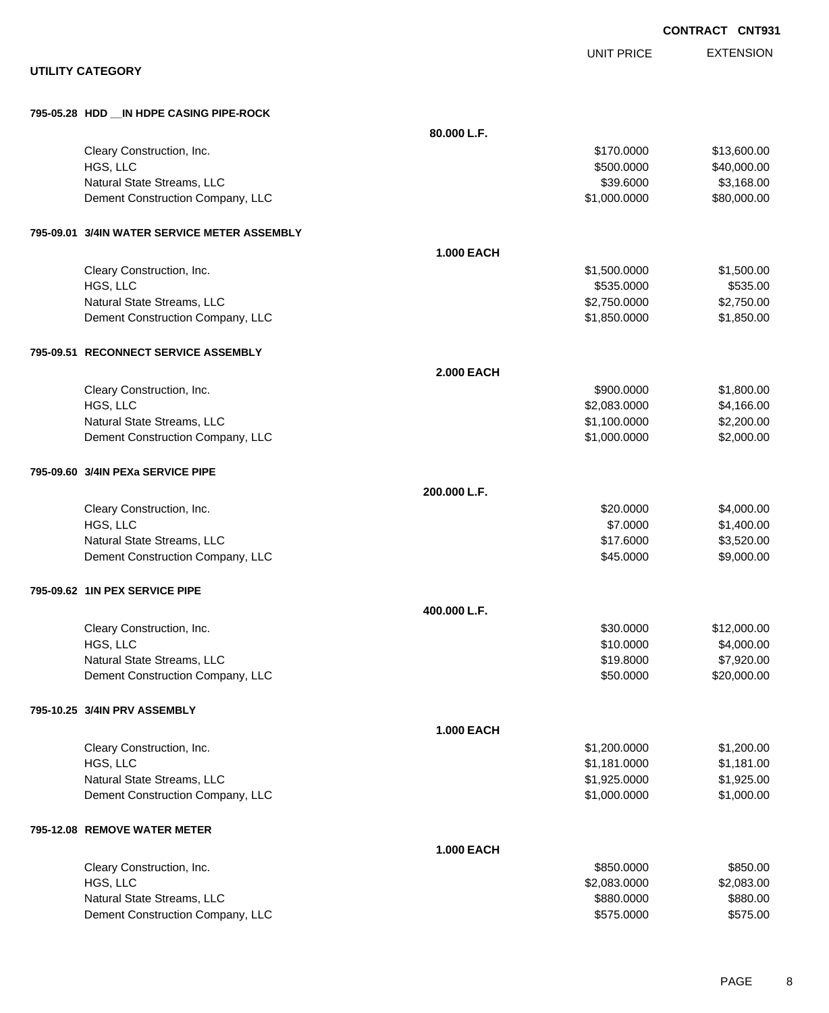|                                              |                   |                   | <b>CONTRACT CNT931</b> |
|----------------------------------------------|-------------------|-------------------|------------------------|
| <b>UTILITY CATEGORY</b>                      |                   | <b>UNIT PRICE</b> | <b>EXTENSION</b>       |
|                                              |                   |                   |                        |
| 795-05.28 HDD __ IN HDPE CASING PIPE-ROCK    |                   |                   |                        |
|                                              | 80.000 L.F.       |                   |                        |
| Cleary Construction, Inc.                    |                   | \$170.0000        | \$13,600.00            |
| HGS, LLC                                     |                   | \$500.0000        | \$40,000.00            |
| Natural State Streams, LLC                   |                   | \$39.6000         | \$3,168.00             |
| Dement Construction Company, LLC             |                   | \$1,000.0000      | \$80,000.00            |
| 795-09.01 3/4IN WATER SERVICE METER ASSEMBLY |                   |                   |                        |
|                                              | <b>1.000 EACH</b> |                   |                        |
| Cleary Construction, Inc.                    |                   | \$1,500.0000      | \$1,500.00             |
| HGS, LLC                                     |                   | \$535.0000        | \$535.00               |
| Natural State Streams, LLC                   |                   | \$2,750.0000      | \$2,750.00             |
| Dement Construction Company, LLC             |                   | \$1,850.0000      | \$1,850.00             |
| 795-09.51 RECONNECT SERVICE ASSEMBLY         |                   |                   |                        |
|                                              | <b>2.000 EACH</b> |                   |                        |
| Cleary Construction, Inc.                    |                   | \$900.0000        | \$1,800.00             |
| HGS, LLC                                     |                   | \$2,083.0000      | \$4,166.00             |
| Natural State Streams, LLC                   |                   | \$1,100.0000      | \$2,200.00             |
| Dement Construction Company, LLC             |                   | \$1,000.0000      | \$2,000.00             |
| 795-09.60 3/4IN PEXa SERVICE PIPE            |                   |                   |                        |
|                                              | 200.000 L.F.      |                   |                        |
| Cleary Construction, Inc.                    |                   | \$20.0000         | \$4,000.00             |
| HGS, LLC                                     |                   | \$7.0000          | \$1,400.00             |
| Natural State Streams, LLC                   |                   | \$17.6000         | \$3,520.00             |
| Dement Construction Company, LLC             |                   | \$45.0000         | \$9,000.00             |
| 795-09.62 1IN PEX SERVICE PIPE               |                   |                   |                        |
|                                              | 400.000 L.F.      |                   |                        |
| Cleary Construction, Inc.                    |                   | \$30.0000         | \$12,000.00            |
| HGS, LLC                                     |                   | \$10.0000         | \$4,000.00             |
| Natural State Streams, LLC                   |                   | \$19.8000         | \$7,920.00             |
| Dement Construction Company, LLC             |                   | \$50.0000         | \$20,000.00            |
| 795-10.25 3/4IN PRV ASSEMBLY                 |                   |                   |                        |
|                                              | <b>1.000 EACH</b> |                   |                        |
| Cleary Construction, Inc.                    |                   | \$1,200.0000      | \$1,200.00             |
| HGS, LLC                                     |                   | \$1,181.0000      | \$1,181.00             |
| Natural State Streams, LLC                   |                   | \$1,925.0000      | \$1,925.00             |
| Dement Construction Company, LLC             |                   | \$1,000.0000      | \$1,000.00             |
| 795-12.08 REMOVE WATER METER                 |                   |                   |                        |
|                                              | <b>1.000 EACH</b> |                   |                        |
| Cleary Construction, Inc.                    |                   | \$850.0000        | \$850.00               |
| HGS, LLC                                     |                   | \$2,083.0000      | \$2,083.00             |
| Natural State Streams, LLC                   |                   | \$880.0000        | \$880.00               |
| Dement Construction Company, LLC             |                   | \$575.0000        | \$575.00               |